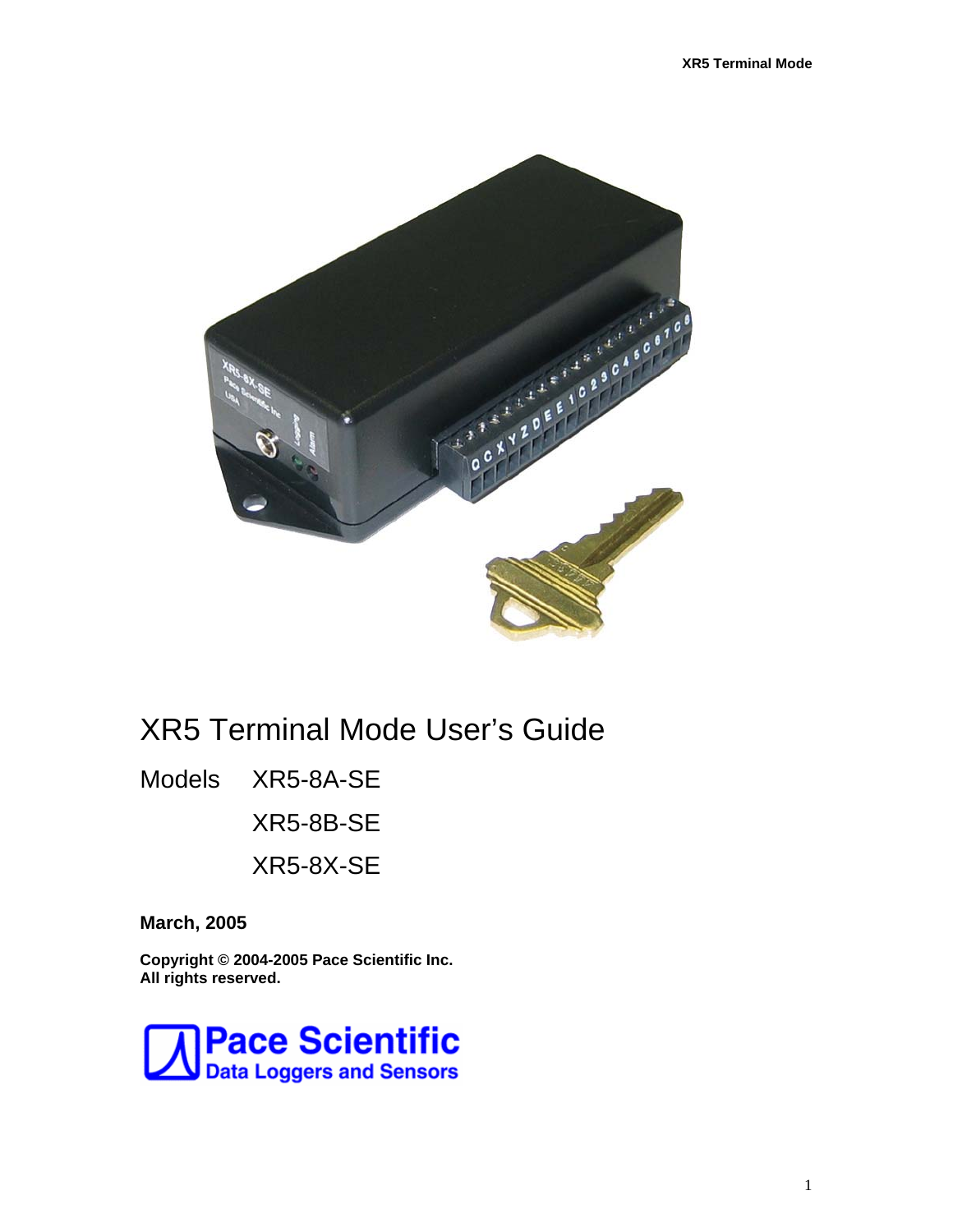

# XR5 Terminal Mode User's Guide

Models XR5-8A-SE

XR5-8B-SE

XR5-8X-SE

**March, 2005** 

**Copyright © 2004-2005 Pace Scientific Inc. All rights reserved.** 

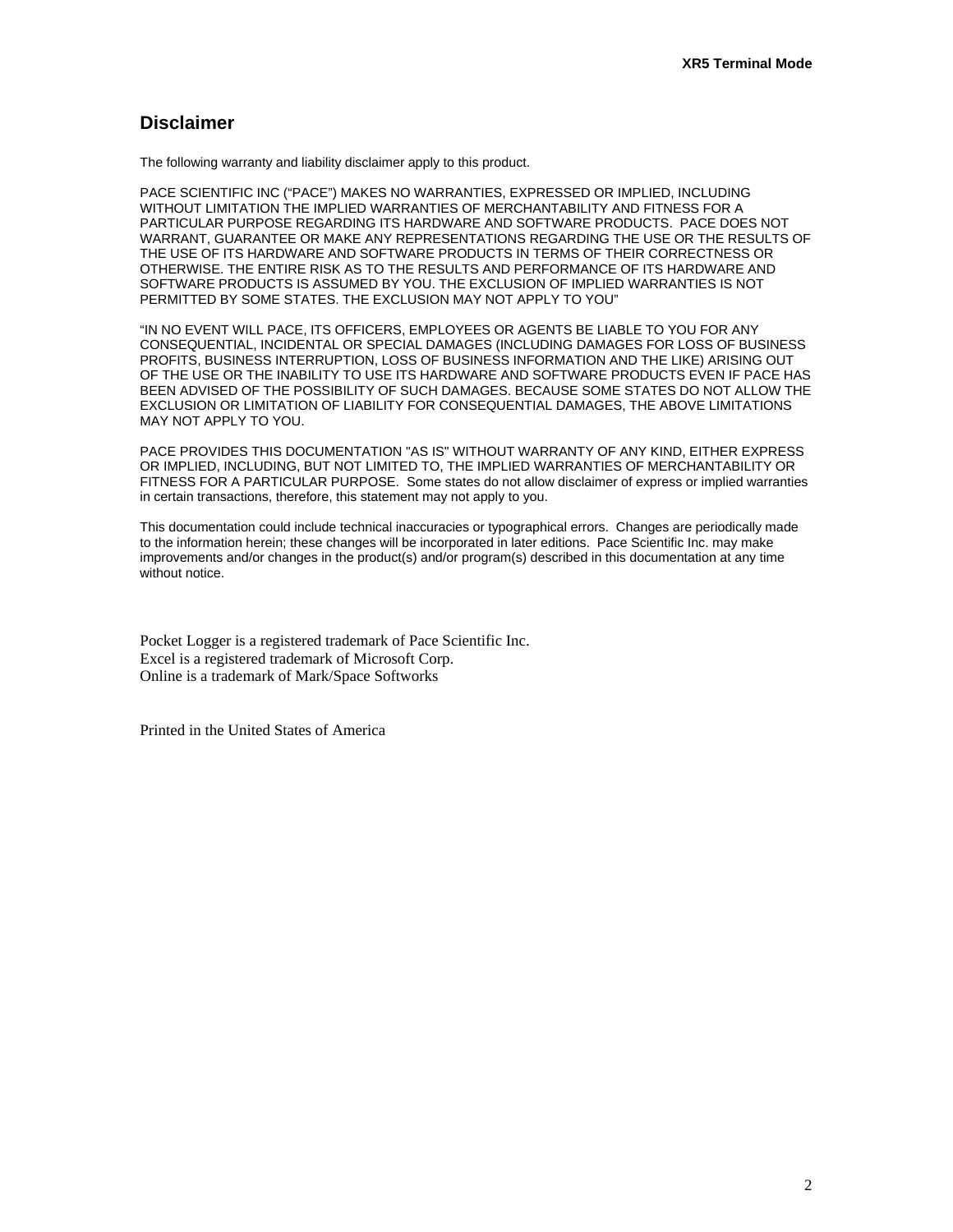### **Disclaimer**

The following warranty and liability disclaimer apply to this product.

PACE SCIENTIFIC INC ("PACE") MAKES NO WARRANTIES, EXPRESSED OR IMPLIED, INCLUDING WITHOUT LIMITATION THE IMPLIED WARRANTIES OF MERCHANTABILITY AND FITNESS FOR A PARTICULAR PURPOSE REGARDING ITS HARDWARE AND SOFTWARE PRODUCTS. PACE DOES NOT WARRANT, GUARANTEE OR MAKE ANY REPRESENTATIONS REGARDING THE USE OR THE RESULTS OF THE USE OF ITS HARDWARE AND SOFTWARE PRODUCTS IN TERMS OF THEIR CORRECTNESS OR OTHERWISE. THE ENTIRE RISK AS TO THE RESULTS AND PERFORMANCE OF ITS HARDWARE AND SOFTWARE PRODUCTS IS ASSUMED BY YOU. THE EXCLUSION OF IMPLIED WARRANTIES IS NOT PERMITTED BY SOME STATES. THE EXCLUSION MAY NOT APPLY TO YOU"

"IN NO EVENT WILL PACE, ITS OFFICERS, EMPLOYEES OR AGENTS BE LIABLE TO YOU FOR ANY CONSEQUENTIAL, INCIDENTAL OR SPECIAL DAMAGES (INCLUDING DAMAGES FOR LOSS OF BUSINESS PROFITS, BUSINESS INTERRUPTION, LOSS OF BUSINESS INFORMATION AND THE LIKE) ARISING OUT OF THE USE OR THE INABILITY TO USE ITS HARDWARE AND SOFTWARE PRODUCTS EVEN IF PACE HAS BEEN ADVISED OF THE POSSIBILITY OF SUCH DAMAGES. BECAUSE SOME STATES DO NOT ALLOW THE EXCLUSION OR LIMITATION OF LIABILITY FOR CONSEQUENTIAL DAMAGES, THE ABOVE LIMITATIONS MAY NOT APPLY TO YOU.

PACE PROVIDES THIS DOCUMENTATION "AS IS" WITHOUT WARRANTY OF ANY KIND, EITHER EXPRESS OR IMPLIED, INCLUDING, BUT NOT LIMITED TO, THE IMPLIED WARRANTIES OF MERCHANTABILITY OR FITNESS FOR A PARTICULAR PURPOSE. Some states do not allow disclaimer of express or implied warranties in certain transactions, therefore, this statement may not apply to you.

This documentation could include technical inaccuracies or typographical errors. Changes are periodically made to the information herein; these changes will be incorporated in later editions. Pace Scientific Inc. may make improvements and/or changes in the product(s) and/or program(s) described in this documentation at any time without notice.

Pocket Logger is a registered trademark of Pace Scientific Inc. Excel is a registered trademark of Microsoft Corp. Online is a trademark of Mark/Space Softworks

Printed in the United States of America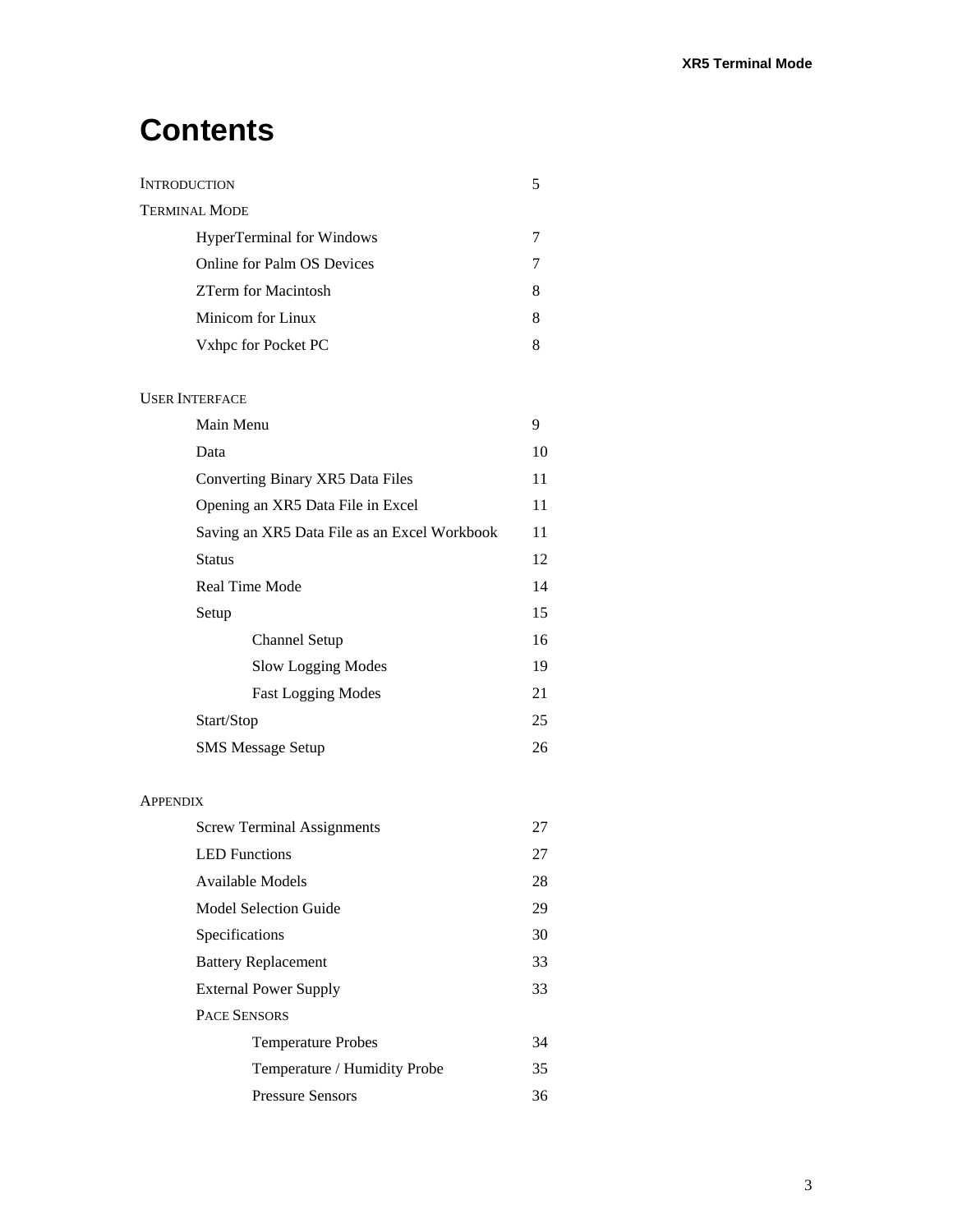# **Contents**

| <b>INTRODUCTION</b>                          | 5  |
|----------------------------------------------|----|
| <b>TERMINAL MODE</b>                         |    |
| <b>HyperTerminal for Windows</b>             | 7  |
| Online for Palm OS Devices                   | 7  |
| <b>ZTerm for Macintosh</b>                   | 8  |
| Minicom for Linux                            | 8  |
| Vxhpc for Pocket PC                          | 8  |
|                                              |    |
| <b>USER INTERFACE</b>                        |    |
| Main Menu                                    | 9  |
| Data                                         | 10 |
| Converting Binary XR5 Data Files             | 11 |
| Opening an XR5 Data File in Excel            | 11 |
| Saving an XR5 Data File as an Excel Workbook | 11 |
| <b>Status</b>                                | 12 |
| Real Time Mode                               | 14 |
| Setup                                        | 15 |
| <b>Channel Setup</b>                         | 16 |
| Slow Logging Modes                           | 19 |
| <b>Fast Logging Modes</b>                    | 21 |
| Start/Stop                                   | 25 |
| <b>SMS</b> Message Setup                     | 26 |
| APPENDIX                                     |    |
| <b>Screw Terminal Assignments</b>            | 27 |
| <b>LED</b> Functions                         | 27 |
| Available Models                             | 28 |
| <b>Model Selection Guide</b>                 | 29 |
| Specifications                               | 30 |
| <b>Battery Replacement</b>                   | 33 |
| <b>External Power Supply</b>                 | 33 |
| PACE SENSORS                                 |    |
| <b>Temperature Probes</b>                    | 34 |
| Temperature / Humidity Probe                 | 35 |
| <b>Pressure Sensors</b>                      | 36 |
|                                              |    |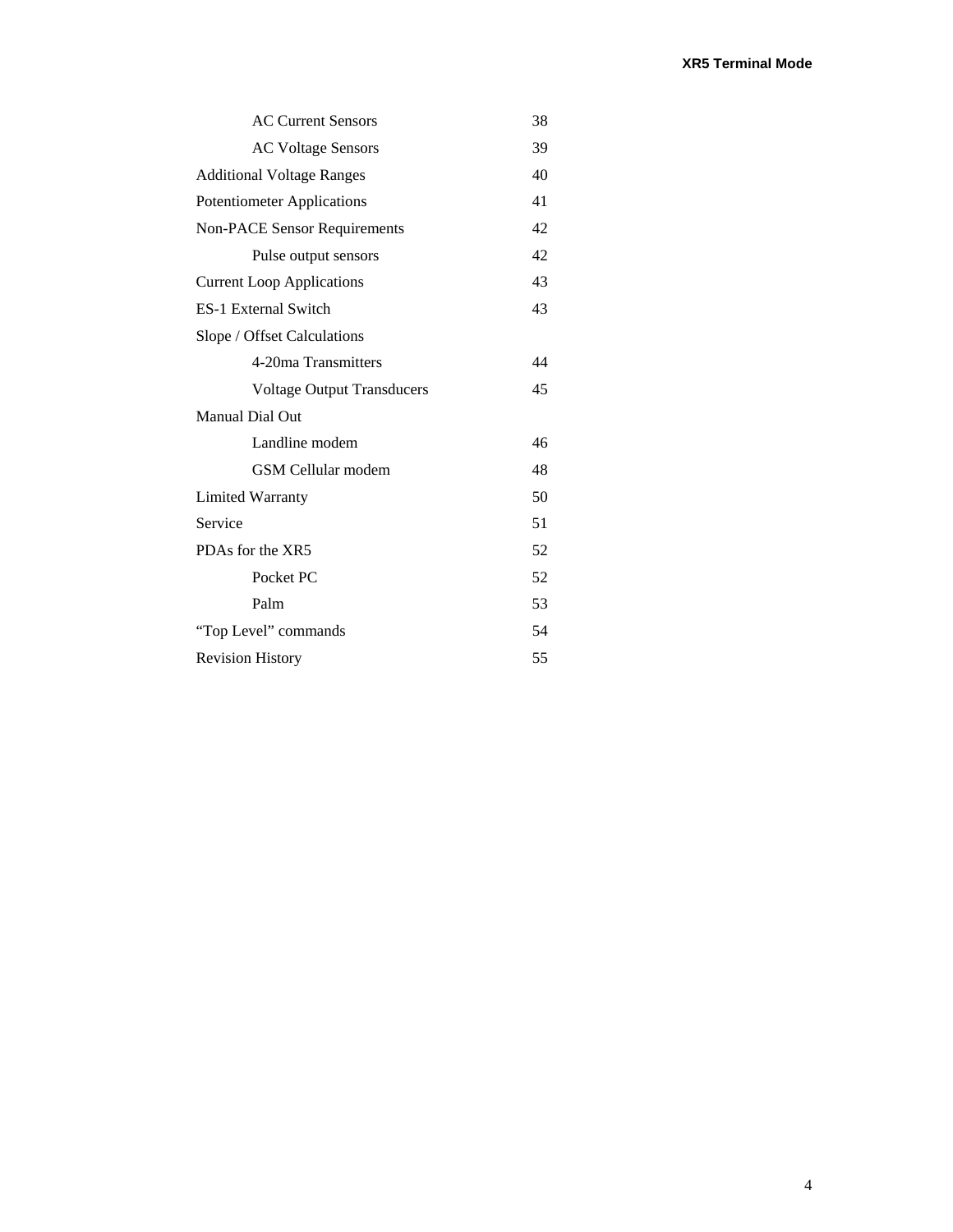| 38 |
|----|
| 39 |
| 40 |
| 41 |
| 42 |
| 42 |
| 43 |
| 43 |
|    |
| 44 |
| 45 |
|    |
| 46 |
| 48 |
| 50 |
| 51 |
| 52 |
| 52 |
| 53 |
| 54 |
| 55 |
|    |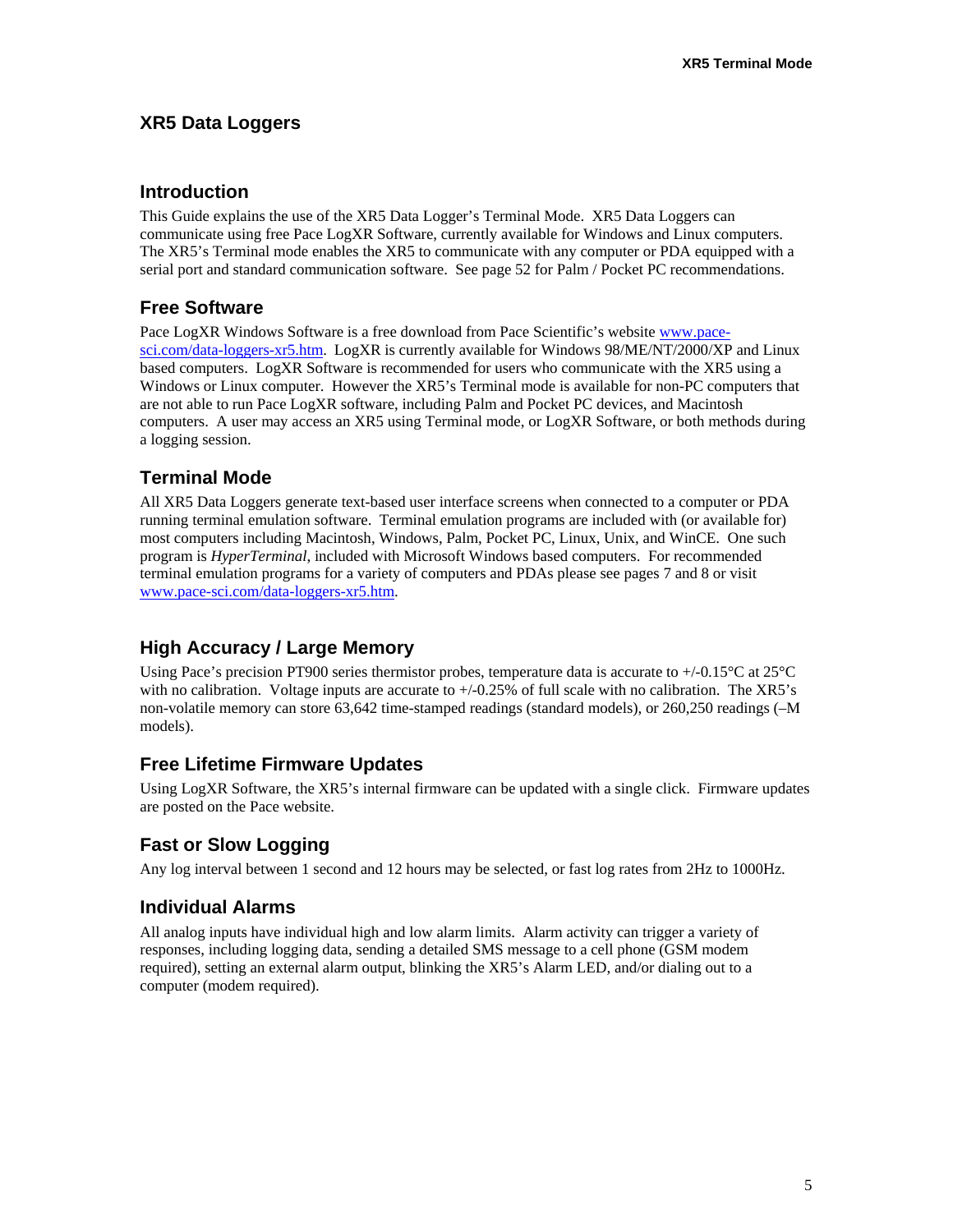### **XR5 Data Loggers**

### **Introduction**

This Guide explains the use of the XR5 Data Logger's Terminal Mode. XR5 Data Loggers can communicate using free Pace LogXR Software, currently available for Windows and Linux computers. The XR5's Terminal mode enables the XR5 to communicate with any computer or PDA equipped with a serial port and standard communication software. See page 52 for Palm / Pocket PC recommendations.

### **Free Software**

Pace LogXR Windows Software is a free download from Pace Scientific's website [www.pace](http://www.pace-sci.com/data-loggers-xr5.htm)[sci.com/data-loggers-xr5.htm.](http://www.pace-sci.com/data-loggers-xr5.htm) LogXR is currently available for Windows 98/ME/NT/2000/XP and Linux based computers. LogXR Software is recommended for users who communicate with the XR5 using a Windows or Linux computer. However the XR5's Terminal mode is available for non-PC computers that are not able to run Pace LogXR software, including Palm and Pocket PC devices, and Macintosh computers. A user may access an XR5 using Terminal mode, or LogXR Software, or both methods during a logging session.

# **Terminal Mode**

All XR5 Data Loggers generate text-based user interface screens when connected to a computer or PDA running terminal emulation software. Terminal emulation programs are included with (or available for) most computers including Macintosh, Windows, Palm, Pocket PC, Linux, Unix, and WinCE. One such program is *HyperTerminal*, included with Microsoft Windows based computers. For recommended terminal emulation programs for a variety of computers and PDAs please see pages 7 and 8 or visit [www.pace-sci.com/data-loggers-xr5.htm.](http://www.pace-sci.com/data-loggers-xr5.htm)

# **High Accuracy / Large Memory**

Using Pace's precision PT900 series thermistor probes, temperature data is accurate to +/-0.15°C at 25°C with no calibration. Voltage inputs are accurate to  $+/-0.25\%$  of full scale with no calibration. The XR5's non-volatile memory can store 63,642 time-stamped readings (standard models), or 260,250 readings (–M models).

# **Free Lifetime Firmware Updates**

Using LogXR Software, the XR5's internal firmware can be updated with a single click. Firmware updates are posted on the Pace website.

# **Fast or Slow Logging**

Any log interval between 1 second and 12 hours may be selected, or fast log rates from 2Hz to 1000Hz.

# **Individual Alarms**

All analog inputs have individual high and low alarm limits. Alarm activity can trigger a variety of responses, including logging data, sending a detailed SMS message to a cell phone (GSM modem required), setting an external alarm output, blinking the XR5's Alarm LED, and/or dialing out to a computer (modem required).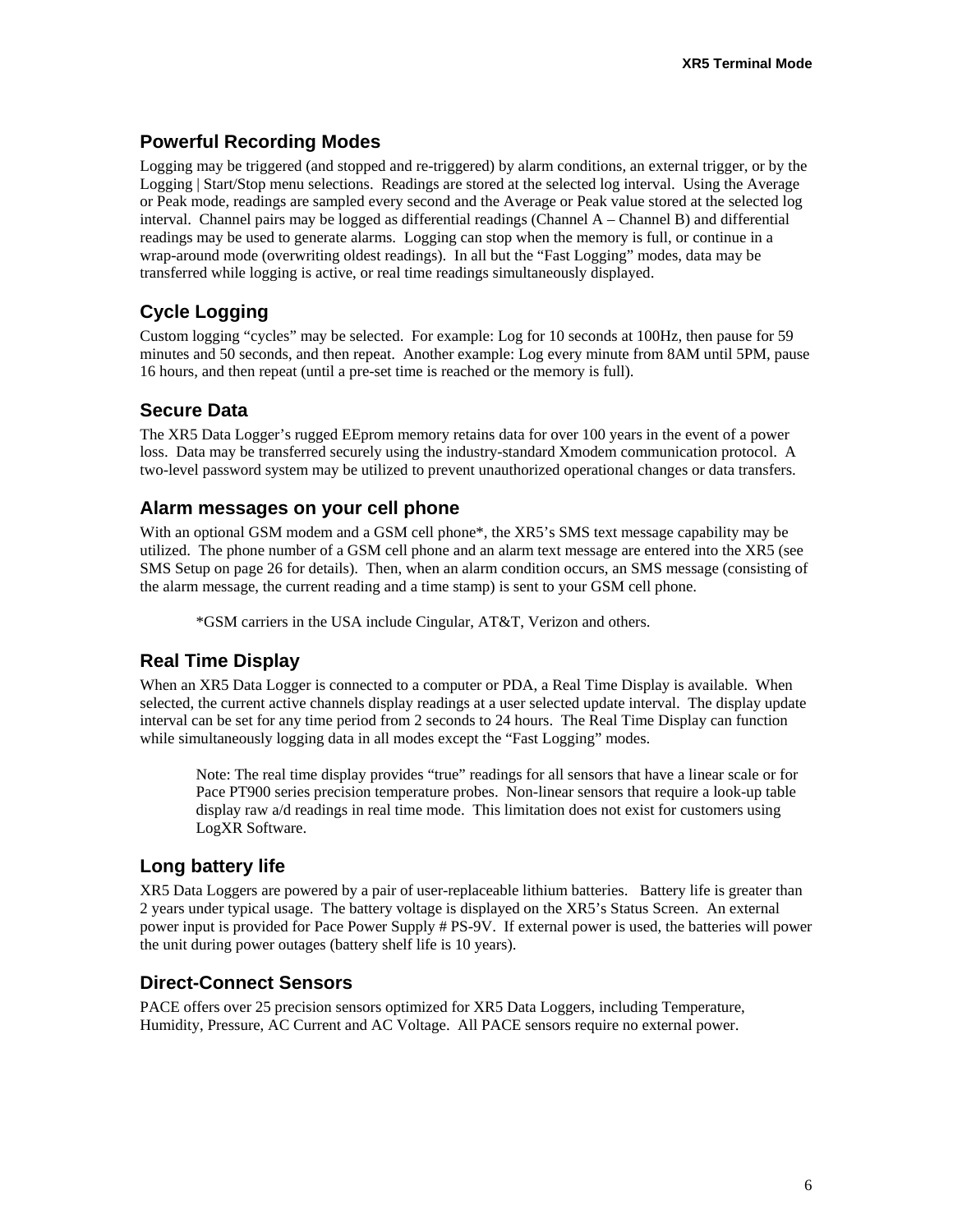### **Powerful Recording Modes**

Logging may be triggered (and stopped and re-triggered) by alarm conditions, an external trigger, or by the Logging | Start/Stop menu selections. Readings are stored at the selected log interval. Using the Average or Peak mode, readings are sampled every second and the Average or Peak value stored at the selected log interval. Channel pairs may be logged as differential readings (Channel A – Channel B) and differential readings may be used to generate alarms. Logging can stop when the memory is full, or continue in a wrap-around mode (overwriting oldest readings). In all but the "Fast Logging" modes, data may be transferred while logging is active, or real time readings simultaneously displayed.

# **Cycle Logging**

Custom logging "cycles" may be selected. For example: Log for 10 seconds at 100Hz, then pause for 59 minutes and 50 seconds, and then repeat. Another example: Log every minute from 8AM until 5PM, pause 16 hours, and then repeat (until a pre-set time is reached or the memory is full).

### **Secure Data**

The XR5 Data Logger's rugged EEprom memory retains data for over 100 years in the event of a power loss. Data may be transferred securely using the industry-standard Xmodem communication protocol. A two-level password system may be utilized to prevent unauthorized operational changes or data transfers.

### **Alarm messages on your cell phone**

With an optional GSM modem and a GSM cell phone\*, the XR5's SMS text message capability may be utilized. The phone number of a GSM cell phone and an alarm text message are entered into the XR5 (see SMS Setup on page 26 for details). Then, when an alarm condition occurs, an SMS message (consisting of the alarm message, the current reading and a time stamp) is sent to your GSM cell phone.

\*GSM carriers in the USA include Cingular, AT&T, Verizon and others.

# **Real Time Display**

When an XR5 Data Logger is connected to a computer or PDA, a Real Time Display is available. When selected, the current active channels display readings at a user selected update interval. The display update interval can be set for any time period from 2 seconds to 24 hours. The Real Time Display can function while simultaneously logging data in all modes except the "Fast Logging" modes.

Note: The real time display provides "true" readings for all sensors that have a linear scale or for Pace PT900 series precision temperature probes. Non-linear sensors that require a look-up table display raw a/d readings in real time mode. This limitation does not exist for customers using LogXR Software.

### **Long battery life**

XR5 Data Loggers are powered by a pair of user-replaceable lithium batteries. Battery life is greater than 2 years under typical usage. The battery voltage is displayed on the XR5's Status Screen. An external power input is provided for Pace Power Supply # PS-9V. If external power is used, the batteries will power the unit during power outages (battery shelf life is 10 years).

### **Direct-Connect Sensors**

PACE offers over 25 precision sensors optimized for XR5 Data Loggers, including Temperature, Humidity, Pressure, AC Current and AC Voltage. All PACE sensors require no external power.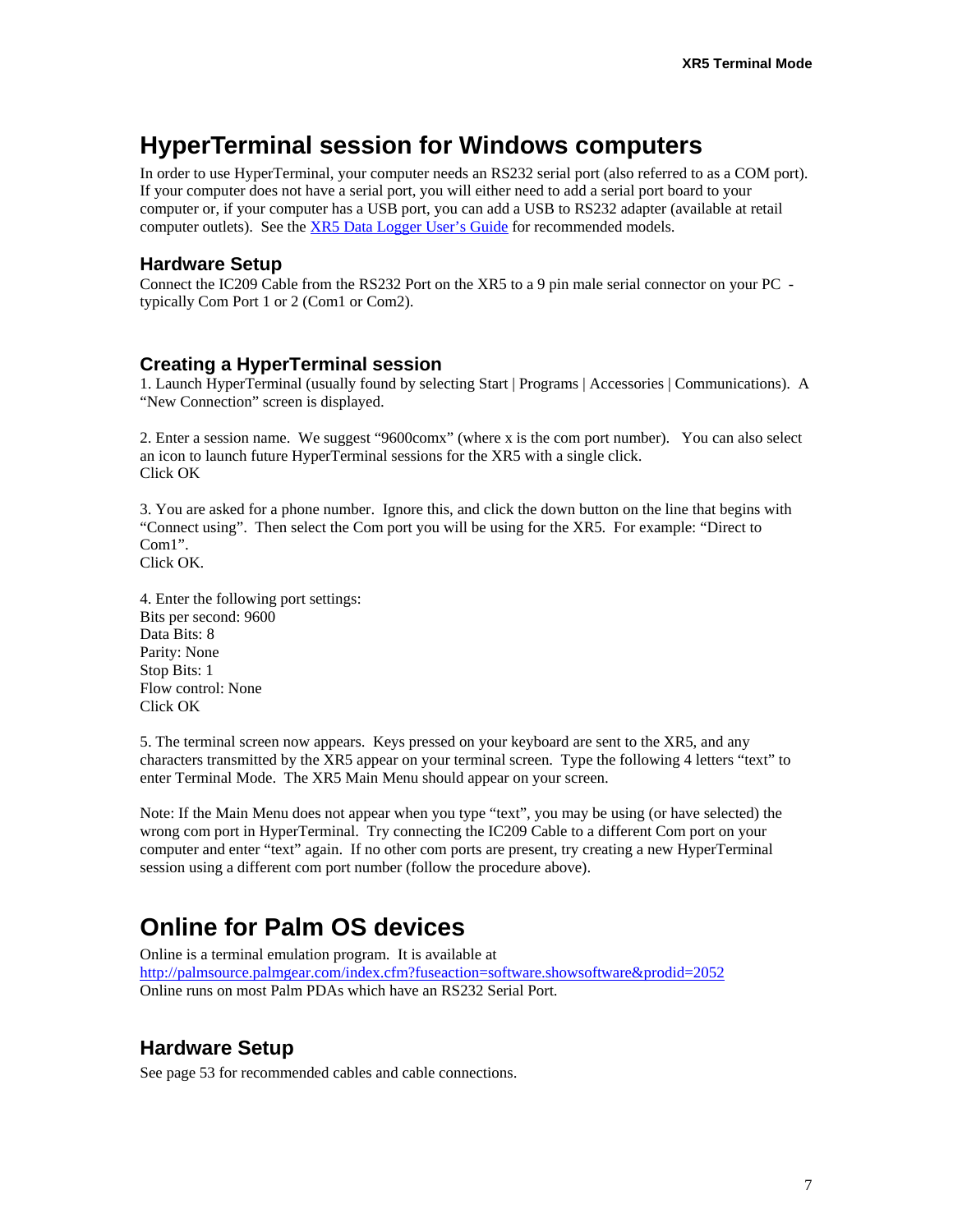# **HyperTerminal session for Windows computers**

In order to use HyperTerminal, your computer needs an RS232 serial port (also referred to as a COM port). If your computer does not have a serial port, you will either need to add a serial port board to your computer or, if your computer has a USB port, you can add a USB to RS232 adapter (available at retail computer outlets). See the [XR5 Data Logger User's](http://www.pace-sci.com/XR5-LogXR.pdf) Guide for recommended models.

### **Hardware Setup**

Connect the IC209 Cable from the RS232 Port on the XR5 to a 9 pin male serial connector on your PC typically Com Port 1 or 2 (Com1 or Com2).

### **Creating a HyperTerminal session**

1. Launch HyperTerminal (usually found by selecting Start | Programs | Accessories | Communications). A "New Connection" screen is displayed.

2. Enter a session name. We suggest "9600comx" (where x is the com port number). You can also select an icon to launch future HyperTerminal sessions for the XR5 with a single click. Click OK

3. You are asked for a phone number. Ignore this, and click the down button on the line that begins with "Connect using". Then select the Com port you will be using for the XR5. For example: "Direct to Com1".

Click OK.

4. Enter the following port settings: Bits per second: 9600 Data Bits: 8 Parity: None Stop Bits: 1 Flow control: None Click OK

5. The terminal screen now appears. Keys pressed on your keyboard are sent to the XR5, and any characters transmitted by the XR5 appear on your terminal screen. Type the following 4 letters "text" to enter Terminal Mode. The XR5 Main Menu should appear on your screen.

Note: If the Main Menu does not appear when you type "text", you may be using (or have selected) the wrong com port in HyperTerminal. Try connecting the IC209 Cable to a different Com port on your computer and enter "text" again. If no other com ports are present, try creating a new HyperTerminal session using a different com port number (follow the procedure above).

# **Online for Palm OS devices**

Online is a terminal emulation program. It is available at <http://palmsource.palmgear.com/index.cfm?fuseaction=software.showsoftware&prodid=2052> Online runs on most Palm PDAs which have an RS232 Serial Port.

### **Hardware Setup**

See page 53 for recommended cables and cable connections.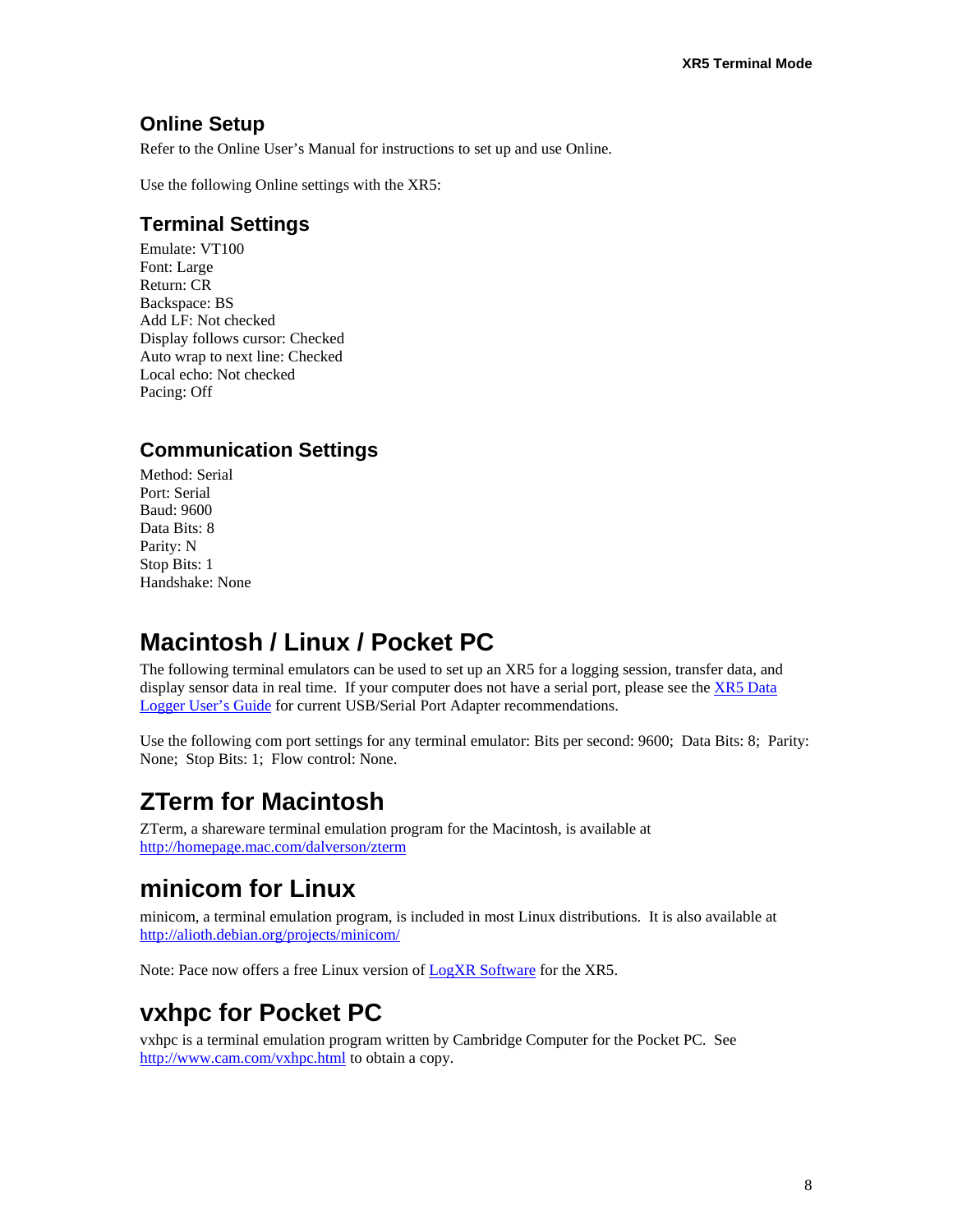# **Online Setup**

Refer to the Online User's Manual for instructions to set up and use Online.

Use the following Online settings with the XR5:

# **Terminal Settings**

Emulate: VT100 Font: Large Return: CR Backspace: BS Add LF: Not checked Display follows cursor: Checked Auto wrap to next line: Checked Local echo: Not checked Pacing: Off

# **Communication Settings**

Method: Serial Port: Serial Baud: 9600 Data Bits: 8 Parity: N Stop Bits: 1 Handshake: None

# **Macintosh / Linux / Pocket PC**

The following terminal emulators can be used to set up an XR5 for a logging session, transfer data, and display sensor data in real time. If your computer does not have a serial port, please see the [XR5 Data](http://www.pace-sci.com/XR5-LogXR.pdf)  [Logger User's Guide](http://www.pace-sci.com/XR5-LogXR.pdf) for current USB/Serial Port Adapter recommendations.

Use the following com port settings for any terminal emulator: Bits per second: 9600; Data Bits: 8; Parity: None; Stop Bits: 1; Flow control: None.

# **ZTerm for Macintosh**

ZTerm, a shareware terminal emulation program for the Macintosh, is available at <http://homepage.mac.com/dalverson/zterm>

# **minicom for Linux**

minicom, a terminal emulation program, is included in most Linux distributions. It is also available at <http://alioth.debian.org/projects/minicom/>

Note: Pace now offers a free Linux version of [LogXR Software](http://www.pace-sci.com/linux-data-logger-software.htm) for the XR5.

# **vxhpc for Pocket PC**

vxhpc is a terminal emulation program written by Cambridge Computer for the Pocket PC. See <http://www.cam.com/vxhpc.html> to obtain a copy.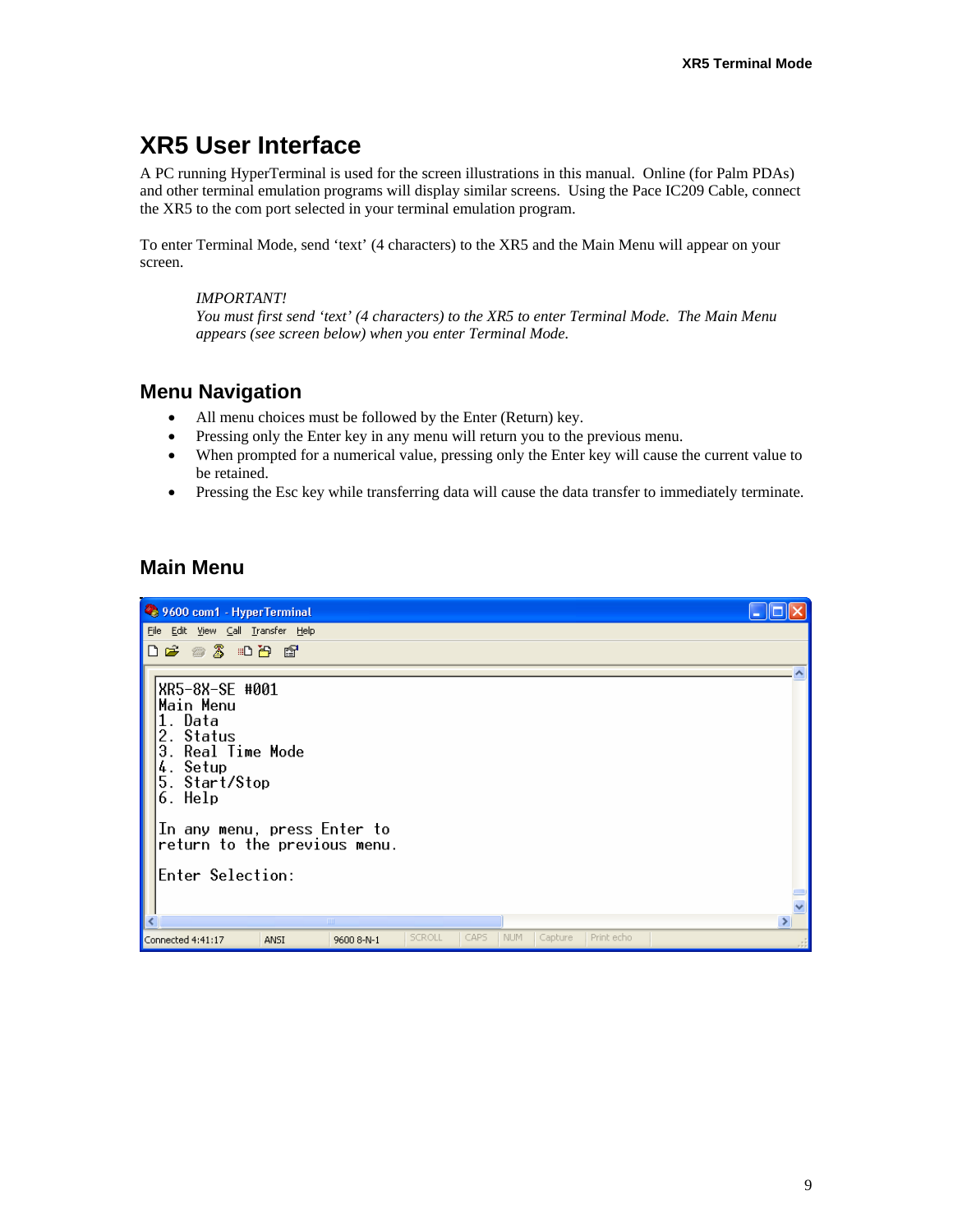# **XR5 User Interface**

A PC running HyperTerminal is used for the screen illustrations in this manual. Online (for Palm PDAs) and other terminal emulation programs will display similar screens. Using the Pace IC209 Cable, connect the XR5 to the com port selected in your terminal emulation program.

To enter Terminal Mode, send 'text' (4 characters) to the XR5 and the Main Menu will appear on your screen.

#### *IMPORTANT!*

*You must first send 'text' (4 characters) to the XR5 to enter Terminal Mode. The Main Menu appears (see screen below) when you enter Terminal Mode.* 

## **Menu Navigation**

- All menu choices must be followed by the Enter (Return) key.
- Pressing only the Enter key in any menu will return you to the previous menu.
- When prompted for a numerical value, pressing only the Enter key will cause the current value to be retained.
- Pressing the Esc key while transferring data will cause the data transfer to immediately terminate.

### **Main Menu**

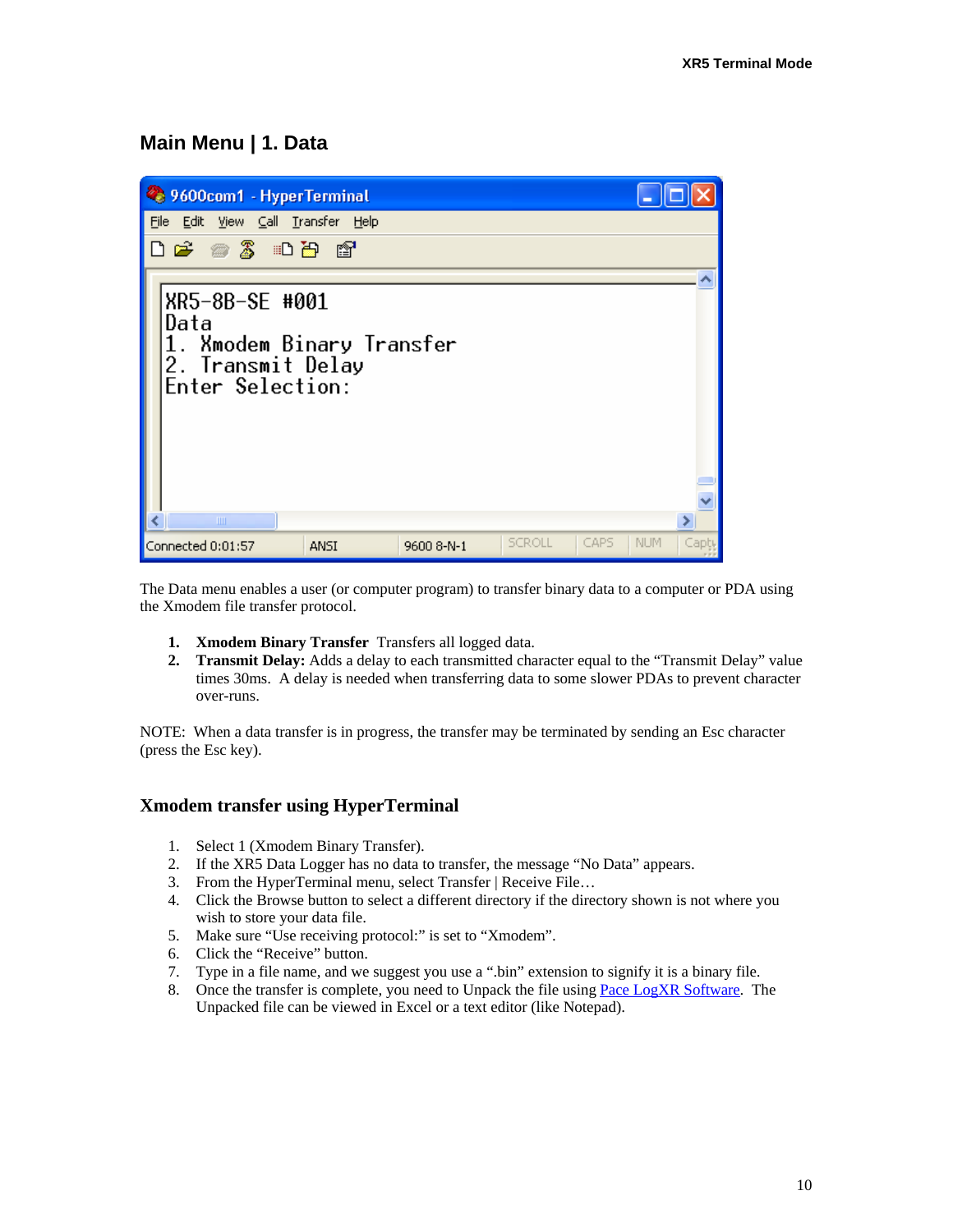## **Main Menu | 1. Data**



The Data menu enables a user (or computer program) to transfer binary data to a computer or PDA using the Xmodem file transfer protocol.

- **1. Xmodem Binary Transfer** Transfers all logged data.
- **2. Transmit Delay:** Adds a delay to each transmitted character equal to the "Transmit Delay" value times 30ms. A delay is needed when transferring data to some slower PDAs to prevent character over-runs.

NOTE: When a data transfer is in progress, the transfer may be terminated by sending an Esc character (press the Esc key).

#### **Xmodem transfer using HyperTerminal**

- 1. Select 1 (Xmodem Binary Transfer).
- 2. If the XR5 Data Logger has no data to transfer, the message "No Data" appears.
- 3. From the HyperTerminal menu, select Transfer | Receive File…
- 4. Click the Browse button to select a different directory if the directory shown is not where you wish to store your data file.
- 5. Make sure "Use receiving protocol:" is set to "Xmodem".
- 6. Click the "Receive" button.
- 7. Type in a file name, and we suggest you use a ".bin" extension to signify it is a binary file.
- 8. Once the transfer is complete, you need to Unpack the file using [Pace LogXR Software.](http://www.pace-sci.com/data-loggers-xr5.htm) The Unpacked file can be viewed in Excel or a text editor (like Notepad).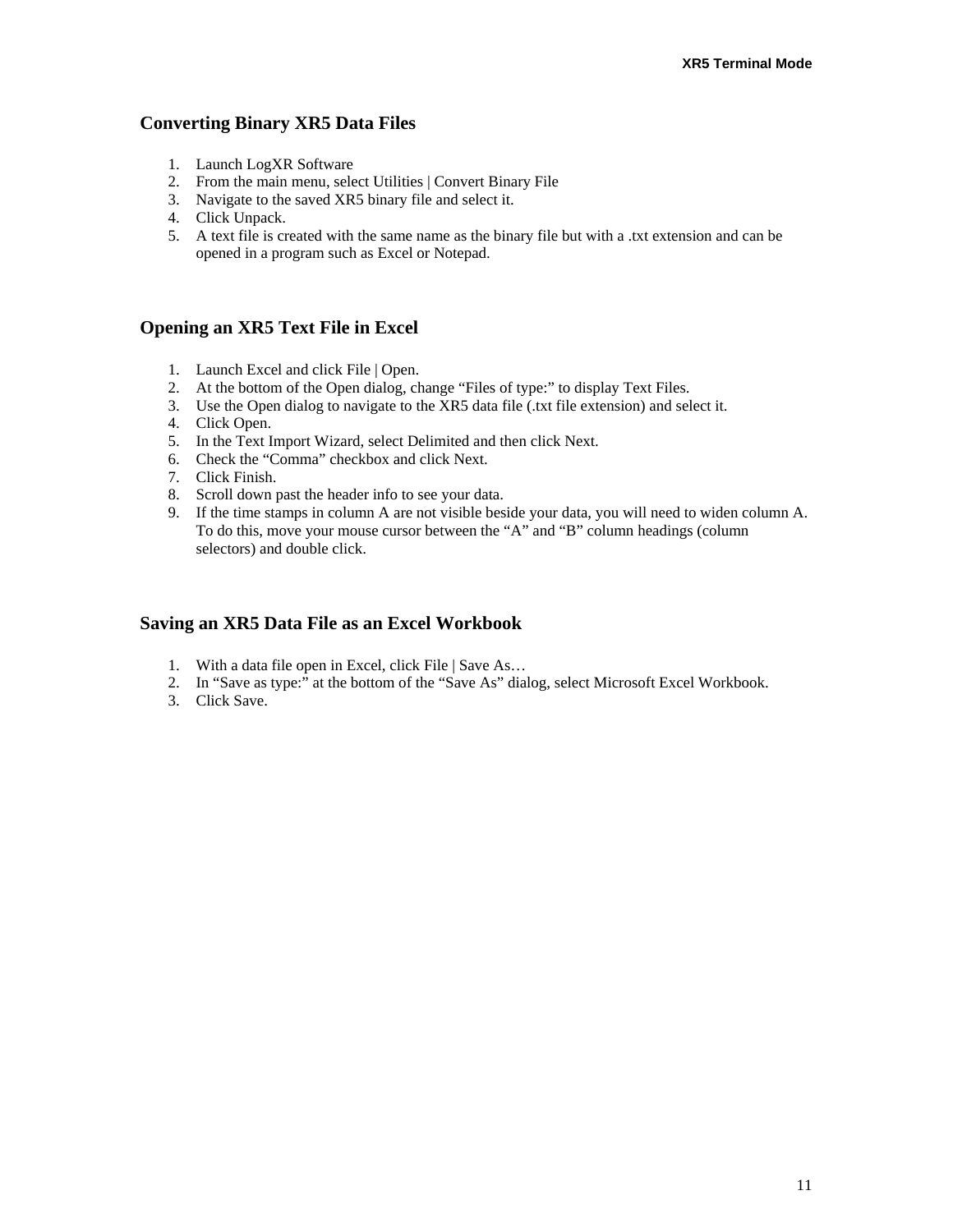### **Converting Binary XR5 Data Files**

- 1. Launch LogXR Software
- 2. From the main menu, select Utilities | Convert Binary File
- 3. Navigate to the saved XR5 binary file and select it.
- 4. Click Unpack.
- 5. A text file is created with the same name as the binary file but with a .txt extension and can be opened in a program such as Excel or Notepad.

### **Opening an XR5 Text File in Excel**

- 1. Launch Excel and click File | Open.
- 2. At the bottom of the Open dialog, change "Files of type:" to display Text Files.
- 3. Use the Open dialog to navigate to the XR5 data file (.txt file extension) and select it.
- 4. Click Open.
- 5. In the Text Import Wizard, select Delimited and then click Next.
- 6. Check the "Comma" checkbox and click Next.
- 7. Click Finish.
- 8. Scroll down past the header info to see your data.
- 9. If the time stamps in column A are not visible beside your data, you will need to widen column A. To do this, move your mouse cursor between the "A" and "B" column headings (column selectors) and double click.

#### **Saving an XR5 Data File as an Excel Workbook**

- 1. With a data file open in Excel, click File | Save As…
- 2. In "Save as type:" at the bottom of the "Save As" dialog, select Microsoft Excel Workbook.
- 3. Click Save.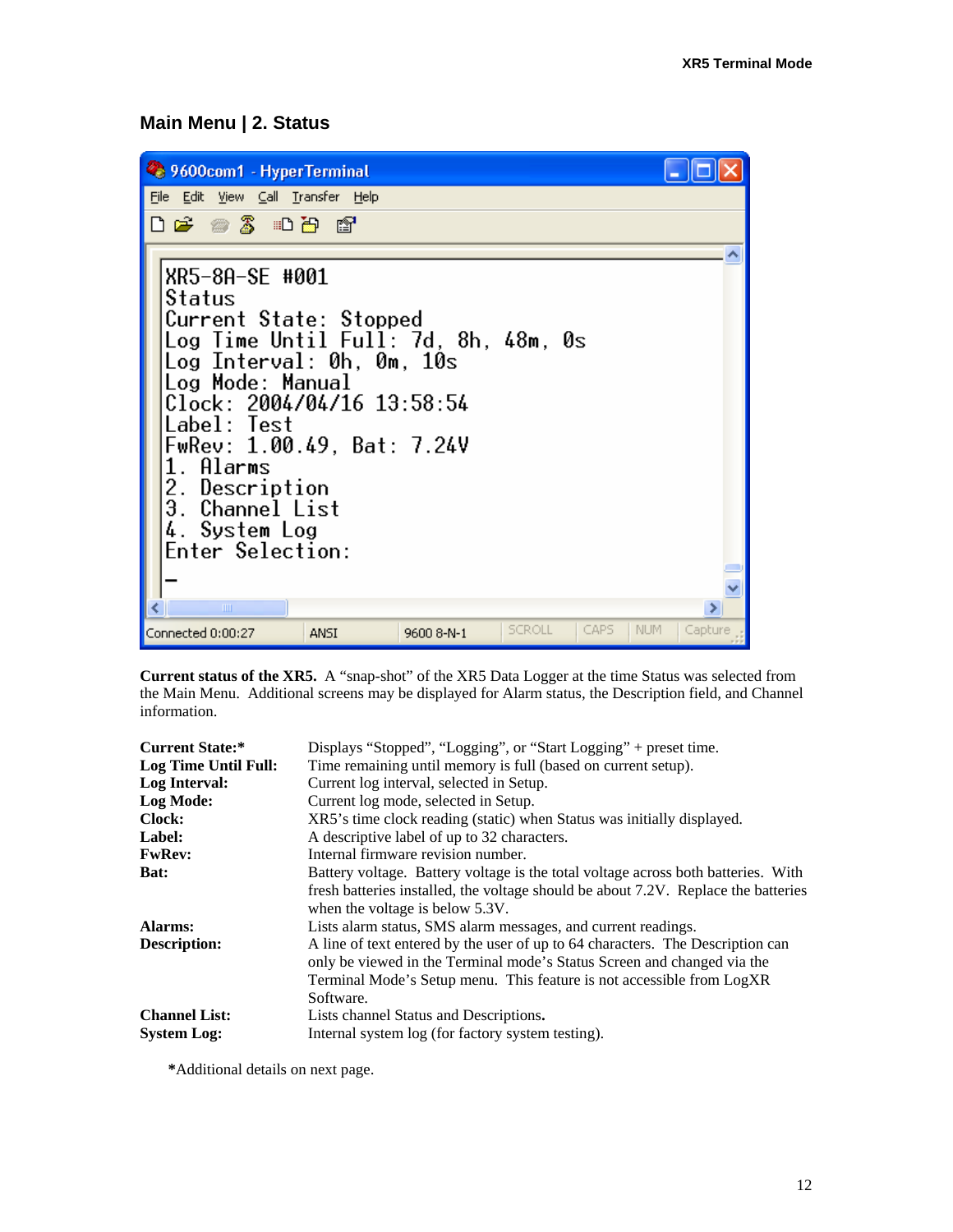# **Main Menu | 2. Status**

| 9600com1 - HyperTerminal                                                                                                                                                                                                                                                                                      |            |               |      |            |         |
|---------------------------------------------------------------------------------------------------------------------------------------------------------------------------------------------------------------------------------------------------------------------------------------------------------------|------------|---------------|------|------------|---------|
| File Edit View Call Transfer Help                                                                                                                                                                                                                                                                             |            |               |      |            |         |
|                                                                                                                                                                                                                                                                                                               |            |               |      |            |         |
| XR5-8A-SE #001<br>Status<br>Current State: Stopped<br>Log Time Until Full: 7d, 8h, 48m, 0s<br>Log Interval: 0h, 0m, 10s<br>Log Mode: Manual<br>Clock: 2004/04/16 13:58:54<br>Label: Test<br>FwRev: 1.00.49, Bat: 7.24V<br>1. Alarms<br>2. Description<br>3. Channel List<br>4. System Log<br>Enter Selection: |            |               |      |            |         |
| III                                                                                                                                                                                                                                                                                                           |            |               |      |            | ≻       |
| Connected 0:00:27<br><b>ANSI</b>                                                                                                                                                                                                                                                                              | 9600 8-N-1 | <b>SCROLL</b> | CAPS | <b>NUM</b> | Capture |

**Current status of the XR5.** A "snap-shot" of the XR5 Data Logger at the time Status was selected from the Main Menu. Additional screens may be displayed for Alarm status, the Description field, and Channel information.

| <b>Current State:*</b> | Displays "Stopped", "Logging", or "Start Logging" + preset time.                                                                                                                                                                                |
|------------------------|-------------------------------------------------------------------------------------------------------------------------------------------------------------------------------------------------------------------------------------------------|
| Log Time Until Full:   | Time remaining until memory is full (based on current setup).                                                                                                                                                                                   |
| Log Interval:          | Current log interval, selected in Setup.                                                                                                                                                                                                        |
| Log Mode:              | Current log mode, selected in Setup.                                                                                                                                                                                                            |
| <b>Clock:</b>          | XR5's time clock reading (static) when Status was initially displayed.                                                                                                                                                                          |
| Label:                 | A descriptive label of up to 32 characters.                                                                                                                                                                                                     |
| <b>FwRev:</b>          | Internal firmware revision number.                                                                                                                                                                                                              |
| <b>Bat:</b>            | Battery voltage. Battery voltage is the total voltage across both batteries. With<br>fresh batteries installed, the voltage should be about 7.2V. Replace the batteries<br>when the voltage is below 5.3V.                                      |
| Alarms:                | Lists alarm status, SMS alarm messages, and current readings.                                                                                                                                                                                   |
| Description:           | A line of text entered by the user of up to 64 characters. The Description can<br>only be viewed in the Terminal mode's Status Screen and changed via the<br>Terminal Mode's Setup menu. This feature is not accessible from LogXR<br>Software. |
| <b>Channel List:</b>   | Lists channel Status and Descriptions.                                                                                                                                                                                                          |
| <b>System Log:</b>     | Internal system log (for factory system testing).                                                                                                                                                                                               |

**\***Additional details on next page.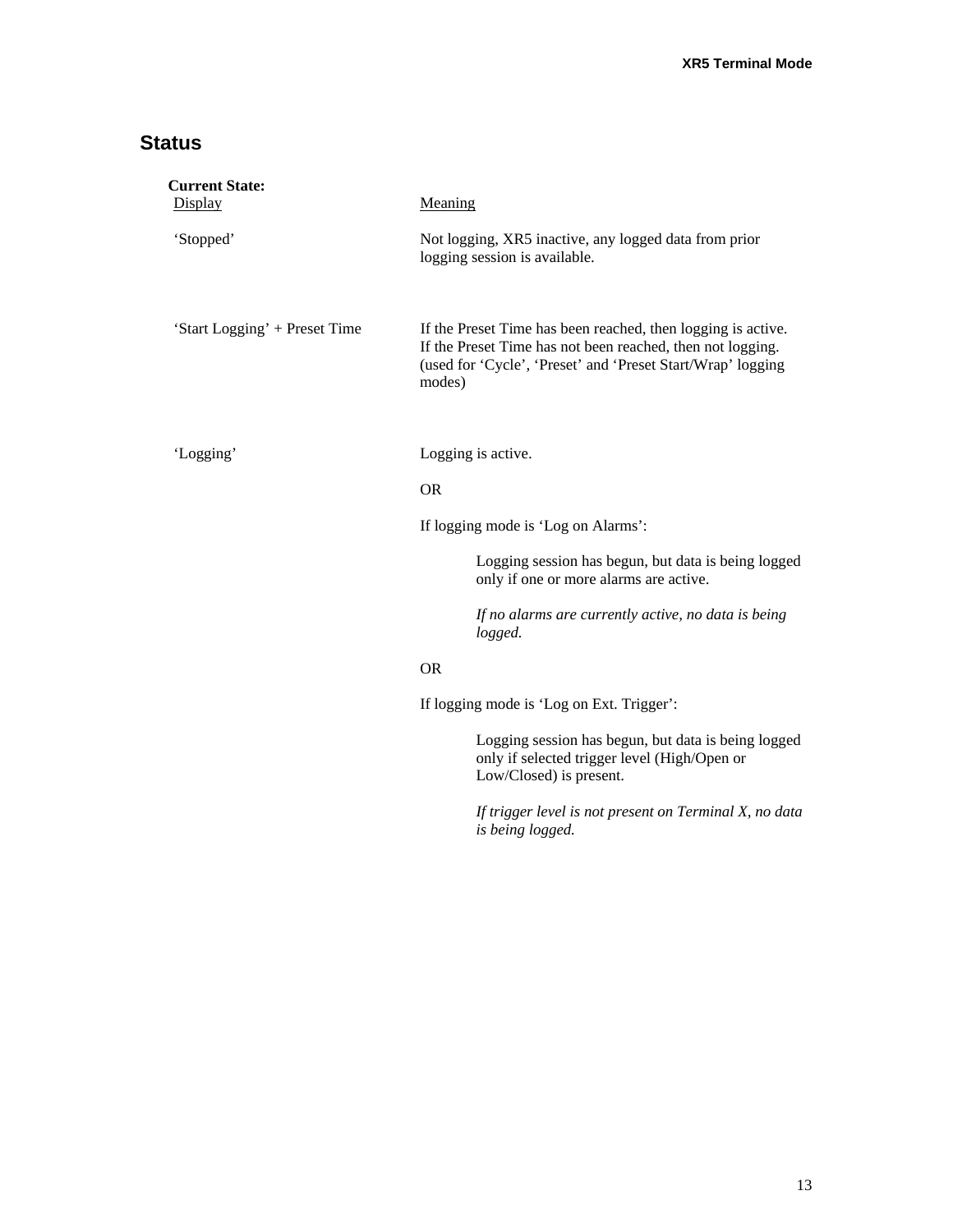# **Status**

| <b>Current State:</b><br>Display | Meaning                                                                                                                                                                                             |  |  |
|----------------------------------|-----------------------------------------------------------------------------------------------------------------------------------------------------------------------------------------------------|--|--|
| 'Stopped'                        | Not logging, XR5 inactive, any logged data from prior<br>logging session is available.                                                                                                              |  |  |
| 'Start Logging' + Preset Time    | If the Preset Time has been reached, then logging is active.<br>If the Preset Time has not been reached, then not logging.<br>(used for 'Cycle', 'Preset' and 'Preset Start/Wrap' logging<br>modes) |  |  |
| 'Logging'                        | Logging is active.                                                                                                                                                                                  |  |  |
|                                  | <b>OR</b>                                                                                                                                                                                           |  |  |
|                                  | If logging mode is 'Log on Alarms':                                                                                                                                                                 |  |  |
|                                  | Logging session has begun, but data is being logged<br>only if one or more alarms are active.                                                                                                       |  |  |
|                                  | If no alarms are currently active, no data is being<br>logged.                                                                                                                                      |  |  |
|                                  | <b>OR</b>                                                                                                                                                                                           |  |  |
|                                  | If logging mode is 'Log on Ext. Trigger':                                                                                                                                                           |  |  |
|                                  | Logging session has begun, but data is being logged<br>only if selected trigger level (High/Open or<br>Low/Closed) is present.                                                                      |  |  |
|                                  | $\mathbf{r} \cdot \mathbf{r} = \mathbf{r} \cdot \mathbf{r}$<br>$\mathbf{r}$ $\mathbf{r}$ $\mathbf{r}$ $\mathbf{r}$                                                                                  |  |  |

*If trigger level is not present on Terminal X, no data is being logged.*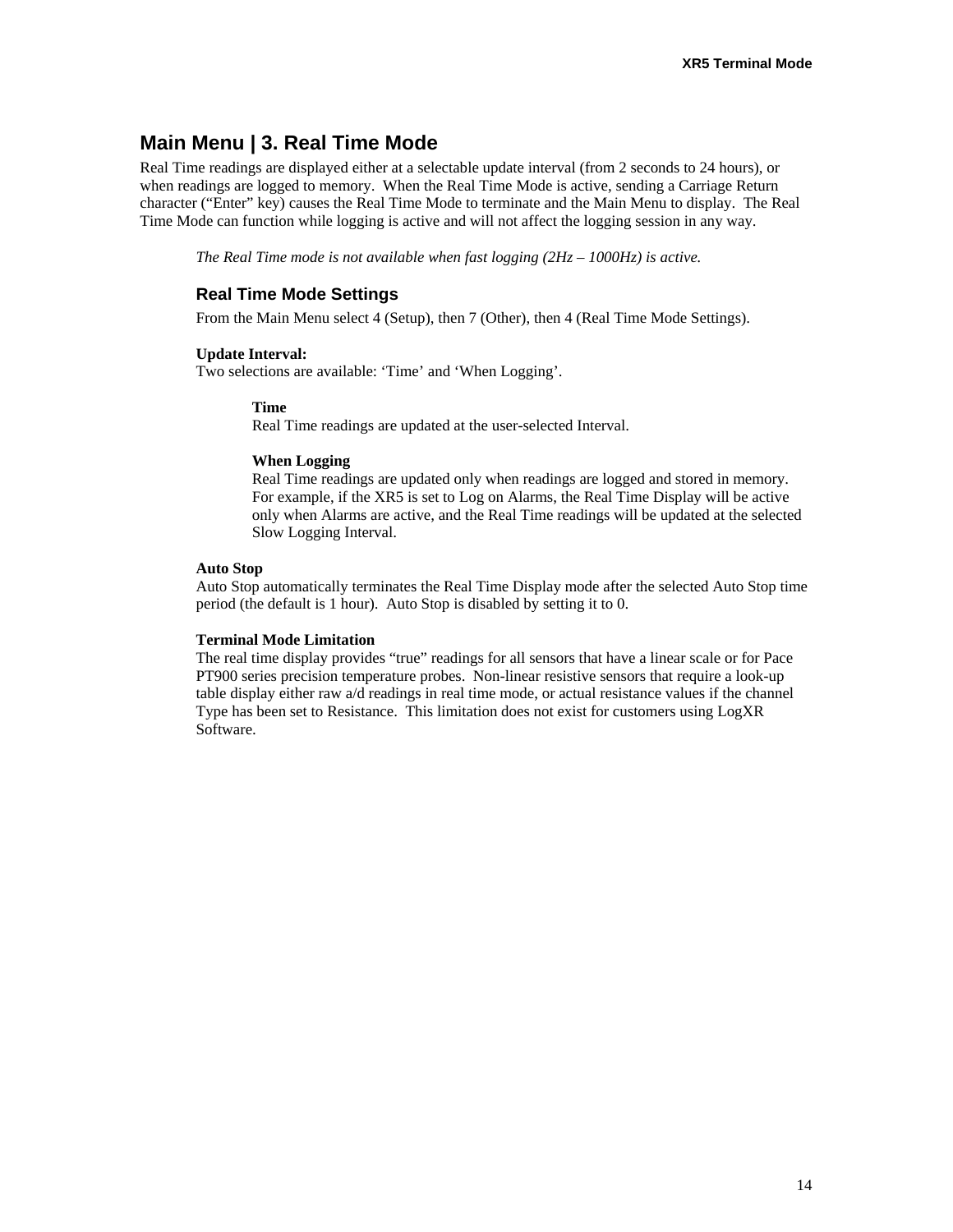# **Main Menu | 3. Real Time Mode**

Real Time readings are displayed either at a selectable update interval (from 2 seconds to 24 hours), or when readings are logged to memory. When the Real Time Mode is active, sending a Carriage Return character ("Enter" key) causes the Real Time Mode to terminate and the Main Menu to display. The Real Time Mode can function while logging is active and will not affect the logging session in any way.

*The Real Time mode is not available when fast logging (2Hz – 1000Hz) is active.* 

### **Real Time Mode Settings**

From the Main Menu select 4 (Setup), then 7 (Other), then 4 (Real Time Mode Settings).

#### **Update Interval:**

Two selections are available: 'Time' and 'When Logging'.

#### **Time**

Real Time readings are updated at the user-selected Interval.

#### **When Logging**

Real Time readings are updated only when readings are logged and stored in memory. For example, if the XR5 is set to Log on Alarms, the Real Time Display will be active only when Alarms are active, and the Real Time readings will be updated at the selected Slow Logging Interval.

#### **Auto Stop**

Auto Stop automatically terminates the Real Time Display mode after the selected Auto Stop time period (the default is 1 hour). Auto Stop is disabled by setting it to 0.

#### **Terminal Mode Limitation**

The real time display provides "true" readings for all sensors that have a linear scale or for Pace PT900 series precision temperature probes. Non-linear resistive sensors that require a look-up table display either raw a/d readings in real time mode, or actual resistance values if the channel Type has been set to Resistance. This limitation does not exist for customers using LogXR Software.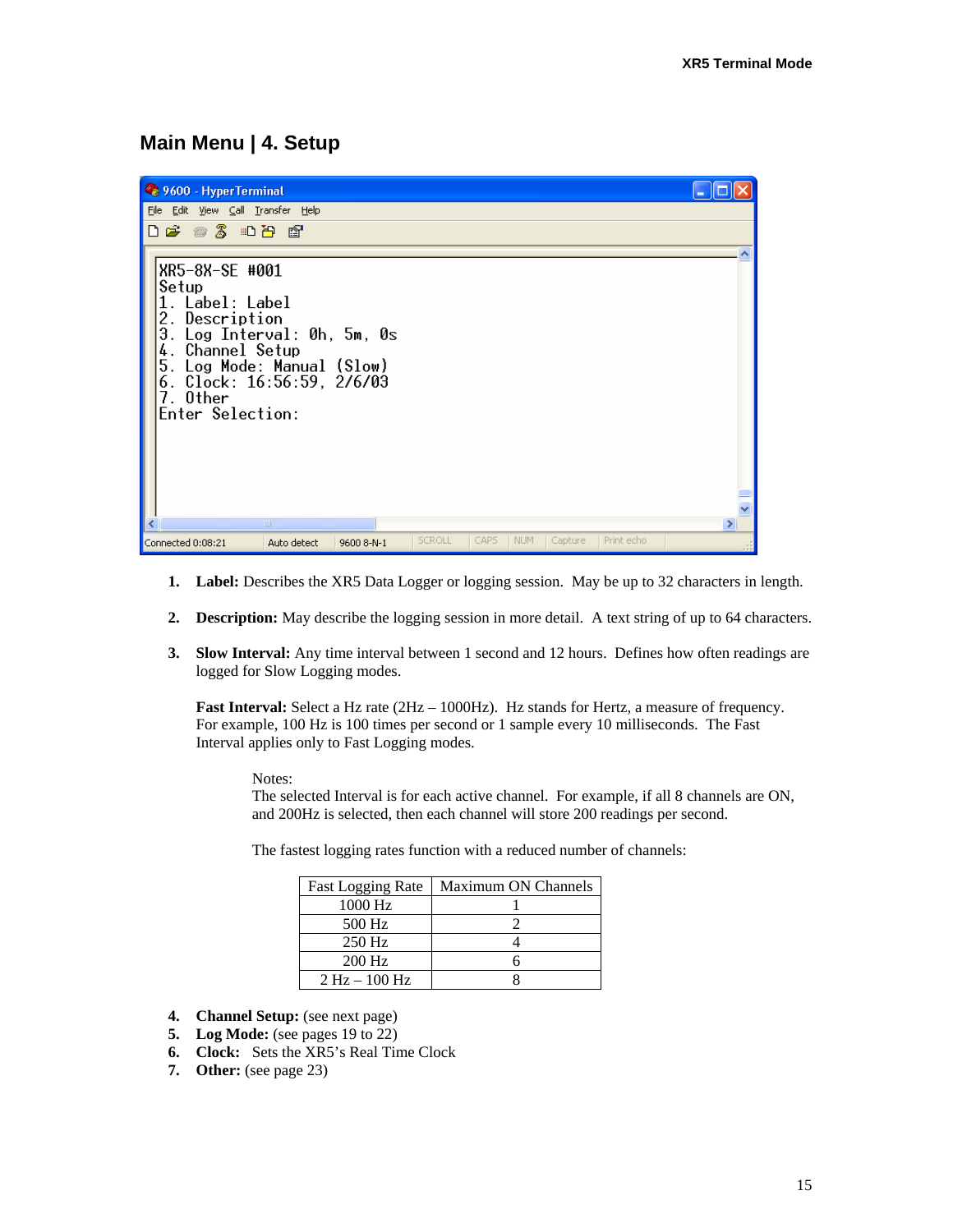### **Main Menu | 4. Setup**



- **1. Label:** Describes the XR5 Data Logger or logging session. May be up to 32 characters in length.
- **2. Description:** May describe the logging session in more detail. A text string of up to 64 characters.
- **3. Slow Interval:** Any time interval between 1 second and 12 hours. Defines how often readings are logged for Slow Logging modes.

**Fast Interval:** Select a Hz rate (2Hz – 1000Hz). Hz stands for Hertz, a measure of frequency. For example, 100 Hz is 100 times per second or 1 sample every 10 milliseconds. The Fast Interval applies only to Fast Logging modes.

Notes:

The selected Interval is for each active channel. For example, if all 8 channels are ON, and 200Hz is selected, then each channel will store 200 readings per second.

The fastest logging rates function with a reduced number of channels:

| <b>Fast Logging Rate</b> | Maximum ON Channels |
|--------------------------|---------------------|
| 1000 Hz                  |                     |
| 500 Hz                   |                     |
| 250 Hz                   |                     |
| 200 Hz                   |                     |
| $2 Hz - 100 Hz$          |                     |

- **4. Channel Setup:** (see next page)
- **5. Log Mode:** (see pages 19 to 22)
- **6. Clock:** Sets the XR5's Real Time Clock
- **7. Other:** (see page 23)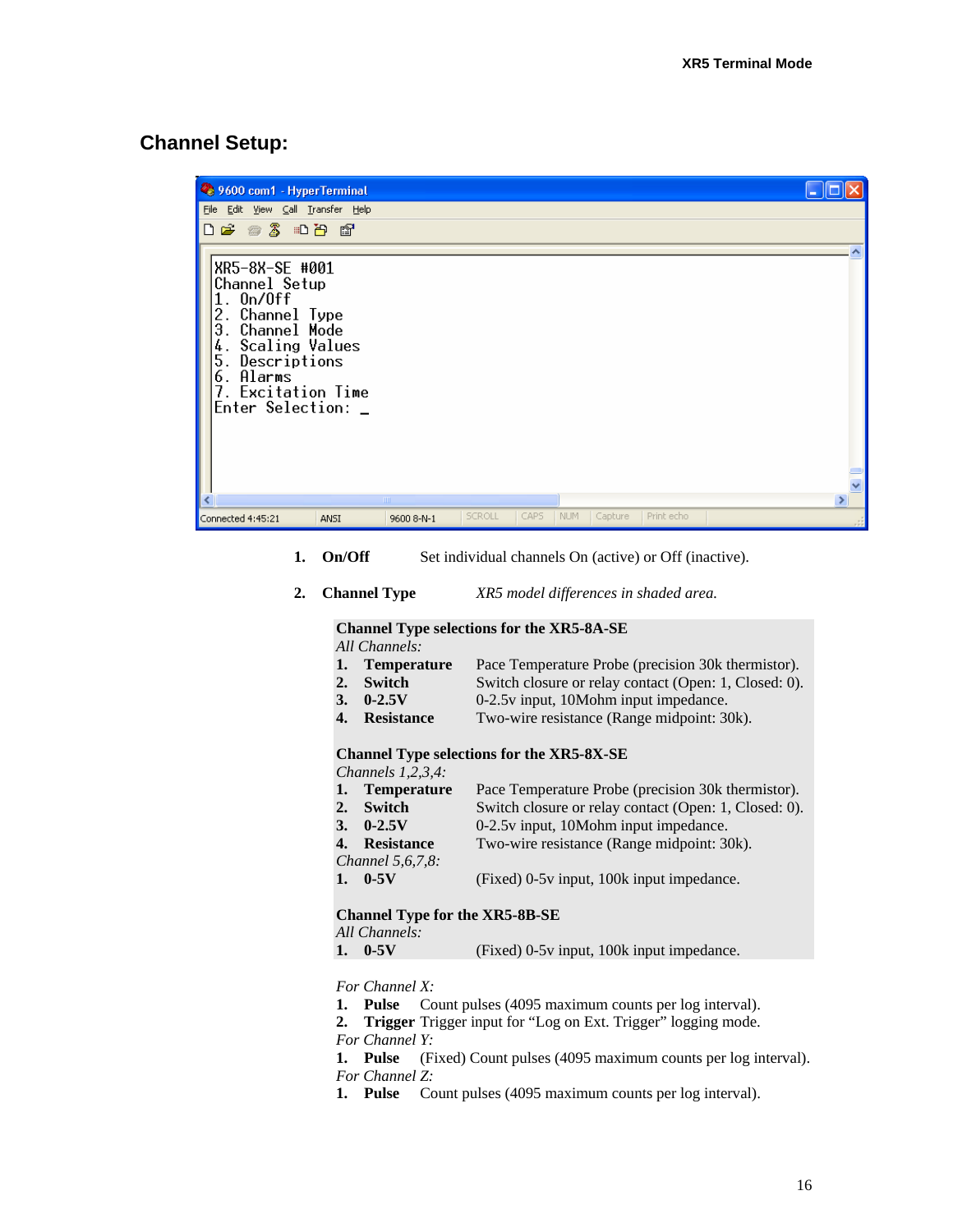### **Channel Setup:**

| 9600 com1 - HyperTerminal                                                                                                                                                                |            |               |      |            |         |            |  |
|------------------------------------------------------------------------------------------------------------------------------------------------------------------------------------------|------------|---------------|------|------------|---------|------------|--|
| Edit View Call Transfer Help<br><b>Eile</b>                                                                                                                                              |            |               |      |            |         |            |  |
| <b>DE #3 DB #</b>                                                                                                                                                                        |            |               |      |            |         |            |  |
| XR5-8X-SE #001<br>Channel Setup<br>$1.$ On/Off<br>2. Channel Type<br>3. Channel Mode<br>4. Scaling Values<br>5.<br>Descriptions<br>6. Alarms<br>7. Excitation Time<br>Enter Selection: _ |            |               |      |            |         |            |  |
|                                                                                                                                                                                          | <b>TIT</b> |               |      |            |         |            |  |
| Connected 4:45:21<br>ANSI                                                                                                                                                                | 9600 8-N-1 | <b>SCROLL</b> | CAPS | <b>NUM</b> | Capture | Print echo |  |

- **1. On/Off** Set individual channels On (active) or Off (inactive).
- **2. Channel Type** *XR5 model differences in shaded area.*

**Channel Type selections for the XR5-8A-SE**

*All Channels:* 

- **1. Temperature** Pace Temperature Probe (precision 30k thermistor).
- **2.** Switch Switch closure or relay contact (Open: 1, Closed: 0).
- **3. 0-2.5V** 0-2.5v input, 10Mohm input impedance.
- **4. Resistance** Two-wire resistance (Range midpoint: 30k).

#### **Channel Type selections for the XR5-8X-SE**

*Channels 1,2,3,4:*

- **1. Temperature** Pace Temperature Probe (precision 30k thermistor).
- **2. Switch Switch closure or relay contact (Open: 1, Closed: 0).**
- **3. 0-2.5V** 0-2.5v input, 10Mohm input impedance.
- **4. Resistance** Two-wire resistance (Range midpoint: 30k). *Channel 5,6,7,8:*
- **1. 0-5V** (Fixed) 0-5v input, 100k input impedance.

#### **Channel Type for the XR5-8B-SE**

*All Channels:* 

| 1. 0.5V |  | (Fixed) 0-5y input, 100k input impedance. |
|---------|--|-------------------------------------------|
|         |  |                                           |

*For Channel X:*

- **1. Pulse** Count pulses (4095 maximum counts per log interval).
- **2. Trigger** Trigger input for "Log on Ext. Trigger" logging mode.

*For Channel Y:*

**1. Pulse** (Fixed) Count pulses (4095 maximum counts per log interval).

*For Channel Z:*

**1. Pulse** Count pulses (4095 maximum counts per log interval).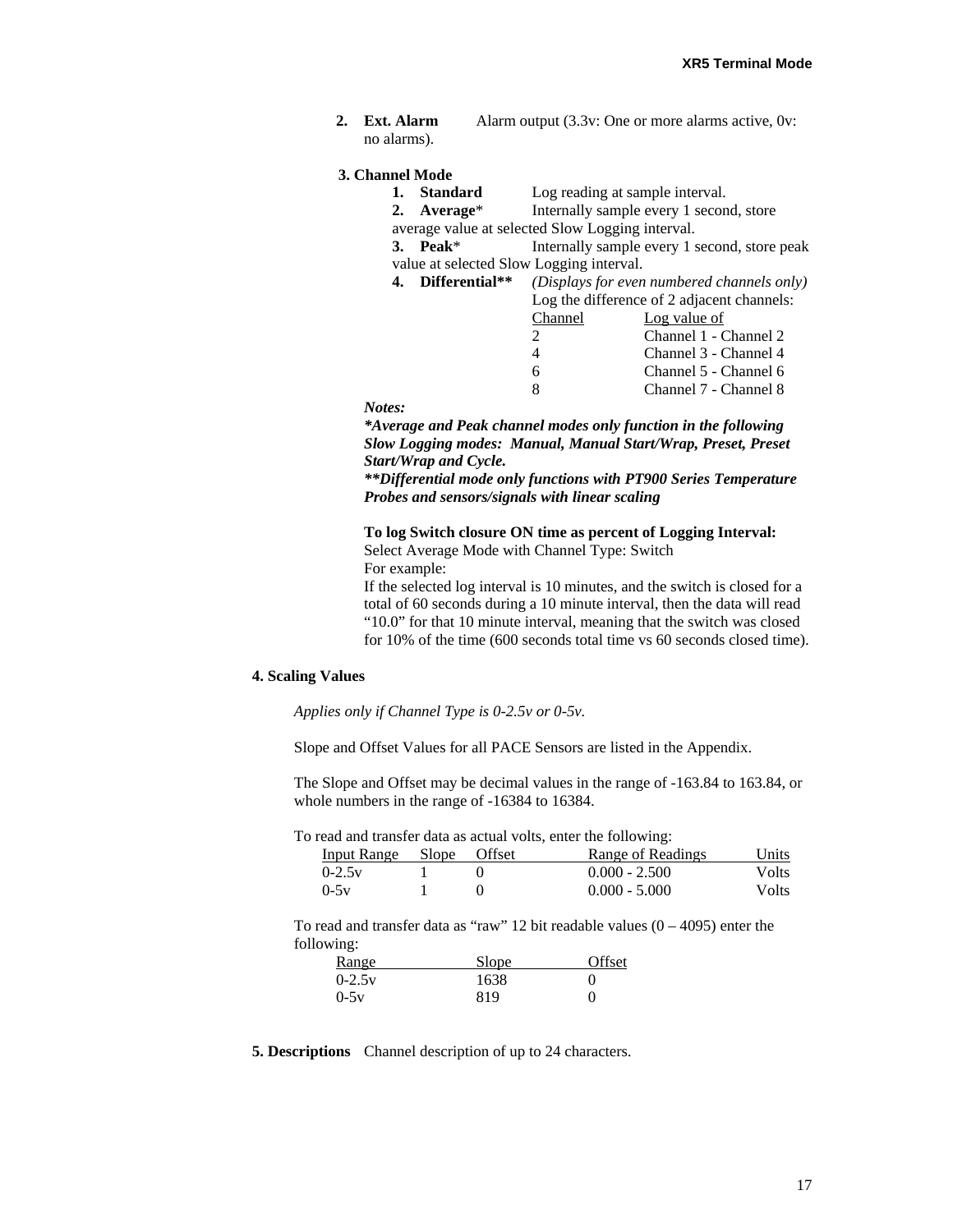**2. Ext. Alarm Alarm output (3.3v: One or more alarms active, 0v:** no alarms).

#### **3. Channel Mode**

| 1. | Standard          | Log reading at sample interval.                  |
|----|-------------------|--------------------------------------------------|
|    | 2. Average*       | Internally sample every 1 second, store          |
|    |                   | average value at selected Slow Logging interval. |
|    | 3. Peak $*$       | Internally sample every 1 second, store peak     |
|    |                   | value at selected Slow Logging interval.         |
|    | 4. Differential** | (Displays for even numbered channels only)       |
|    |                   | Log the difference of 2 adjacent channels:       |
|    |                   | $Channel$ $Inequal$                              |

| Channel                     | Log value of          |
|-----------------------------|-----------------------|
| $\mathcal{D}_{\mathcal{L}}$ | Channel 1 - Channel 2 |
| $\overline{4}$              | Channel 3 - Channel 4 |
| 6                           | Channel 5 - Channel 6 |
| 8                           | Channel 7 - Channel 8 |

*Notes:* 

*\*Average and Peak channel modes only function in the following Slow Logging modes: Manual, Manual Start/Wrap, Preset, Preset Start/Wrap and Cycle.* 

*\*\*Differential mode only functions with PT900 Series Temperature Probes and sensors/signals with linear scaling* 

**To log Switch closure ON time as percent of Logging Interval:** Select Average Mode with Channel Type: Switch For example:

If the selected log interval is 10 minutes, and the switch is closed for a total of 60 seconds during a 10 minute interval, then the data will read "10.0" for that 10 minute interval, meaning that the switch was closed for 10% of the time (600 seconds total time vs 60 seconds closed time).

#### **4. Scaling Values**

*Applies only if Channel Type is 0-2.5v or 0-5v.* 

Slope and Offset Values for all PACE Sensors are listed in the Appendix.

The Slope and Offset may be decimal values in the range of -163.84 to 163.84, or whole numbers in the range of -16384 to 16384.

To read and transfer data as actual volts, enter the following:

| Input Range Slope Offset |  | Range of Readings | Units |
|--------------------------|--|-------------------|-------|
| $0 - 2.5v$               |  | $0.000 - 2.500$   | Volts |
| $0 - 5v$                 |  | $0.000 - 5.000$   | Volts |

To read and transfer data as "raw" 12 bit readable values  $(0 - 4095)$  enter the following:

| <u>Range</u> | Slope | Offset |
|--------------|-------|--------|
| $0-2.5v$     | 1638  |        |
| $0-5v$       | 819   | 0      |

**<sup>5.</sup> Descriptions** Channel description of up to 24 characters.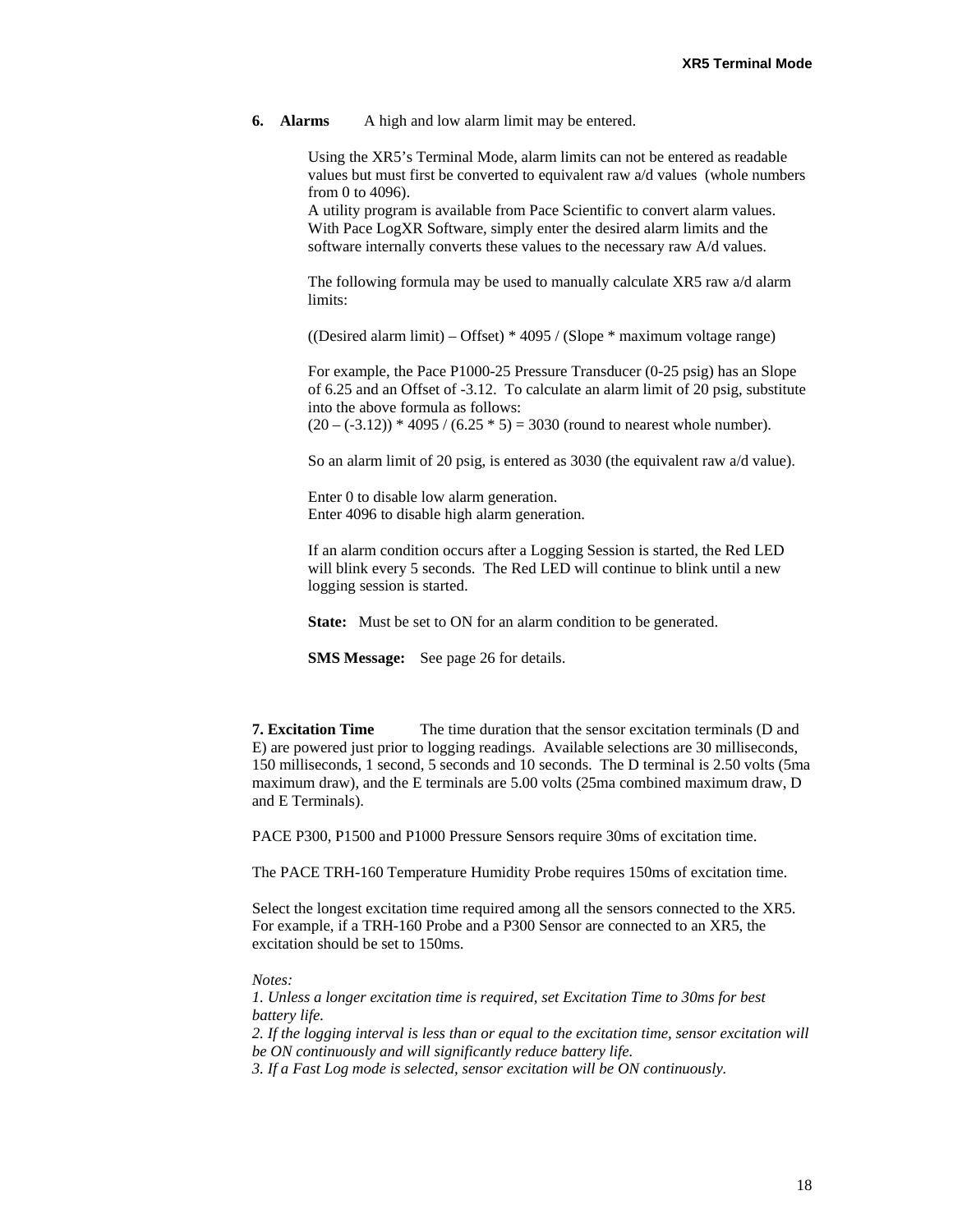**6. Alarms** A high and low alarm limit may be entered.

Using the XR5's Terminal Mode, alarm limits can not be entered as readable values but must first be converted to equivalent raw a/d values (whole numbers from 0 to 4096).

A utility program is available from Pace Scientific to convert alarm values. With Pace LogXR Software, simply enter the desired alarm limits and the software internally converts these values to the necessary raw A/d values.

The following formula may be used to manually calculate XR5 raw a/d alarm limits:

((Desired alarm limit) – Offset)  $*$  4095 / (Slope  $*$  maximum voltage range)

For example, the Pace P1000-25 Pressure Transducer (0-25 psig) has an Slope of 6.25 and an Offset of -3.12. To calculate an alarm limit of 20 psig, substitute into the above formula as follows:  $(20 - (-3.12))$  \* 4095 /  $(6.25 * 5) = 3030$  (round to nearest whole number).

So an alarm limit of 20 psig, is entered as 3030 (the equivalent raw a/d value).

Enter 0 to disable low alarm generation. Enter 4096 to disable high alarm generation.

If an alarm condition occurs after a Logging Session is started, the Red LED will blink every 5 seconds. The Red LED will continue to blink until a new logging session is started.

**State:** Must be set to ON for an alarm condition to be generated.

**SMS Message:** See page 26 for details.

**7. Excitation Time** The time duration that the sensor excitation terminals (D and E) are powered just prior to logging readings. Available selections are 30 milliseconds, 150 milliseconds, 1 second, 5 seconds and 10 seconds. The D terminal is 2.50 volts (5ma maximum draw), and the E terminals are 5.00 volts (25ma combined maximum draw, D and E Terminals).

PACE P300, P1500 and P1000 Pressure Sensors require 30ms of excitation time.

The PACE TRH-160 Temperature Humidity Probe requires 150ms of excitation time.

Select the longest excitation time required among all the sensors connected to the XR5. For example, if a TRH-160 Probe and a P300 Sensor are connected to an XR5, the excitation should be set to 150ms.

#### *Notes:*

*1. Unless a longer excitation time is required, set Excitation Time to 30ms for best battery life.* 

*2. If the logging interval is less than or equal to the excitation time, sensor excitation will be ON continuously and will significantly reduce battery life.* 

*3. If a Fast Log mode is selected, sensor excitation will be ON continuously.*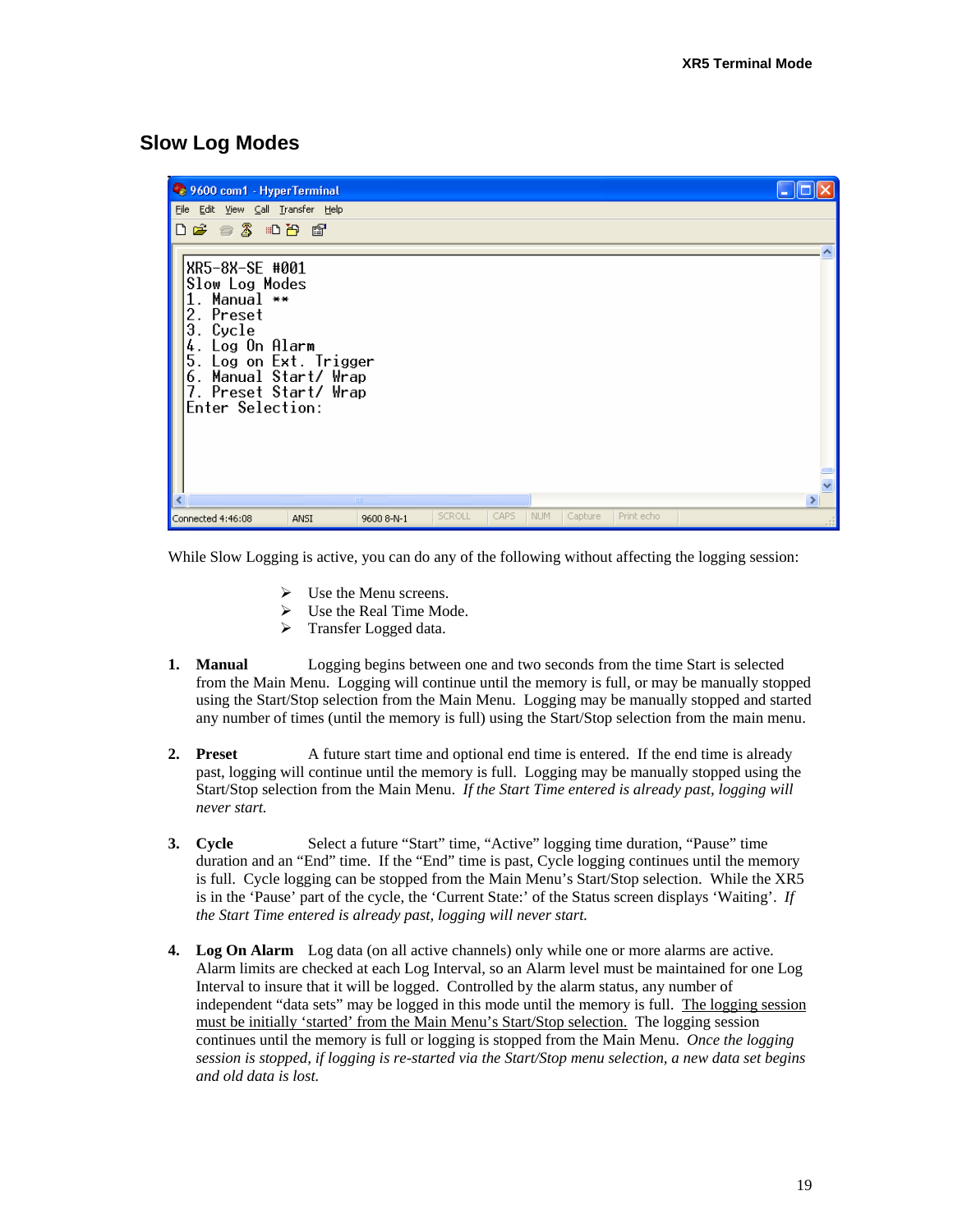# **Slow Log Modes**

| 9600 com1 - HyperTerminal                                                                                                                                                                                 |             |        |      |     |         |            |  |
|-----------------------------------------------------------------------------------------------------------------------------------------------------------------------------------------------------------|-------------|--------|------|-----|---------|------------|--|
| File Edit View Call Transfer Help                                                                                                                                                                         |             |        |      |     |         |            |  |
| $\Box$ $\cong$ $\otimes$ $\otimes$ $\Box$ $\cong$ $\otimes$                                                                                                                                               |             |        |      |     |         |            |  |
|                                                                                                                                                                                                           |             |        |      |     |         |            |  |
| XR5-8X-SE #001<br>Slow Log Modes<br>. Manual $**$<br>2. Preset<br>Э.<br>Cycle<br>Log On Alarm<br>4<br>5. Log on Ext. Trigger<br>6. Manual Start/ Wrap<br>7. Preset Start/ Wrap<br><b>Enter Selection:</b> |             |        |      |     |         |            |  |
|                                                                                                                                                                                                           | <b>TITE</b> |        |      |     |         |            |  |
| Connected 4:46:08<br>ANSI                                                                                                                                                                                 | 9600 8-N-1  | SCROLL | CAPS | NUM | Capture | Print echo |  |

While Slow Logging is active, you can do any of the following without affecting the logging session:

- $\triangleright$  Use the Menu screens.
- $\triangleright$  Use the Real Time Mode.
- $\triangleright$  Transfer Logged data.
- **1. Manual** Logging begins between one and two seconds from the time Start is selected from the Main Menu. Logging will continue until the memory is full, or may be manually stopped using the Start/Stop selection from the Main Menu. Logging may be manually stopped and started any number of times (until the memory is full) using the Start/Stop selection from the main menu.
- **2. Preset** A future start time and optional end time is entered. If the end time is already past, logging will continue until the memory is full. Logging may be manually stopped using the Start/Stop selection from the Main Menu. *If the Start Time entered is already past, logging will never start.*
- **3. Cycle** Select a future "Start" time, "Active" logging time duration, "Pause" time duration and an "End" time. If the "End" time is past, Cycle logging continues until the memory is full. Cycle logging can be stopped from the Main Menu's Start/Stop selection. While the XR5 is in the 'Pause' part of the cycle, the 'Current State:' of the Status screen displays 'Waiting'. *If the Start Time entered is already past, logging will never start.*
- **4. Log On Alarm** Log data (on all active channels) only while one or more alarms are active. Alarm limits are checked at each Log Interval, so an Alarm level must be maintained for one Log Interval to insure that it will be logged. Controlled by the alarm status, any number of independent "data sets" may be logged in this mode until the memory is full. The logging session must be initially 'started' from the Main Menu's Start/Stop selection. The logging session continues until the memory is full or logging is stopped from the Main Menu. *Once the logging session is stopped, if logging is re-started via the Start/Stop menu selection, a new data set begins and old data is lost.*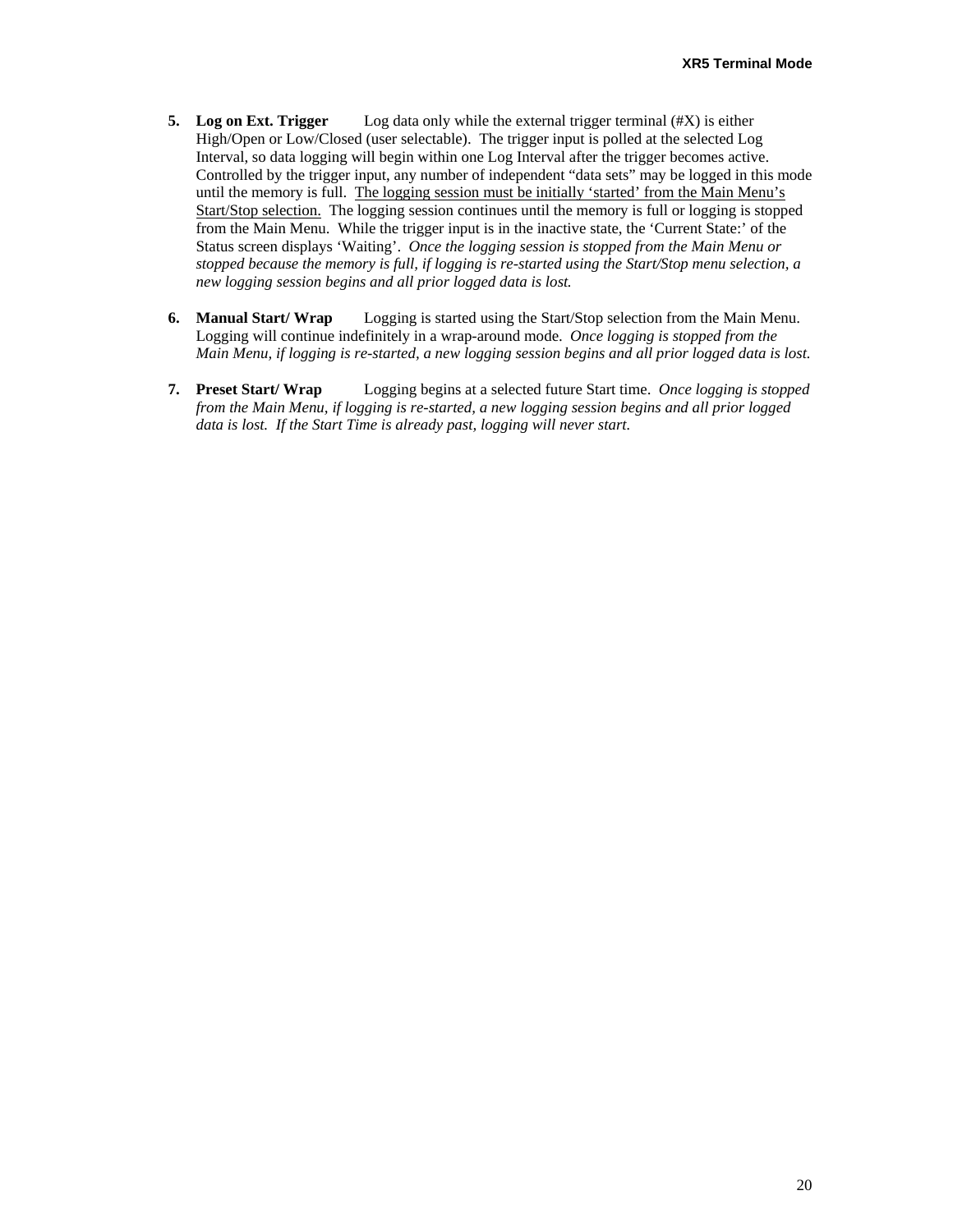- **5. Log on Ext. Trigger** Log data only while the external trigger terminal (#X) is either High/Open or Low/Closed (user selectable). The trigger input is polled at the selected Log Interval, so data logging will begin within one Log Interval after the trigger becomes active. Controlled by the trigger input, any number of independent "data sets" may be logged in this mode until the memory is full. The logging session must be initially 'started' from the Main Menu's Start/Stop selection. The logging session continues until the memory is full or logging is stopped from the Main Menu. While the trigger input is in the inactive state, the 'Current State:' of the Status screen displays 'Waiting'. *Once the logging session is stopped from the Main Menu or stopped because the memory is full, if logging is re-started using the Start/Stop menu selection, a new logging session begins and all prior logged data is lost.*
- **6. Manual Start/ Wrap** Logging is started using the Start/Stop selection from the Main Menu. Logging will continue indefinitely in a wrap-around mode. *Once logging is stopped from the Main Menu, if logging is re-started, a new logging session begins and all prior logged data is lost.*
- **7. Preset Start/ Wrap** Logging begins at a selected future Start time. *Once logging is stopped from the Main Menu, if logging is re-started, a new logging session begins and all prior logged data is lost. If the Start Time is already past, logging will never start.*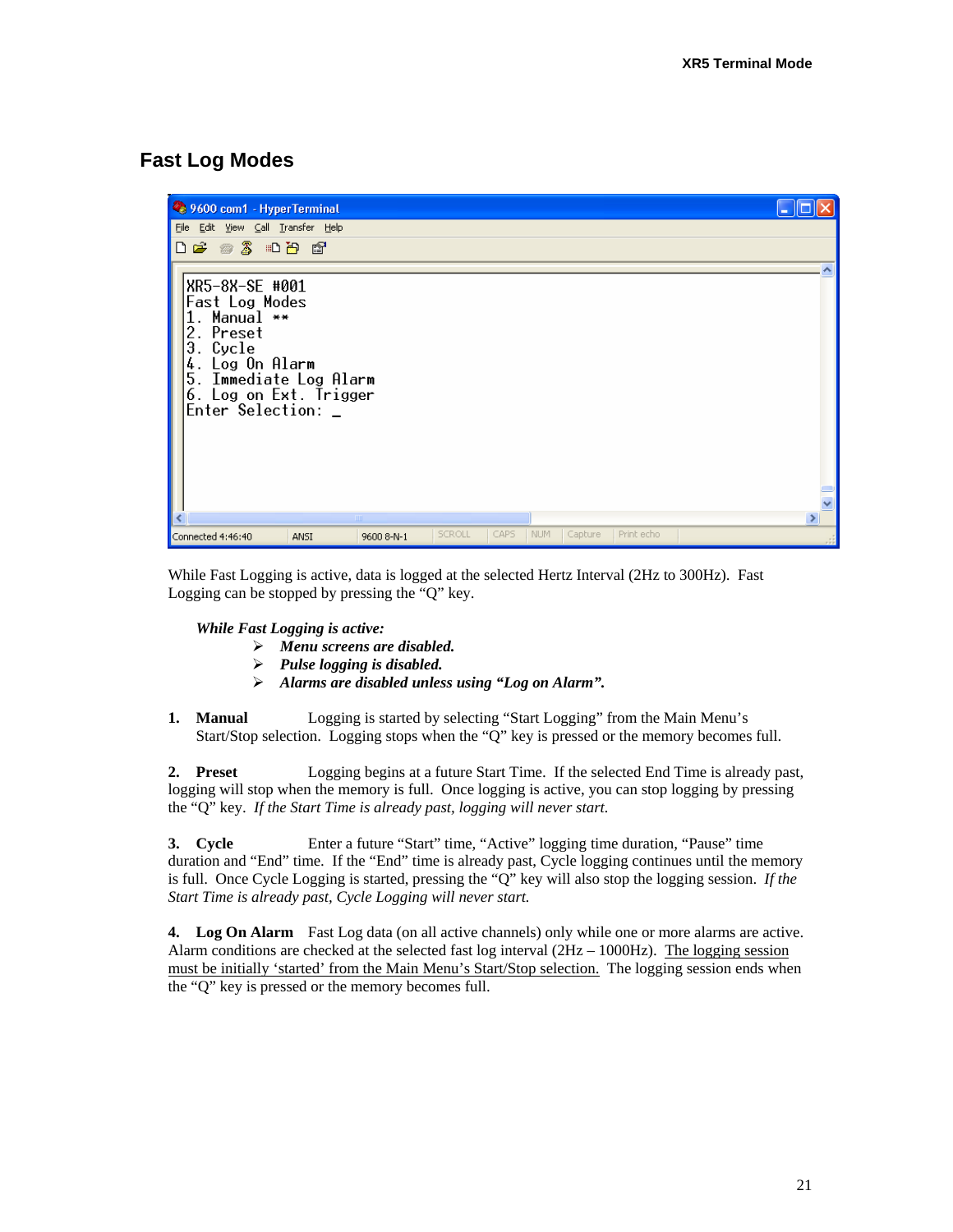# **Fast Log Modes**



While Fast Logging is active, data is logged at the selected Hertz Interval (2Hz to 300Hz). Fast Logging can be stopped by pressing the "Q" key.

*While Fast Logging is active:* 

- ¾ *Menu screens are disabled.*
- ¾ *Pulse logging is disabled.*
- ¾ *Alarms are disabled unless using "Log on Alarm".*
- **1. Manual** Logging is started by selecting "Start Logging" from the Main Menu's Start/Stop selection. Logging stops when the "Q" key is pressed or the memory becomes full.

**2. Preset** Logging begins at a future Start Time. If the selected End Time is already past, logging will stop when the memory is full. Once logging is active, you can stop logging by pressing the "Q" key. *If the Start Time is already past, logging will never start.* 

**3. Cycle** Enter a future "Start" time, "Active" logging time duration, "Pause" time duration and "End" time. If the "End" time is already past, Cycle logging continues until the memory is full. Once Cycle Logging is started, pressing the "Q" key will also stop the logging session. *If the Start Time is already past, Cycle Logging will never start.* 

**4. Log On Alarm** Fast Log data (on all active channels) only while one or more alarms are active. Alarm conditions are checked at the selected fast log interval  $(2Hz - 1000Hz)$ . The logging session must be initially 'started' from the Main Menu's Start/Stop selection. The logging session ends when the "Q" key is pressed or the memory becomes full.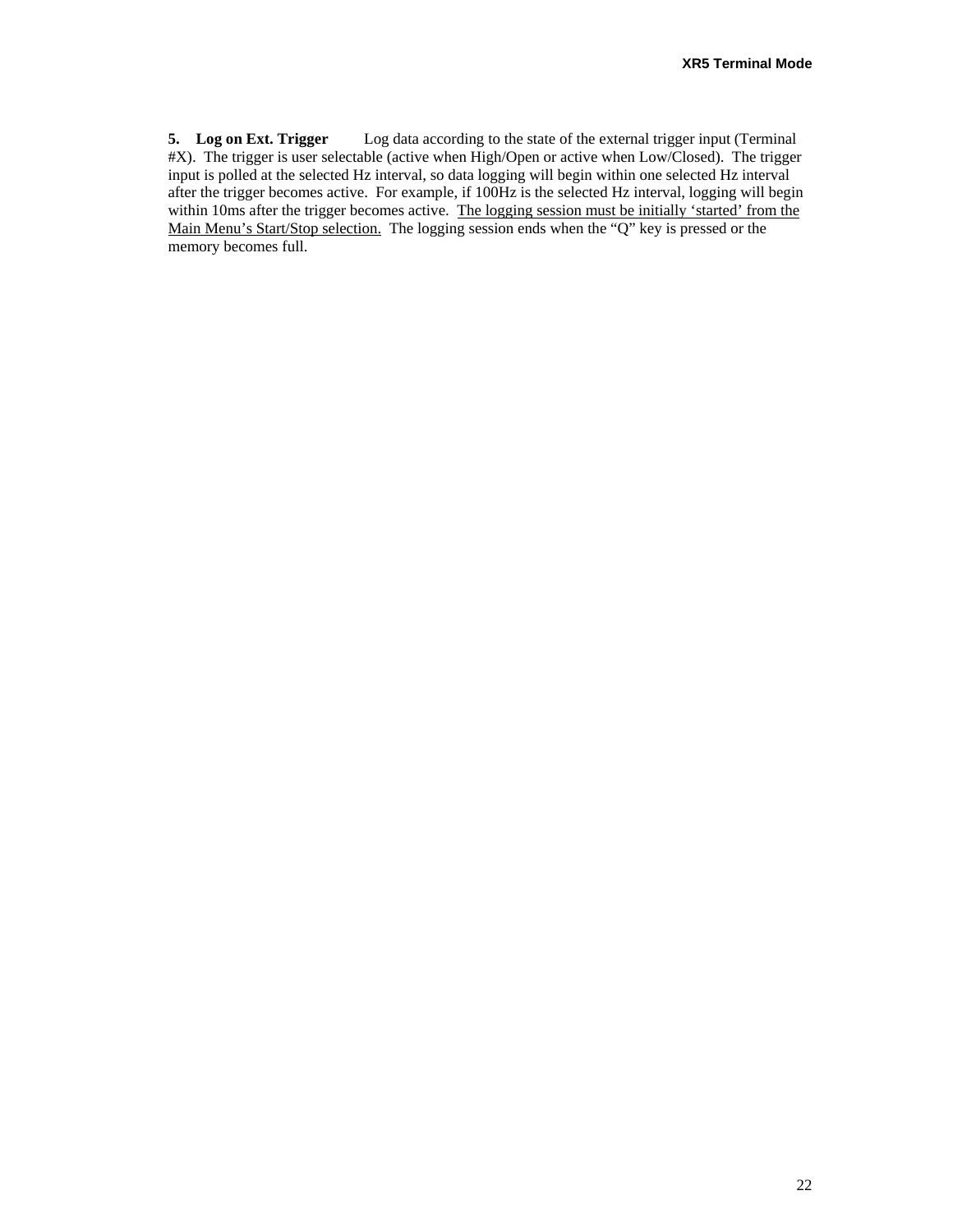**5. Log on Ext. Trigger** Log data according to the state of the external trigger input (Terminal #X). The trigger is user selectable (active when High/Open or active when Low/Closed). The trigger input is polled at the selected Hz interval, so data logging will begin within one selected Hz interval after the trigger becomes active. For example, if 100Hz is the selected Hz interval, logging will begin within 10ms after the trigger becomes active. The logging session must be initially 'started' from the Main Menu's Start/Stop selection. The logging session ends when the "Q" key is pressed or the memory becomes full.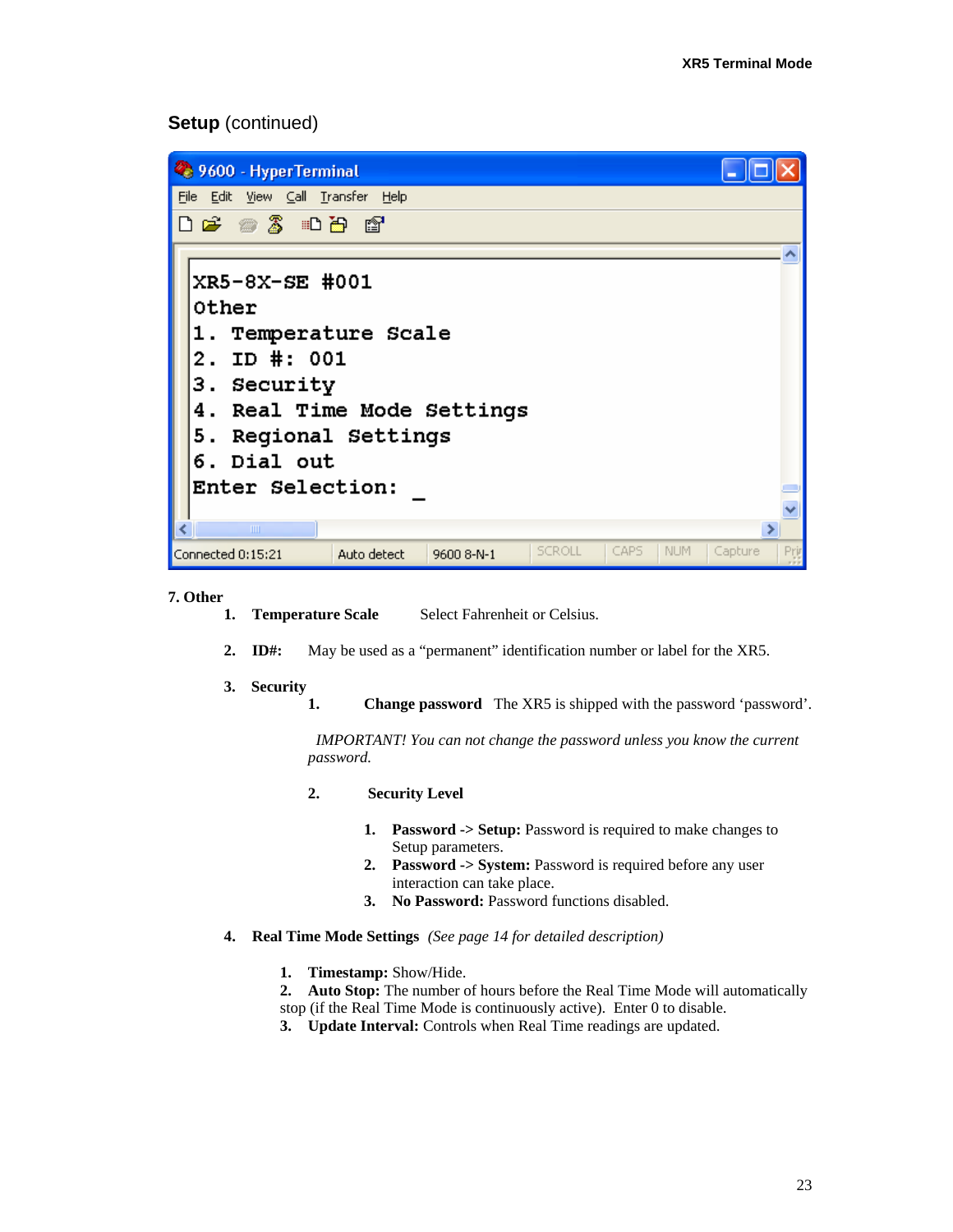#### **Setup** (continued)



```
7. Other
```
- 1. Temperature Scale Select Fahrenheit or Celsius.
- **2. ID#:** May be used as a "permanent" identification number or label for the XR5.
- **3. Security** 
	- **1.** Change password The XR5 is shipped with the password 'password'.

 *IMPORTANT! You can not change the password unless you know the current password.* 

- **2. Security Level** 
	- **1. Password -> Setup:** Password is required to make changes to Setup parameters.
	- **2. Password -> System:** Password is required before any user interaction can take place.
	- **3. No Password:** Password functions disabled.
- **4. Real Time Mode Settings** *(See page 14 for detailed description)*
	- **1. Timestamp:** Show/Hide.
	- **2. Auto Stop:** The number of hours before the Real Time Mode will automatically stop (if the Real Time Mode is continuously active). Enter 0 to disable.
	- **3. Update Interval:** Controls when Real Time readings are updated.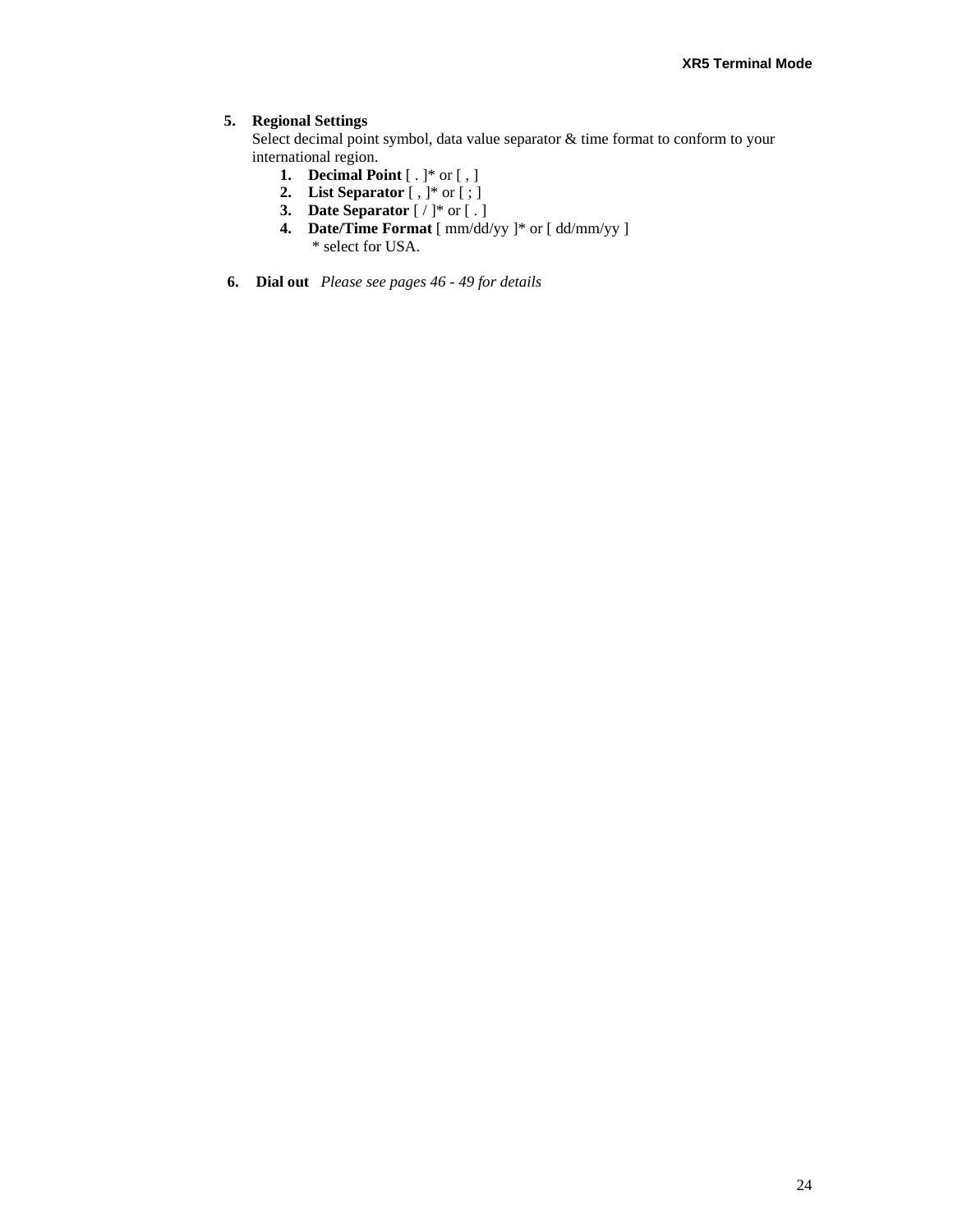#### **5. Regional Settings**

Select decimal point symbol, data value separator & time format to conform to your international region.

- **1. Decimal Point** [ . ]\* or [ , ]
- **2. List Separator** [ , ]\* or [ ; ]
- **3. Date Separator** [ / ]\* or [ . ]
- **4. Date/Time Format** [ mm/dd/yy ]\* or [ dd/mm/yy ] \* select for USA.
- **6. Dial out** *Please see pages 46 49 for details*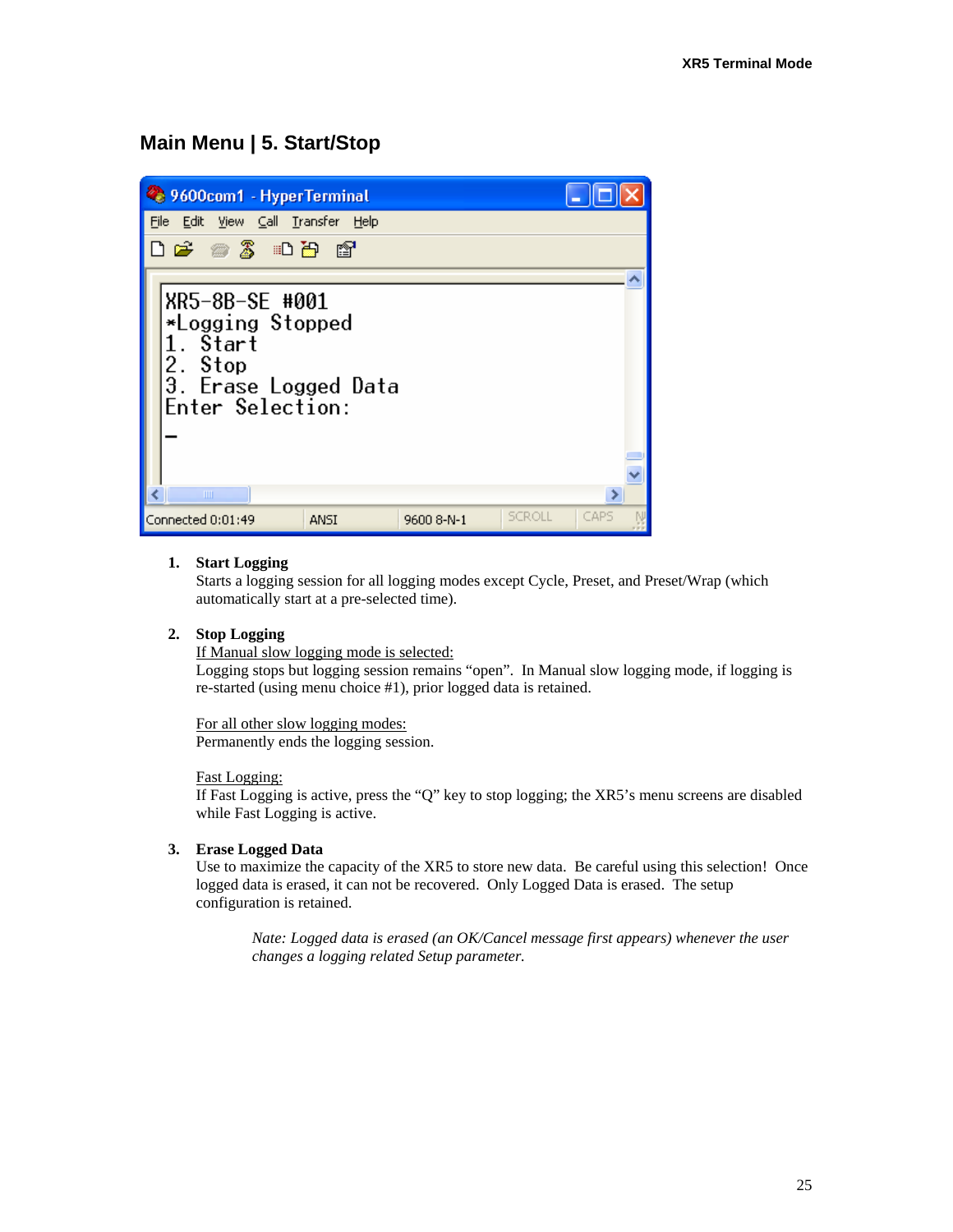# **Main Menu | 5. Start/Stop**



#### **1. Start Logging**

Starts a logging session for all logging modes except Cycle, Preset, and Preset/Wrap (which automatically start at a pre-selected time).

#### **2. Stop Logging**

If Manual slow logging mode is selected:

Logging stops but logging session remains "open". In Manual slow logging mode, if logging is re-started (using menu choice #1), prior logged data is retained.

For all other slow logging modes: Permanently ends the logging session.

#### Fast Logging:

If Fast Logging is active, press the "Q" key to stop logging; the XR5's menu screens are disabled while Fast Logging is active.

#### **3. Erase Logged Data**

Use to maximize the capacity of the XR5 to store new data. Be careful using this selection! Once logged data is erased, it can not be recovered. Only Logged Data is erased. The setup configuration is retained.

*Nate: Logged data is erased (an OK/Cancel message first appears) whenever the user changes a logging related Setup parameter.*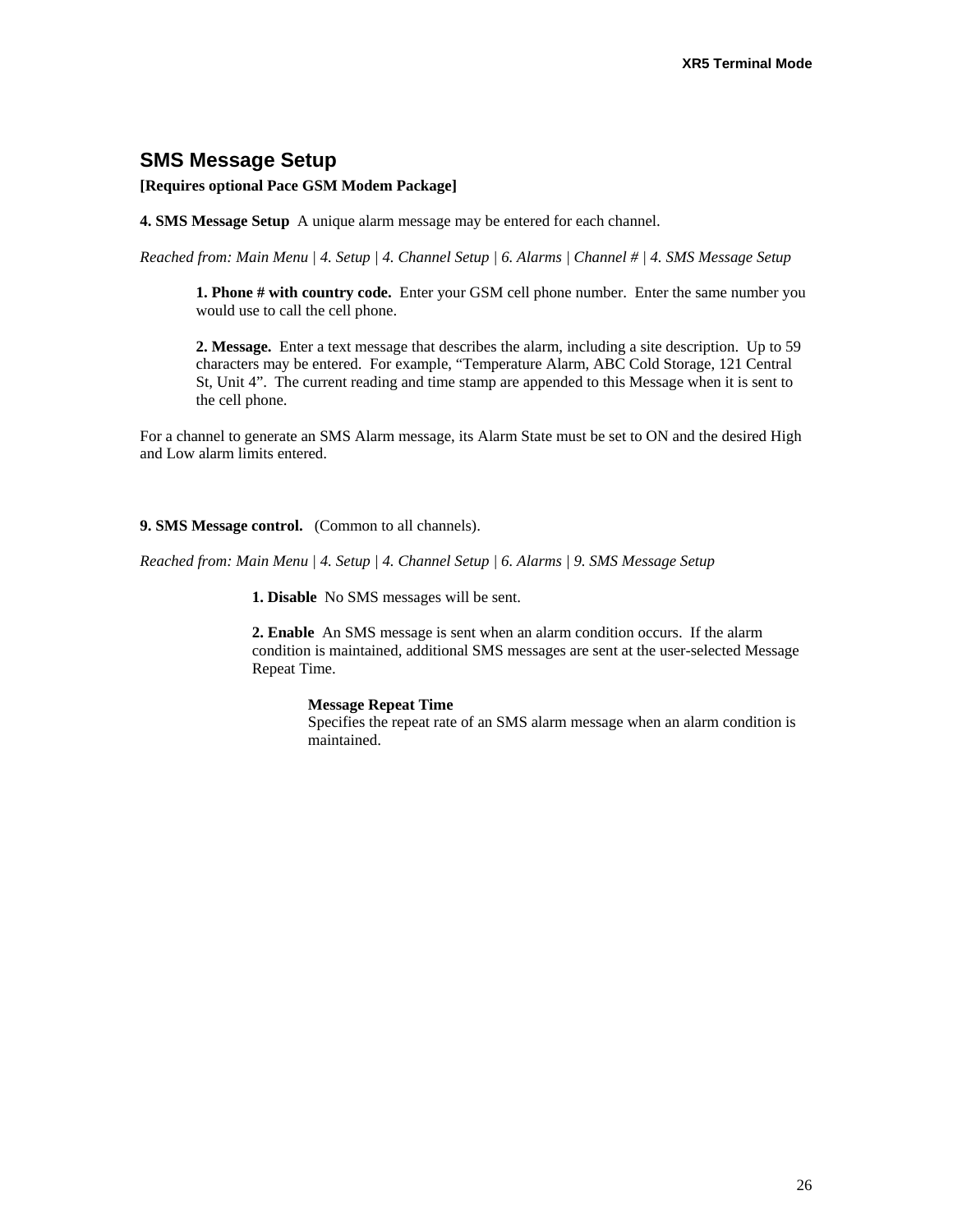# **SMS Message Setup**

**[Requires optional Pace GSM Modem Package]** 

**4. SMS Message Setup** A unique alarm message may be entered for each channel.

*Reached from: Main Menu | 4. Setup | 4. Channel Setup | 6. Alarms | Channel # | 4. SMS Message Setup* 

**1. Phone # with country code.** Enter your GSM cell phone number. Enter the same number you would use to call the cell phone.

**2. Message.** Enter a text message that describes the alarm, including a site description. Up to 59 characters may be entered. For example, "Temperature Alarm, ABC Cold Storage, 121 Central St, Unit 4". The current reading and time stamp are appended to this Message when it is sent to the cell phone.

For a channel to generate an SMS Alarm message, its Alarm State must be set to ON and the desired High and Low alarm limits entered.

#### **9. SMS Message control.** (Common to all channels).

*Reached from: Main Menu | 4. Setup | 4. Channel Setup | 6. Alarms | 9. SMS Message Setup* 

**1. Disable** No SMS messages will be sent.

**2. Enable** An SMS message is sent when an alarm condition occurs. If the alarm condition is maintained, additional SMS messages are sent at the user-selected Message Repeat Time.

#### **Message Repeat Time**

Specifies the repeat rate of an SMS alarm message when an alarm condition is maintained.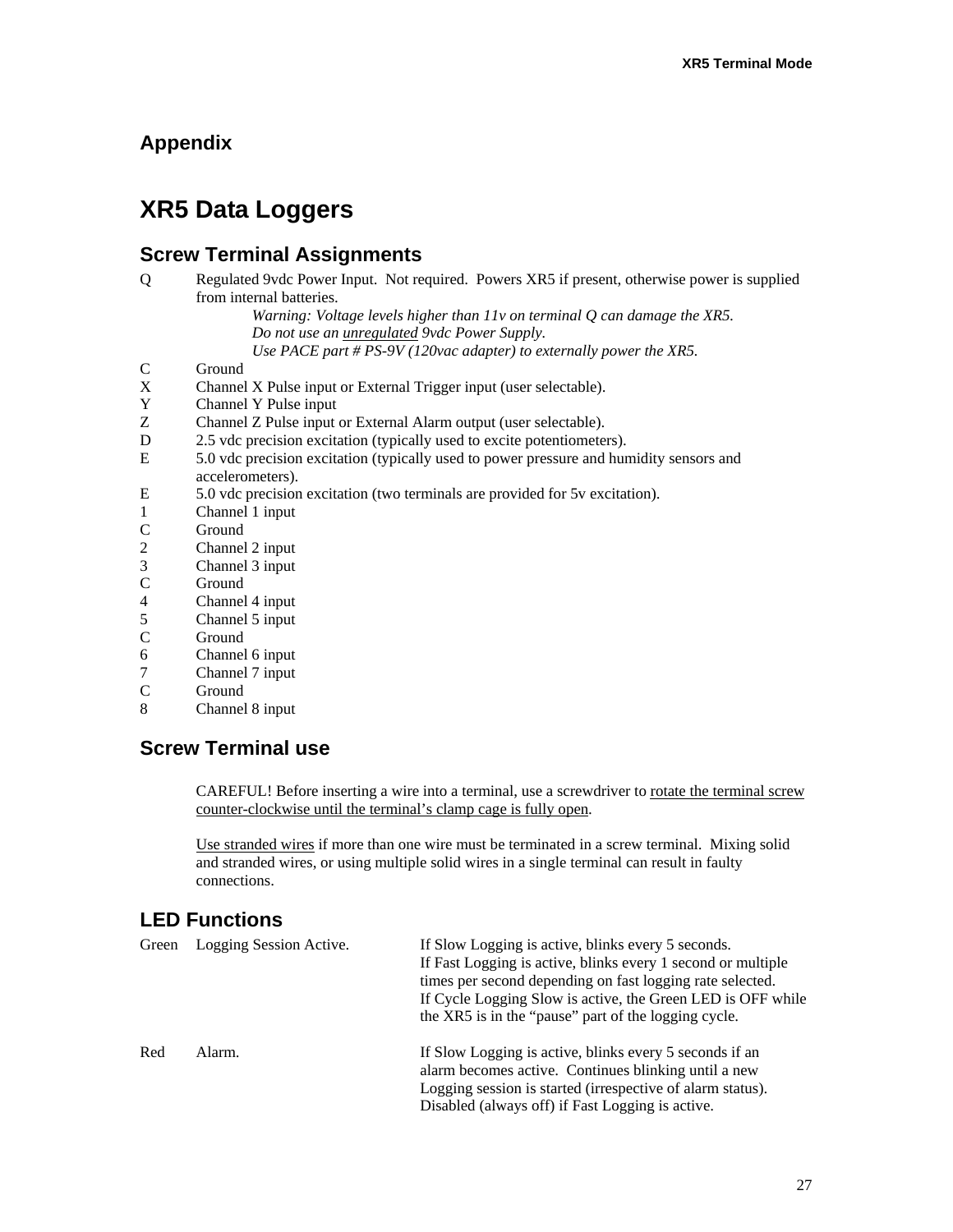# **Appendix**

# **XR5 Data Loggers**

# **Screw Terminal Assignments**

Q Regulated 9vdc Power Input. Not required. Powers XR5 if present, otherwise power is supplied from internal batteries.

*Warning: Voltage levels higher than 11v on terminal Q can damage the XR5. Do not use an unregulated 9vdc Power Supply. Use PACE part # PS-9V (120vac adapter) to externally power the XR5.*

- C Ground<br>X Channe
- X Channel X Pulse input or External Trigger input (user selectable).<br>Y Channel Y Pulse input
- Y Channel Y Pulse input
- Z Channel Z Pulse input or External Alarm output (user selectable).
- D 2.5 vdc precision excitation (typically used to excite potentiometers).
- E 5.0 vdc precision excitation (typically used to power pressure and humidity sensors and accelerometers).
- E 5.0 vdc precision excitation (two terminals are provided for 5v excitation).
- 1 Channel 1 input
- C Ground<br>2 Channel
- 2 Channel 2 input<br>3 Channel 3 input
- 3 Channel 3 input
- C Ground
- 4 Channel 4 input<br>5 Channel 5 input
- 5 Channel 5 input
- C Ground
- 6 Channel 6 input
- 7 Channel 7 input
- C Ground
- 8 Channel 8 input

# **Screw Terminal use**

CAREFUL! Before inserting a wire into a terminal, use a screwdriver to rotate the terminal screw counter-clockwise until the terminal's clamp cage is fully open.

Use stranded wires if more than one wire must be terminated in a screw terminal. Mixing solid and stranded wires, or using multiple solid wires in a single terminal can result in faulty connections.

# **LED Functions**

| Green | Logging Session Active. | If Slow Logging is active, blinks every 5 seconds.<br>If Fast Logging is active, blinks every 1 second or multiple<br>times per second depending on fast logging rate selected.<br>If Cycle Logging Slow is active, the Green LED is OFF while<br>the XR5 is in the "pause" part of the logging cycle. |
|-------|-------------------------|--------------------------------------------------------------------------------------------------------------------------------------------------------------------------------------------------------------------------------------------------------------------------------------------------------|
| Red   | Alarm.                  | If Slow Logging is active, blinks every 5 seconds if an<br>alarm becomes active. Continues blinking until a new<br>Logging session is started (irrespective of alarm status).<br>Disabled (always off) if Fast Logging is active.                                                                      |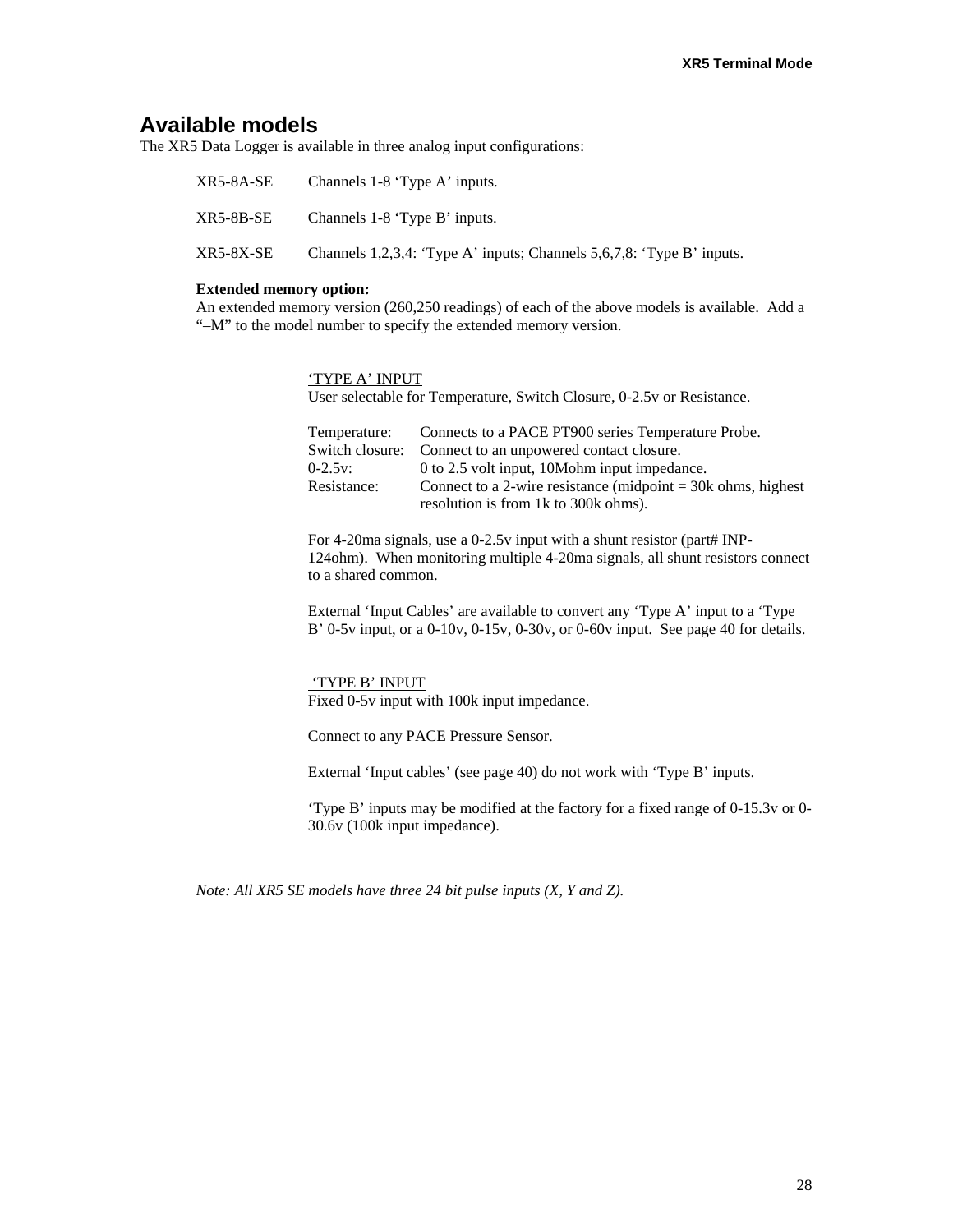### **Available models**

The XR5 Data Logger is available in three analog input configurations:

| XR5-8A-SE | Channels 1-8 'Type A' inputs.                                         |
|-----------|-----------------------------------------------------------------------|
| XR5-8B-SE | Channels 1-8 'Type B' inputs.                                         |
| XR5-8X-SE | Channels 1,2,3,4: 'Type A' inputs; Channels 5,6,7,8: 'Type B' inputs. |

#### **Extended memory option:**

An extended memory version (260,250 readings) of each of the above models is available. Add a "–M" to the model number to specify the extended memory version.

'TYPE A' INPUT

User selectable for Temperature, Switch Closure, 0-2.5v or Resistance.

| Temperature: | Connects to a PACE PT900 series Temperature Probe.             |
|--------------|----------------------------------------------------------------|
|              | Switch closure: Connect to an unpowered contact closure.       |
| $0-2.5v$ :   | 0 to 2.5 volt input, 10Mohm input impedance.                   |
| Resistance:  | Connect to a 2-wire resistance (midpoint $=$ 30k ohms, highest |
|              | resolution is from 1k to 300k ohms).                           |

For 4-20ma signals, use a 0-2.5v input with a shunt resistor (part# INP-124ohm). When monitoring multiple 4-20ma signals, all shunt resistors connect to a shared common.

External 'Input Cables' are available to convert any 'Type A' input to a 'Type B' 0-5v input, or a 0-10v, 0-15v, 0-30v, or 0-60v input. See page 40 for details.

#### 'TYPE B' INPUT

Fixed 0-5v input with 100k input impedance.

Connect to any PACE Pressure Sensor.

External 'Input cables' (see page 40) do not work with 'Type B' inputs.

'Type B' inputs may be modified at the factory for a fixed range of 0-15.3v or 0- 30.6v (100k input impedance).

*Note: All XR5 SE models have three 24 bit pulse inputs (X, Y and Z).*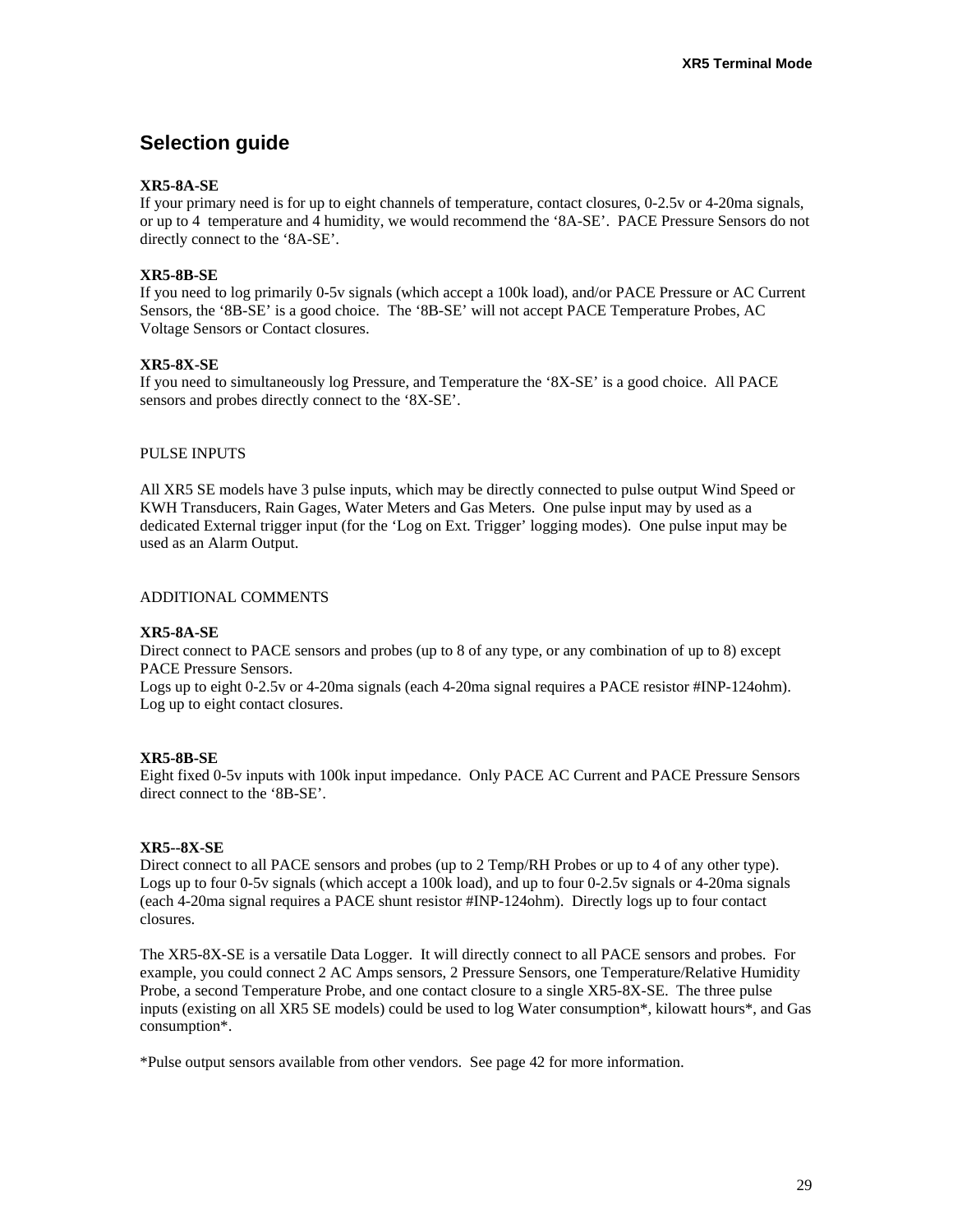# **Selection guide**

#### **XR5-8A-SE**

If your primary need is for up to eight channels of temperature, contact closures, 0-2.5v or 4-20ma signals, or up to 4 temperature and 4 humidity, we would recommend the '8A-SE'. PACE Pressure Sensors do not directly connect to the '8A-SE'.

#### **XR5-8B-SE**

If you need to log primarily 0-5v signals (which accept a 100k load), and/or PACE Pressure or AC Current Sensors, the '8B-SE' is a good choice. The '8B-SE' will not accept PACE Temperature Probes, AC Voltage Sensors or Contact closures.

#### **XR5-8X-SE**

If you need to simultaneously log Pressure, and Temperature the '8X-SE' is a good choice. All PACE sensors and probes directly connect to the '8X-SE'.

#### PULSE INPUTS

All XR5 SE models have 3 pulse inputs, which may be directly connected to pulse output Wind Speed or KWH Transducers, Rain Gages, Water Meters and Gas Meters. One pulse input may by used as a dedicated External trigger input (for the 'Log on Ext. Trigger' logging modes). One pulse input may be used as an Alarm Output.

#### ADDITIONAL COMMENTS

#### **XR5-8A-SE**

Direct connect to PACE sensors and probes (up to 8 of any type, or any combination of up to 8) except PACE Pressure Sensors.

Logs up to eight 0-2.5v or 4-20ma signals (each 4-20ma signal requires a PACE resistor #INP-124ohm). Log up to eight contact closures.

#### **XR5-8B-SE**

Eight fixed 0-5v inputs with 100k input impedance. Only PACE AC Current and PACE Pressure Sensors direct connect to the '8B-SE'.

#### **XR5--8X-SE**

Direct connect to all PACE sensors and probes (up to 2 Temp/RH Probes or up to 4 of any other type). Logs up to four 0-5v signals (which accept a 100k load), and up to four 0-2.5v signals or 4-20ma signals (each 4-20ma signal requires a PACE shunt resistor #INP-124ohm). Directly logs up to four contact closures.

The XR5-8X-SE is a versatile Data Logger. It will directly connect to all PACE sensors and probes. For example, you could connect 2 AC Amps sensors, 2 Pressure Sensors, one Temperature/Relative Humidity Probe, a second Temperature Probe, and one contact closure to a single XR5-8X-SE. The three pulse inputs (existing on all XR5 SE models) could be used to log Water consumption\*, kilowatt hours\*, and Gas consumption\*.

\*Pulse output sensors available from other vendors. See page 42 for more information.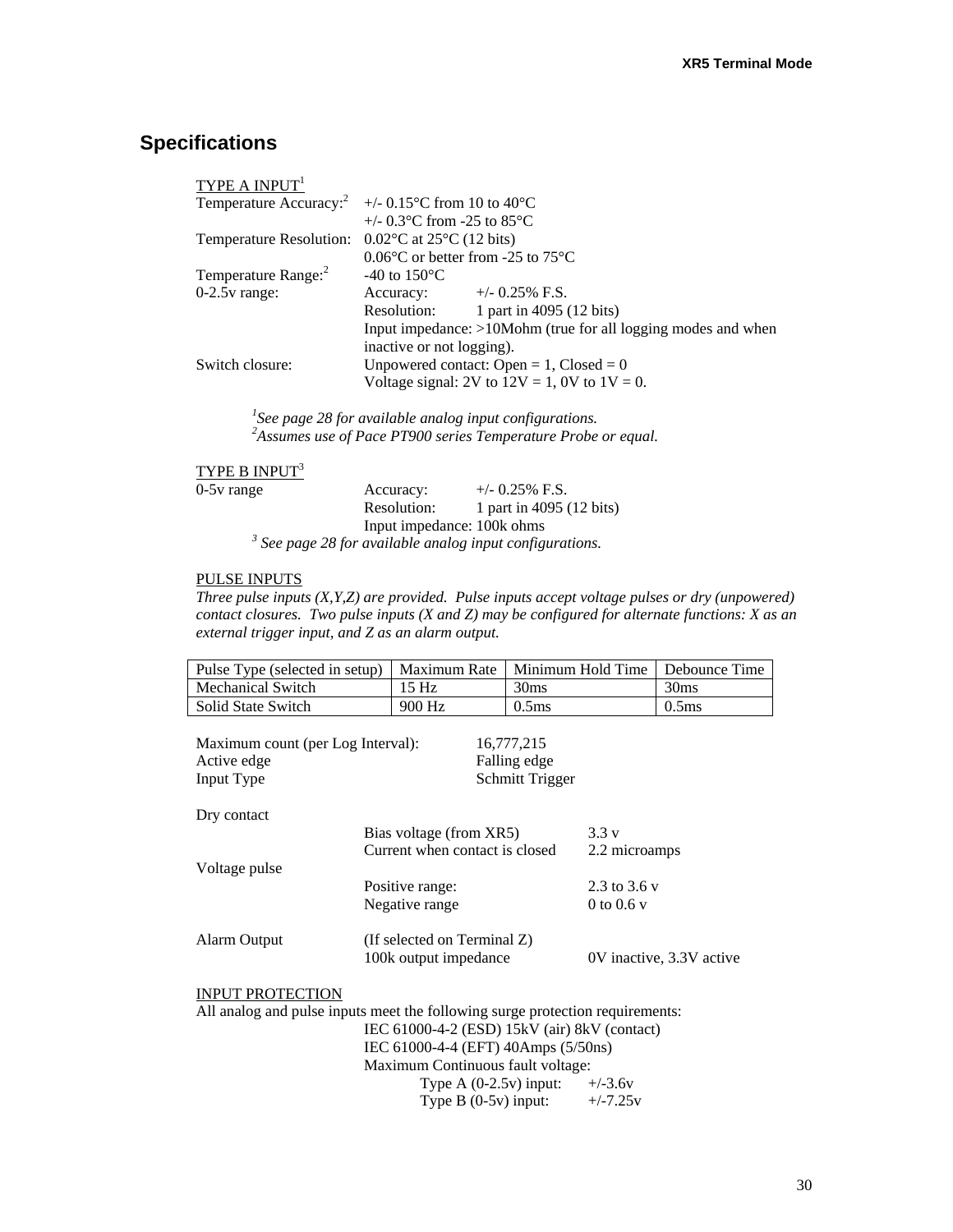# **Specifications**

| TYPE A $INPUT1$                                                         |                                                                  |
|-------------------------------------------------------------------------|------------------------------------------------------------------|
|                                                                         | Temperature Accuracy: $\frac{2}{1}$ +/- 0.15 °C from 10 to 40 °C |
|                                                                         | +/- $0.3^{\circ}$ C from -25 to 85 $^{\circ}$ C                  |
| Temperature Resolution: $0.02^{\circ}$ C at 25 <sup>°</sup> C (12 bits) |                                                                  |
|                                                                         | $0.06^{\circ}$ C or better from -25 to 75 $^{\circ}$ C           |
| Temperature Range: <sup>2</sup>                                         | -40 to $150^{\circ}$ C                                           |
| $0-2.5v$ range:                                                         | $+/-$ 0.25% F.S.<br>Accuracy:                                    |
|                                                                         | 1 part in 4095 (12 bits)<br>Resolution:                          |
|                                                                         | Input impedance: $>10$ Mohm (true for all logging modes and when |
|                                                                         | inactive or not logging).                                        |
| Switch closure:                                                         | Unpowered contact: Open = $1$ , Closed = 0                       |
|                                                                         | Voltage signal: 2V to $12V = 1$ , 0V to $1V = 0$ .               |

*1 See page 28 for available analog input configurations. 2 Assumes use of Pace PT900 series Temperature Probe or equal.* 

# $\overline{\text{TYPE B } \text{INPUT}^3}$

| $0-5v$ range | Accuracy:                  | $+/-$ 0.25% F.S.                                               |
|--------------|----------------------------|----------------------------------------------------------------|
|              | Resolution:                | 1 part in 4095 (12 bits)                                       |
|              | Input impedance: 100k ohms |                                                                |
|              |                            | $\beta$ See page 28 for available analog input configurations. |

#### PULSE INPUTS

*Three pulse inputs (X,Y,Z) are provided. Pulse inputs accept voltage pulses or dry (unpowered) contact closures. Two pulse inputs (X and Z) may be configured for alternate functions: X as an external trigger input, and Z as an alarm output.* 

| Pulse Type (selected in setup)                                                                           | Maximum Rate                                 |                                               | Minimum Hold Time | Debounce Time            |
|----------------------------------------------------------------------------------------------------------|----------------------------------------------|-----------------------------------------------|-------------------|--------------------------|
| <b>Mechanical Switch</b>                                                                                 | 15 Hz                                        | 30ms                                          |                   | 30 <sub>ms</sub>         |
| Solid State Switch                                                                                       | 900 Hz                                       | 0.5 <sub>ms</sub>                             |                   | 0.5 <sub>ms</sub>        |
| Maximum count (per Log Interval):<br>Active edge<br>Input Type                                           |                                              | 16,777,215<br>Falling edge<br>Schmitt Trigger |                   |                          |
| Dry contact                                                                                              |                                              |                                               |                   |                          |
|                                                                                                          | Bias voltage (from XR5)                      |                                               | 3.3v              |                          |
|                                                                                                          | Current when contact is closed               |                                               | 2.2 microamps     |                          |
| Voltage pulse                                                                                            |                                              |                                               |                   |                          |
|                                                                                                          | Positive range:                              |                                               | 2.3 to 3.6 v      |                          |
|                                                                                                          | Negative range                               |                                               | 0 to 0.6 $v$      |                          |
| Alarm Output                                                                                             | (If selected on Terminal Z)                  |                                               |                   |                          |
|                                                                                                          | 100k output impedance                        |                                               |                   | 0V inactive, 3.3V active |
| <b>INPUT PROTECTION</b><br>All analog and pulse inputs meet the following surge protection requirements: |                                              |                                               |                   |                          |
|                                                                                                          | IEC 61000-4-2 (ESD) 15kV (air) 8kV (contact) |                                               |                   |                          |
|                                                                                                          | IEC 61000-4-4 (EFT) 40Amps (5/50ns)          |                                               |                   |                          |
|                                                                                                          | Maximum Continuous fault voltage:            |                                               |                   |                          |
|                                                                                                          | Type $A(0-2.5v)$ input:                      |                                               | $+/-3.6v$         |                          |
|                                                                                                          | Type $B(0-5v)$ input:                        |                                               | $+/-7.25v$        |                          |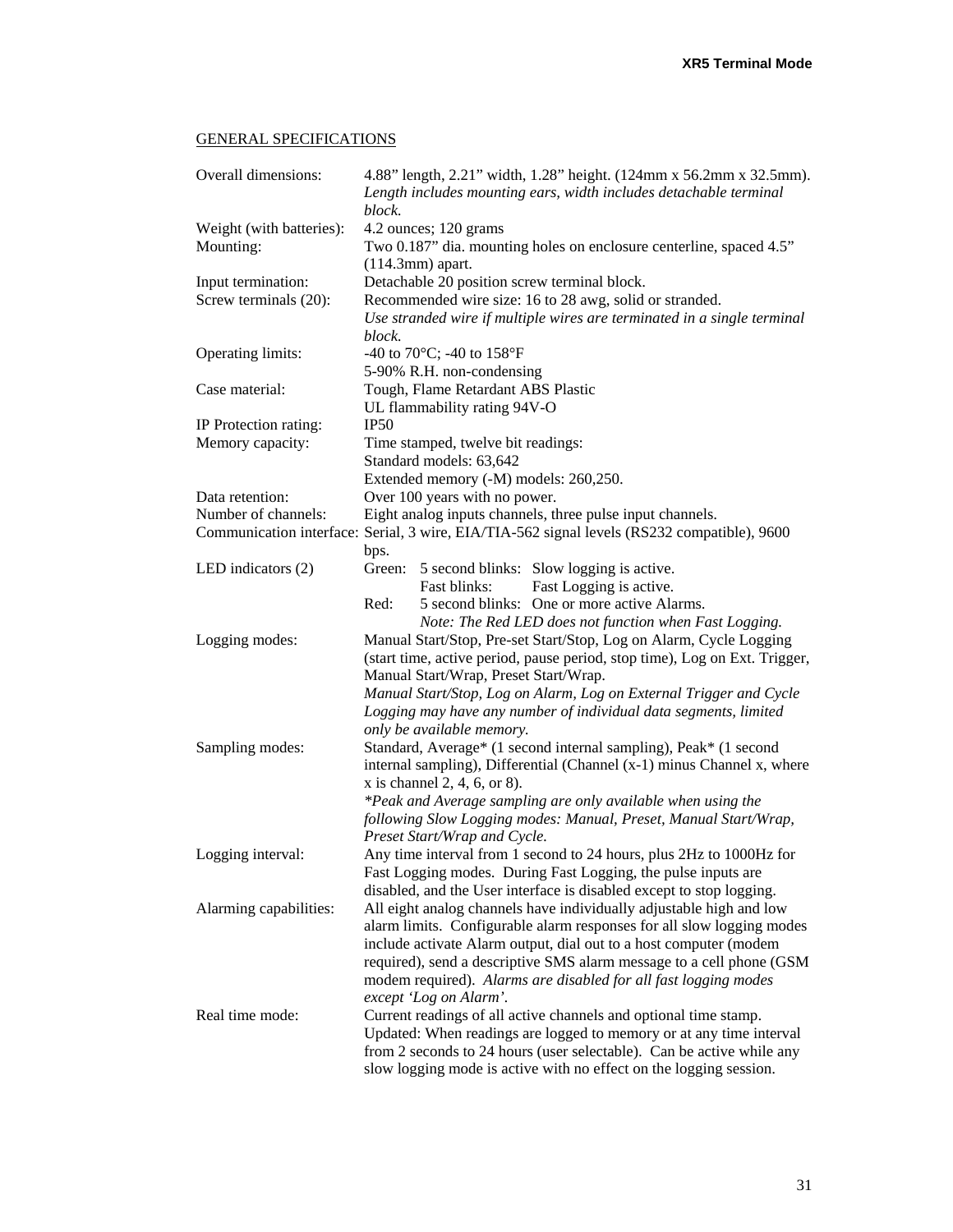### GENERAL SPECIFICATIONS

| Overall dimensions:                         | 4.88" length, 2.21" width, 1.28" height. (124mm x 56.2mm x 32.5mm).<br>Length includes mounting ears, width includes detachable terminal<br>block. |
|---------------------------------------------|----------------------------------------------------------------------------------------------------------------------------------------------------|
| Weight (with batteries):                    | 4.2 ounces; 120 grams                                                                                                                              |
| Mounting:                                   |                                                                                                                                                    |
|                                             | Two 0.187" dia. mounting holes on enclosure centerline, spaced 4.5"<br>$(114.3mm)$ apart.                                                          |
|                                             |                                                                                                                                                    |
| Input termination:<br>Screw terminals (20): | Detachable 20 position screw terminal block.<br>Recommended wire size: 16 to 28 awg, solid or stranded.                                            |
|                                             | Use stranded wire if multiple wires are terminated in a single terminal                                                                            |
|                                             | block.                                                                                                                                             |
| Operating limits:                           | -40 to 70 $^{\circ}$ C; -40 to 158 $^{\circ}$ F                                                                                                    |
|                                             | 5-90% R.H. non-condensing                                                                                                                          |
| Case material:                              | Tough, Flame Retardant ABS Plastic                                                                                                                 |
|                                             | UL flammability rating 94V-O                                                                                                                       |
| IP Protection rating:                       | IP <sub>50</sub>                                                                                                                                   |
| Memory capacity:                            | Time stamped, twelve bit readings:                                                                                                                 |
|                                             | Standard models: 63,642                                                                                                                            |
|                                             | Extended memory (-M) models: 260,250.                                                                                                              |
| Data retention:                             | Over 100 years with no power.                                                                                                                      |
| Number of channels:                         | Eight analog inputs channels, three pulse input channels.                                                                                          |
|                                             | Communication interface: Serial, 3 wire, EIA/TIA-562 signal levels (RS232 compatible), 9600                                                        |
|                                             | bps.                                                                                                                                               |
| LED indicators $(2)$                        | Green: 5 second blinks: Slow logging is active.                                                                                                    |
|                                             | Fast Logging is active.<br>Fast blinks:                                                                                                            |
|                                             | Red:<br>5 second blinks: One or more active Alarms.                                                                                                |
|                                             | Note: The Red LED does not function when Fast Logging.                                                                                             |
| Logging modes:                              | Manual Start/Stop, Pre-set Start/Stop, Log on Alarm, Cycle Logging                                                                                 |
|                                             | (start time, active period, pause period, stop time), Log on Ext. Trigger,                                                                         |
|                                             | Manual Start/Wrap, Preset Start/Wrap.                                                                                                              |
|                                             | Manual Start/Stop, Log on Alarm, Log on External Trigger and Cycle                                                                                 |
|                                             | Logging may have any number of individual data segments, limited                                                                                   |
|                                             | only be available memory.                                                                                                                          |
| Sampling modes:                             | Standard, Average* (1 second internal sampling), Peak* (1 second                                                                                   |
|                                             | internal sampling), Differential (Channel (x-1) minus Channel x, where                                                                             |
|                                             | x is channel 2, 4, 6, or 8).                                                                                                                       |
|                                             | *Peak and Average sampling are only available when using the                                                                                       |
|                                             | following Slow Logging modes: Manual, Preset, Manual Start/Wrap,                                                                                   |
|                                             | Preset Start/Wrap and Cycle.                                                                                                                       |
| Logging interval:                           | Any time interval from 1 second to 24 hours, plus 2Hz to 1000Hz for                                                                                |
|                                             | Fast Logging modes. During Fast Logging, the pulse inputs are                                                                                      |
|                                             | disabled, and the User interface is disabled except to stop logging.                                                                               |
| Alarming capabilities:                      | All eight analog channels have individually adjustable high and low                                                                                |
|                                             | alarm limits. Configurable alarm responses for all slow logging modes                                                                              |
|                                             | include activate Alarm output, dial out to a host computer (modem                                                                                  |
|                                             | required), send a descriptive SMS alarm message to a cell phone (GSM                                                                               |
|                                             | modem required). Alarms are disabled for all fast logging modes                                                                                    |
|                                             | except 'Log on Alarm'.                                                                                                                             |
| Real time mode:                             | Current readings of all active channels and optional time stamp.                                                                                   |
|                                             | Updated: When readings are logged to memory or at any time interval                                                                                |
|                                             | from 2 seconds to 24 hours (user selectable). Can be active while any                                                                              |
|                                             | slow logging mode is active with no effect on the logging session.                                                                                 |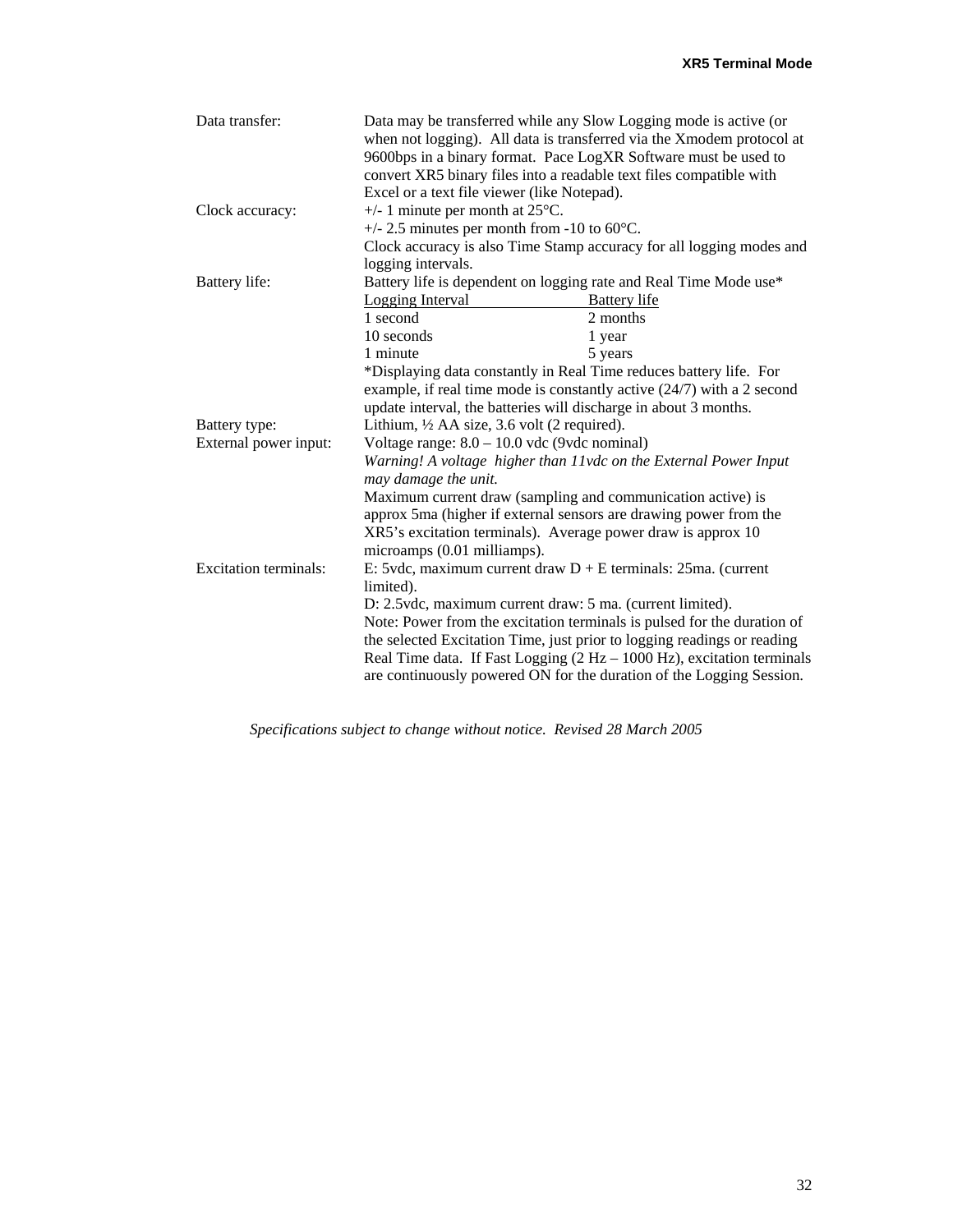| Data transfer:<br>Clock accuracy: | Excel or a text file viewer (like Notepad).<br>$+/- 1$ minute per month at 25 $\degree$ C. | Data may be transferred while any Slow Logging mode is active (or<br>when not logging). All data is transferred via the Xmodem protocol at<br>9600bps in a binary format. Pace LogXR Software must be used to<br>convert XR5 binary files into a readable text files compatible with                                                                                                                                                    |
|-----------------------------------|--------------------------------------------------------------------------------------------|-----------------------------------------------------------------------------------------------------------------------------------------------------------------------------------------------------------------------------------------------------------------------------------------------------------------------------------------------------------------------------------------------------------------------------------------|
|                                   | $+/- 2.5$ minutes per month from -10 to 60 $\degree$ C.                                    | Clock accuracy is also Time Stamp accuracy for all logging modes and                                                                                                                                                                                                                                                                                                                                                                    |
|                                   | logging intervals.                                                                         |                                                                                                                                                                                                                                                                                                                                                                                                                                         |
| Battery life:                     |                                                                                            | Battery life is dependent on logging rate and Real Time Mode use*                                                                                                                                                                                                                                                                                                                                                                       |
|                                   | Logging Interval                                                                           | <b>Battery</b> life                                                                                                                                                                                                                                                                                                                                                                                                                     |
|                                   | 1 second                                                                                   | 2 months                                                                                                                                                                                                                                                                                                                                                                                                                                |
|                                   | 10 seconds                                                                                 | 1 year                                                                                                                                                                                                                                                                                                                                                                                                                                  |
|                                   | 1 minute                                                                                   | 5 years                                                                                                                                                                                                                                                                                                                                                                                                                                 |
|                                   |                                                                                            | *Displaying data constantly in Real Time reduces battery life. For<br>example, if real time mode is constantly active (24/7) with a 2 second<br>update interval, the batteries will discharge in about 3 months.                                                                                                                                                                                                                        |
| Battery type:                     | Lithium, $\frac{1}{2}$ AA size, 3.6 volt (2 required).                                     |                                                                                                                                                                                                                                                                                                                                                                                                                                         |
| External power input:             | Voltage range: $8.0 - 10.0$ vdc (9vdc nominal)                                             |                                                                                                                                                                                                                                                                                                                                                                                                                                         |
|                                   | may damage the unit.                                                                       | Warning! A voltage higher than 11vdc on the External Power Input                                                                                                                                                                                                                                                                                                                                                                        |
|                                   | microamps (0.01 milliamps).                                                                | Maximum current draw (sampling and communication active) is<br>approx 5ma (higher if external sensors are drawing power from the<br>XR5's excitation terminals). Average power draw is approx 10                                                                                                                                                                                                                                        |
| <b>Excitation terminals:</b>      | limited).                                                                                  | E: 5vdc, maximum current draw $D + E$ terminals: 25ma. (current<br>D: 2.5vdc, maximum current draw: 5 ma. (current limited).<br>Note: Power from the excitation terminals is pulsed for the duration of<br>the selected Excitation Time, just prior to logging readings or reading<br>Real Time data. If Fast Logging $(2 Hz - 1000 Hz)$ , excitation terminals<br>are continuously powered ON for the duration of the Logging Session. |

*Specifications subject to change without notice. Revised 28 March 2005*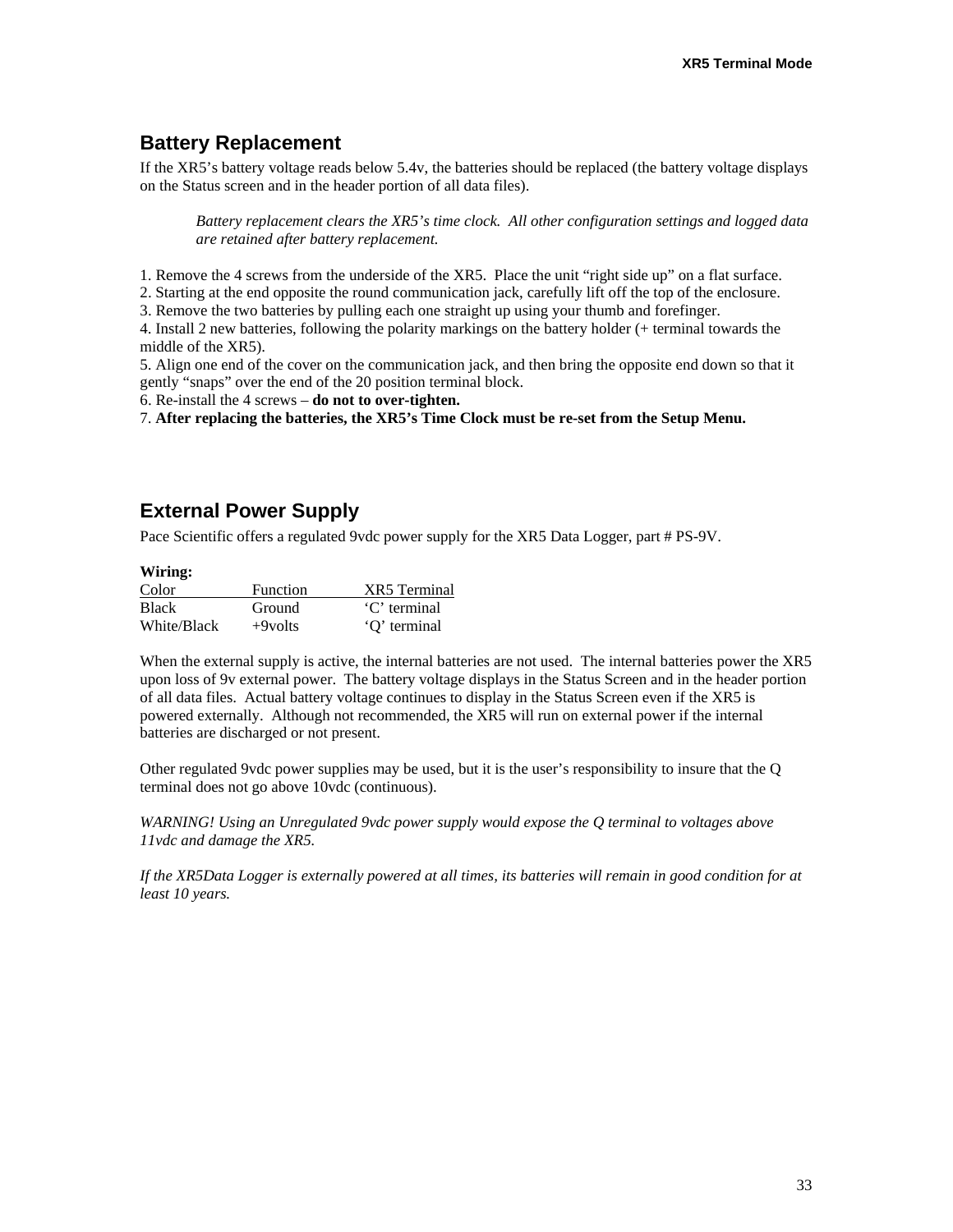# **Battery Replacement**

If the XR5's battery voltage reads below 5.4v, the batteries should be replaced (the battery voltage displays on the Status screen and in the header portion of all data files).

*Battery replacement clears the XR5's time clock. All other configuration settings and logged data are retained after battery replacement.* 

1. Remove the 4 screws from the underside of the XR5. Place the unit "right side up" on a flat surface.

2. Starting at the end opposite the round communication jack, carefully lift off the top of the enclosure.

3. Remove the two batteries by pulling each one straight up using your thumb and forefinger.

4. Install 2 new batteries, following the polarity markings on the battery holder (+ terminal towards the middle of the XR5).

5. Align one end of the cover on the communication jack, and then bring the opposite end down so that it gently "snaps" over the end of the 20 position terminal block.

6. Re-install the 4 screws – **do not to over-tighten.**

7. **After replacing the batteries, the XR5's Time Clock must be re-set from the Setup Menu.**

# **External Power Supply**

Pace Scientific offers a regulated 9vdc power supply for the XR5 Data Logger, part # PS-9V.

| Wiring:      |                 |              |  |  |
|--------------|-----------------|--------------|--|--|
| Color        | <b>Function</b> | XR5 Terminal |  |  |
| <b>Black</b> | Ground          | 'C' terminal |  |  |
| White/Black  | $+9$ volts      | 'O' terminal |  |  |

When the external supply is active, the internal batteries are not used. The internal batteries power the XR5 upon loss of 9v external power. The battery voltage displays in the Status Screen and in the header portion of all data files. Actual battery voltage continues to display in the Status Screen even if the XR5 is powered externally. Although not recommended, the XR5 will run on external power if the internal batteries are discharged or not present.

Other regulated 9vdc power supplies may be used, but it is the user's responsibility to insure that the Q terminal does not go above 10vdc (continuous).

*WARNING! Using an Unregulated 9vdc power supply would expose the Q terminal to voltages above 11vdc and damage the XR5.* 

*If the XR5Data Logger is externally powered at all times, its batteries will remain in good condition for at least 10 years.*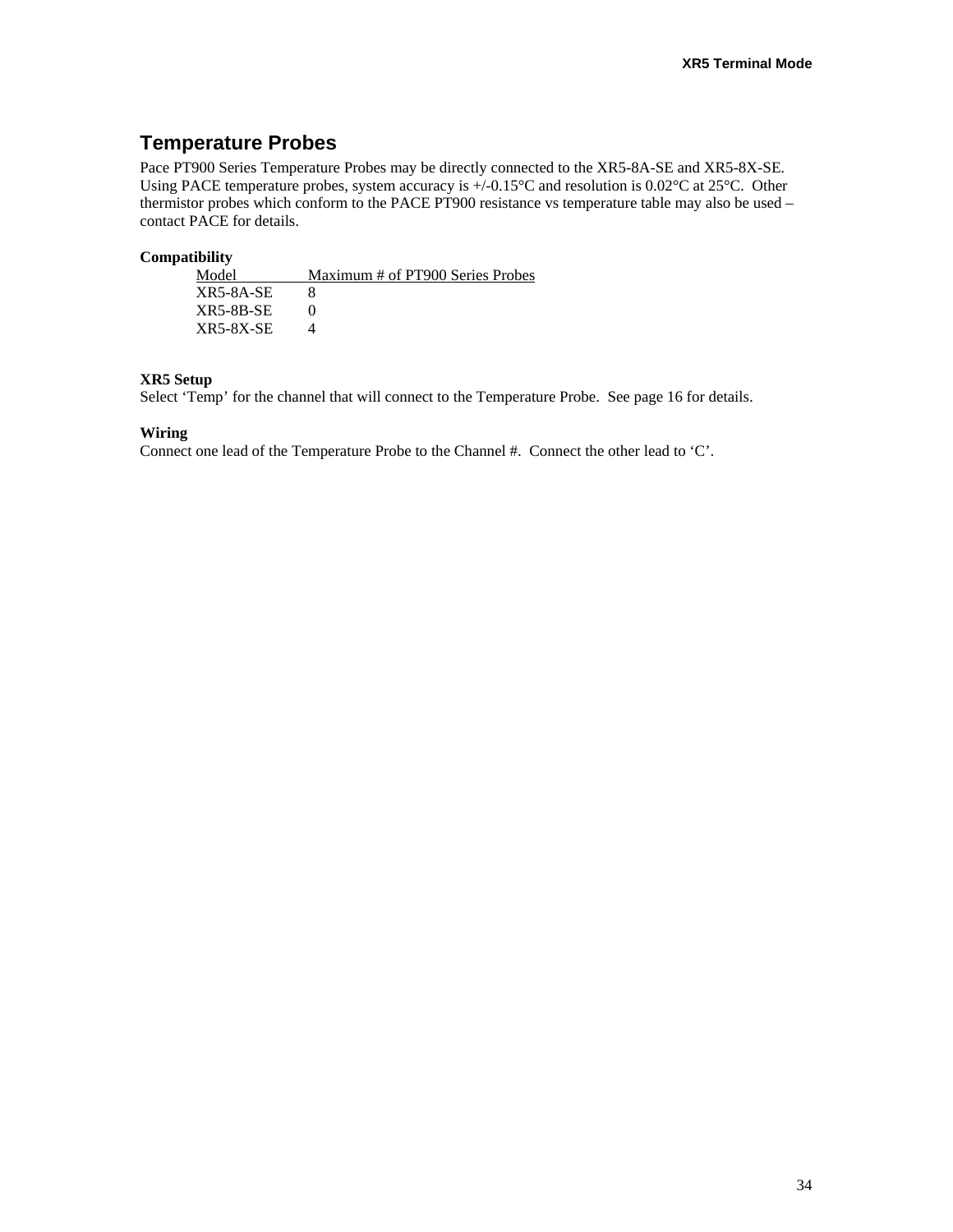# **Temperature Probes**

Pace PT900 Series Temperature Probes may be directly connected to the XR5-8A-SE and XR5-8X-SE. Using PACE temperature probes, system accuracy is  $+/0.15^{\circ}$ C and resolution is 0.02°C at 25°C. Other thermistor probes which conform to the PACE PT900 resistance vs temperature table may also be used – contact PACE for details.

#### **Compatibility**

| Model            | Maximum # of PT900 Series Probes |
|------------------|----------------------------------|
| XR5-8A-SE        |                                  |
| XR5-8B-SE        |                                  |
| <b>XR5-8X-SE</b> |                                  |

#### **XR5 Setup**

Select 'Temp' for the channel that will connect to the Temperature Probe. See page 16 for details.

#### **Wiring**

Connect one lead of the Temperature Probe to the Channel #. Connect the other lead to 'C'.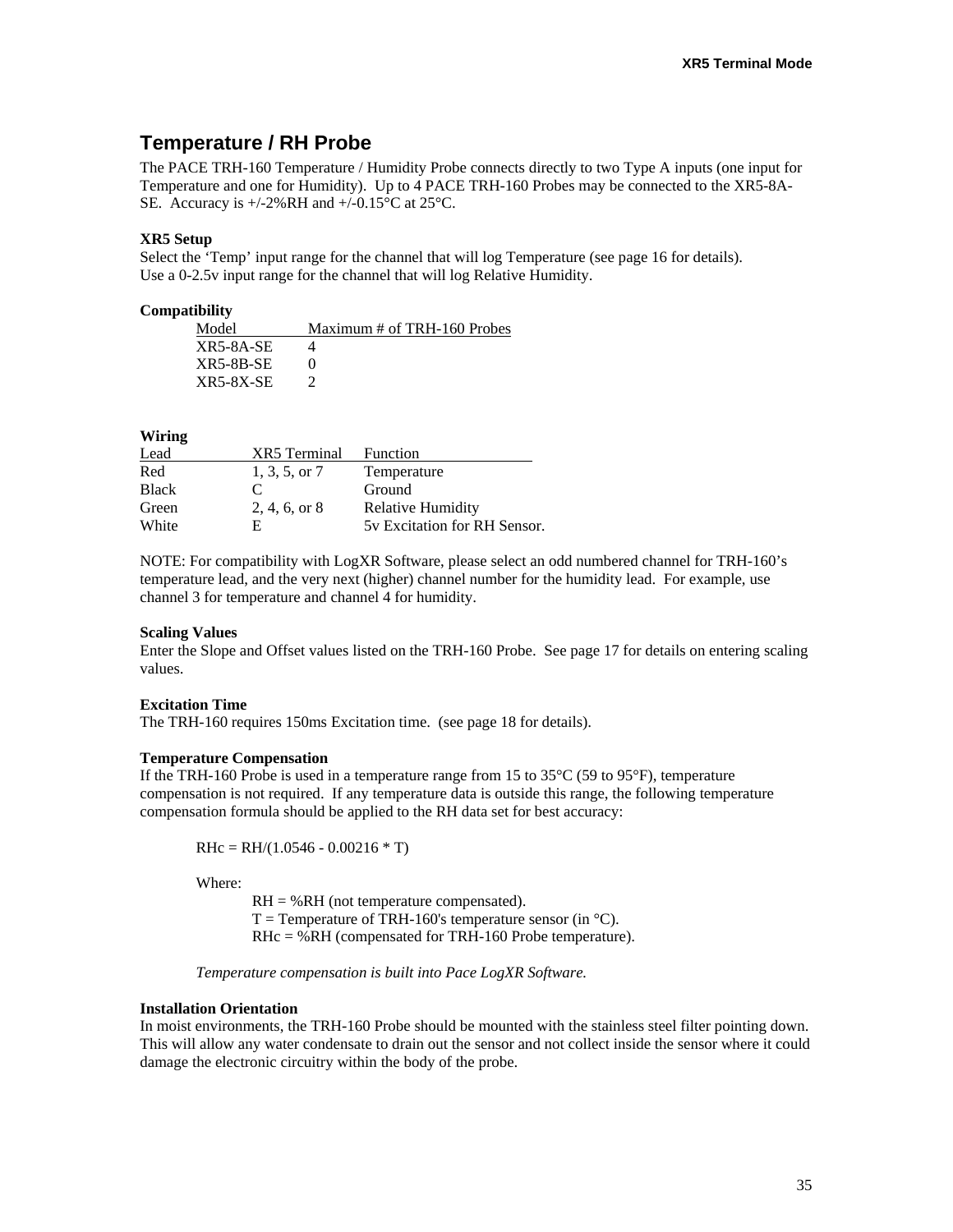### **Temperature / RH Probe**

The PACE TRH-160 Temperature / Humidity Probe connects directly to two Type A inputs (one input for Temperature and one for Humidity). Up to 4 PACE TRH-160 Probes may be connected to the XR5-8A-SE. Accuracy is +/-2%RH and +/-0.15°C at 25°C.

#### **XR5 Setup**

Select the 'Temp' input range for the channel that will log Temperature (see page 16 for details). Use a 0-2.5v input range for the channel that will log Relative Humidity.

#### **Compatibility**

| Model       | Maximum # of TRH-160 Probes |
|-------------|-----------------------------|
| $XR5-8A-SE$ |                             |
| $XR5-8B-SE$ |                             |
| $XR5-8X-SE$ |                             |

#### **Wiring**

| Lead         | <b>XR5</b> Terminal | Function                     |
|--------------|---------------------|------------------------------|
| Red          | $1, 3, 5,$ or $7$   | Temperature                  |
| <b>Black</b> | C                   | Ground                       |
| Green        | 2, 4, 6, or 8       | <b>Relative Humidity</b>     |
| White        | F                   | 5y Excitation for RH Sensor. |

NOTE: For compatibility with LogXR Software, please select an odd numbered channel for TRH-160's temperature lead, and the very next (higher) channel number for the humidity lead. For example, use channel 3 for temperature and channel 4 for humidity.

#### **Scaling Values**

Enter the Slope and Offset values listed on the TRH-160 Probe. See page 17 for details on entering scaling values.

#### **Excitation Time**

The TRH-160 requires 150ms Excitation time. (see page 18 for details).

#### **Temperature Compensation**

If the TRH-160 Probe is used in a temperature range from 15 to  $35^{\circ}$ C (59 to 95 $^{\circ}$ F), temperature compensation is not required. If any temperature data is outside this range, the following temperature compensation formula should be applied to the RH data set for best accuracy:

$$
RHC = RH/(1.0546 - 0.00216 * T)
$$

Where:

RH = %RH (not temperature compensated).  $T =$  Temperature of TRH-160's temperature sensor (in  $^{\circ}$ C). RHc = %RH (compensated for TRH-160 Probe temperature).

*Temperature compensation is built into Pace LogXR Software.* 

#### **Installation Orientation**

In moist environments, the TRH-160 Probe should be mounted with the stainless steel filter pointing down. This will allow any water condensate to drain out the sensor and not collect inside the sensor where it could damage the electronic circuitry within the body of the probe.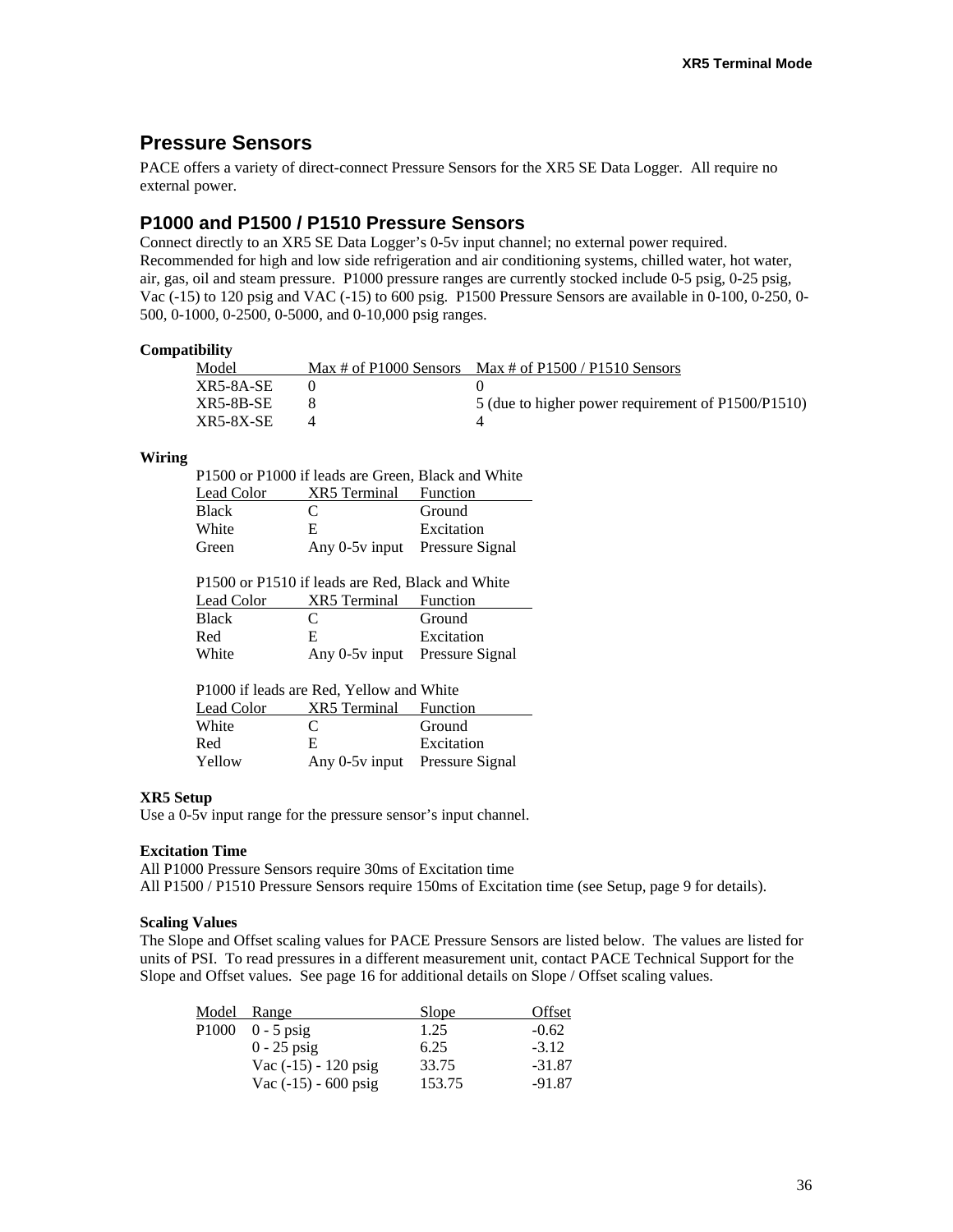# **Pressure Sensors**

PACE offers a variety of direct-connect Pressure Sensors for the XR5 SE Data Logger. All require no external power.

### **P1000 and P1500 / P1510 Pressure Sensors**

Connect directly to an XR5 SE Data Logger's 0-5v input channel; no external power required. Recommended for high and low side refrigeration and air conditioning systems, chilled water, hot water, air, gas, oil and steam pressure. P1000 pressure ranges are currently stocked include 0-5 psig, 0-25 psig, Vac (-15) to 120 psig and VAC (-15) to 600 psig. P1500 Pressure Sensors are available in 0-100, 0-250, 0- 500, 0-1000, 0-2500, 0-5000, and 0-10,000 psig ranges.

#### **Compatibility**

| Model            | $Max \# of P1000$ Sensors | Max # of $P1500 / P1510$ Sensors                   |
|------------------|---------------------------|----------------------------------------------------|
| XR5-8A-SE        |                           |                                                    |
| XR5-8B-SE        |                           | 5 (due to higher power requirement of P1500/P1510) |
| <b>XR5-8X-SE</b> |                           |                                                    |

#### **Wiring**

| P1500 or P1000 if leads are Green, Black and White |                                |            |  |
|----------------------------------------------------|--------------------------------|------------|--|
| Lead Color                                         | <b>XR5</b> Terminal Function   |            |  |
| <b>Black</b>                                       | €                              | Ground     |  |
| White                                              | E.                             | Excitation |  |
| Green                                              | Any 0-5y input Pressure Signal |            |  |

| P1500 or P1510 if leads are Red, Black and White |                       |                                |  |
|--------------------------------------------------|-----------------------|--------------------------------|--|
| Lead Color                                       | XR5 Terminal Function |                                |  |
| Black                                            | $\mathbf{C}$          | Ground                         |  |
| Red                                              | E.                    | Excitation                     |  |
| White                                            |                       | Any 0-5y input Pressure Signal |  |

| P1000 if leads are Red, Yellow and White |                                |            |  |
|------------------------------------------|--------------------------------|------------|--|
| Lead Color                               | <b>XR5</b> Terminal Function   |            |  |
| White                                    | €                              | Ground     |  |
| Red                                      | E                              | Excitation |  |
| Yellow                                   | Any 0-5y input Pressure Signal |            |  |

#### **XR5 Setup**

Use a 0-5v input range for the pressure sensor's input channel.

#### **Excitation Time**

All P1000 Pressure Sensors require 30ms of Excitation time All P1500 / P1510 Pressure Sensors require 150ms of Excitation time (see Setup, page 9 for details).

#### **Scaling Values**

The Slope and Offset scaling values for PACE Pressure Sensors are listed below. The values are listed for units of PSI. To read pressures in a different measurement unit, contact PACE Technical Support for the Slope and Offset values. See page 16 for additional details on Slope / Offset scaling values.

| Model             | Range                  | Slope  | Offset   |
|-------------------|------------------------|--------|----------|
| P <sub>1000</sub> | $0 - 5$ psig           | 1.25   | $-0.62$  |
|                   | $0 - 25$ psig          | 6.25   | $-3.12$  |
|                   | Vac $(-15) - 120$ psig | 33.75  | $-31.87$ |
|                   | Vac $(-15) - 600$ psig | 153.75 | $-91.87$ |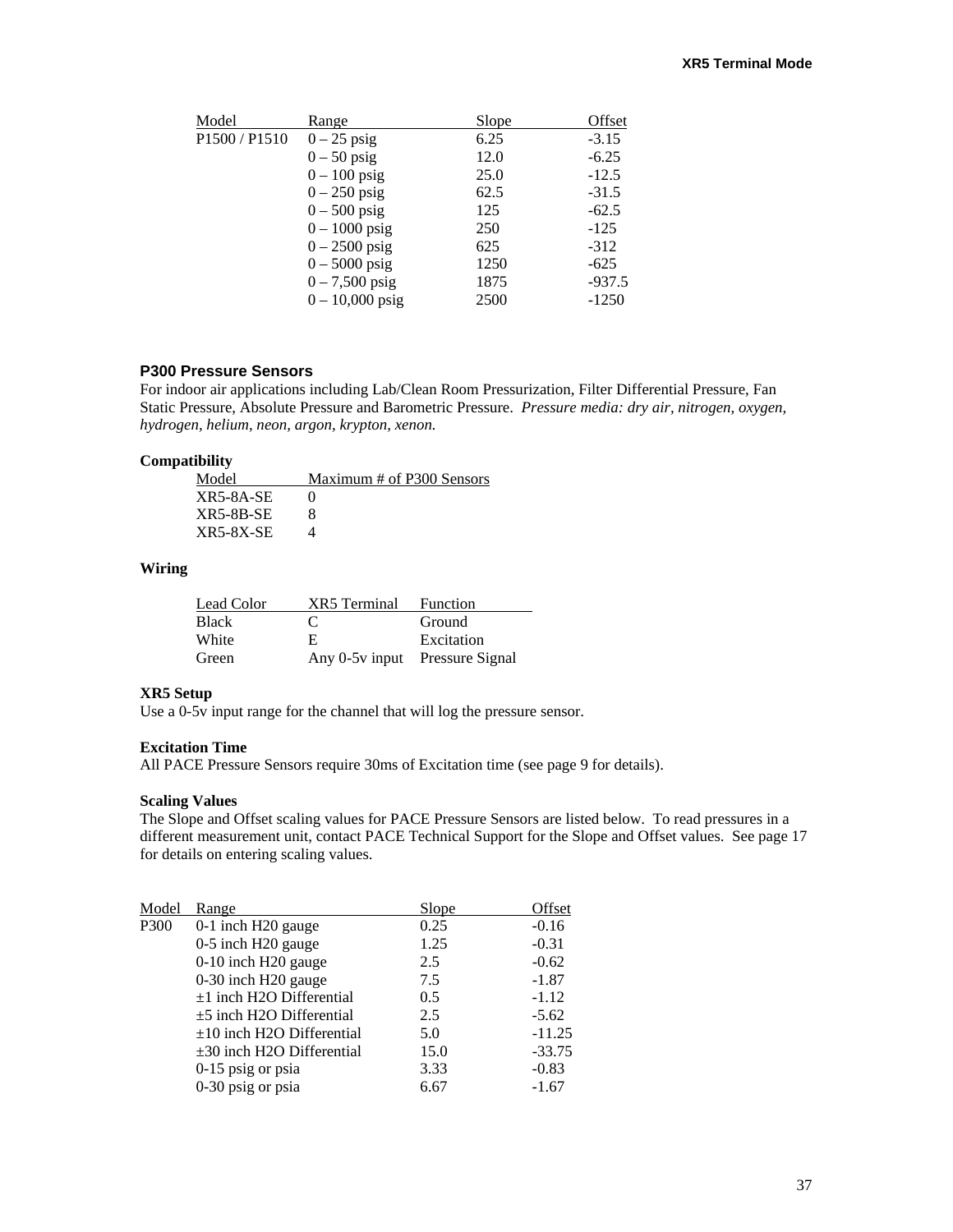|  | Model                                 | Range             | Slope | Offset   |
|--|---------------------------------------|-------------------|-------|----------|
|  | P <sub>1500</sub> / P <sub>1510</sub> | $0-25$ psig       | 6.25  | $-3.15$  |
|  |                                       | $0-50$ psig       | 12.0  | $-6.25$  |
|  |                                       | $0-100$ psig      | 25.0  | $-12.5$  |
|  |                                       | $0-250$ psig      | 62.5  | $-31.5$  |
|  |                                       | $0 - 500$ psig    | 125   | $-62.5$  |
|  |                                       | $0 - 1000$ psig   | 250   | $-125$   |
|  |                                       | $0 - 2500$ psig   | 625   | $-312$   |
|  |                                       | $0 - 5000$ psig   | 1250  | $-625$   |
|  |                                       | $0 - 7,500$ psig  | 1875  | $-937.5$ |
|  |                                       | $0 - 10,000$ psig | 2500  | $-1250$  |
|  |                                       |                   |       |          |

#### **P300 Pressure Sensors**

For indoor air applications including Lab/Clean Room Pressurization, Filter Differential Pressure, Fan Static Pressure, Absolute Pressure and Barometric Pressure. *Pressure media: dry air, nitrogen, oxygen, hydrogen, helium, neon, argon, krypton, xenon.*

#### **Compatibility**

| Model       | Maximum # of P300 Sensors |
|-------------|---------------------------|
| $XR5-8A-SE$ |                           |
| $XR5-8B-SE$ |                           |
| $XR5-8X-SE$ |                           |

#### **Wiring**

| Lead Color   | <b>XR5</b> Terminal Function   |            |
|--------------|--------------------------------|------------|
| <b>Black</b> | $\mathbf{C}$                   | Ground     |
| White        | E.                             | Excitation |
| Green        | Any 0-5v input Pressure Signal |            |

#### **XR5 Setup**

Use a 0-5v input range for the channel that will log the pressure sensor.

#### **Excitation Time**

All PACE Pressure Sensors require 30ms of Excitation time (see page 9 for details).

#### **Scaling Values**

The Slope and Offset scaling values for PACE Pressure Sensors are listed below. To read pressures in a different measurement unit, contact PACE Technical Support for the Slope and Offset values. See page 17 for details on entering scaling values.

| Model | Range                          | Slope | Offset   |
|-------|--------------------------------|-------|----------|
| P300  | 0-1 inch H20 gauge             | 0.25  | $-0.16$  |
|       | 0-5 inch H20 gauge             | 1.25  | $-0.31$  |
|       | 0-10 inch H20 gauge            | 2.5   | $-0.62$  |
|       | 0-30 inch H20 gauge            | 7.5   | $-1.87$  |
|       | $\pm 1$ inch H2O Differential  | 0.5   | $-1.12$  |
|       | $\pm$ 5 inch H2O Differential  | 2.5   | $-5.62$  |
|       | $\pm 10$ inch H2O Differential | 5.0   | $-11.25$ |
|       | $\pm 30$ inch H2O Differential | 15.0  | $-33.75$ |
|       | 0-15 psig or psia              | 3.33  | $-0.83$  |
|       | 0-30 psig or psia              | 6.67  | $-1.67$  |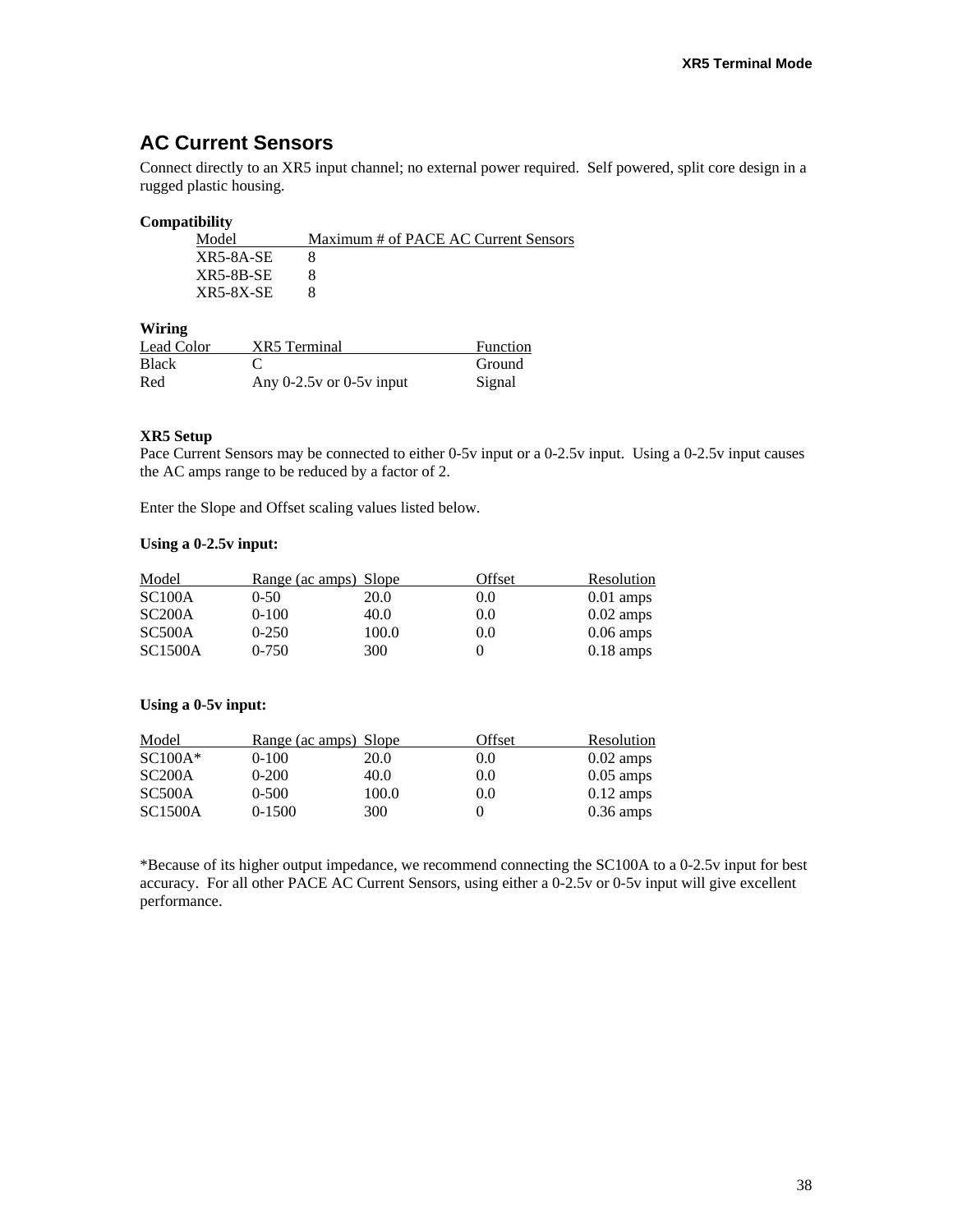# **AC Current Sensors**

Connect directly to an XR5 input channel; no external power required. Self powered, split core design in a rugged plastic housing.

#### **Compatibility**

| Maximum # of PACE AC Current Sensors |
|--------------------------------------|
|                                      |
|                                      |
|                                      |
|                                      |

**Wiring** 

| Lead Color   | XR5 Terminal                 | Function |
|--------------|------------------------------|----------|
| <b>Black</b> |                              | Ground   |
| Red          | Any $0-2.5v$ or $0-5v$ input | Signal   |

#### **XR5 Setup**

Pace Current Sensors may be connected to either 0-5v input or a 0-2.5v input. Using a 0-2.5v input causes the AC amps range to be reduced by a factor of 2.

Enter the Slope and Offset scaling values listed below.

#### **Using a 0-2.5v input:**

| Model          | <u>Range (ac amps) Slope</u> |       | Offset | Resolution          |
|----------------|------------------------------|-------|--------|---------------------|
| SC100A         | 0-50                         | 20.0  | 0.0    | $0.01$ amps         |
| SC200A         | $0-100$                      | 40.0  | 0.0    | $0.02 \text{ amps}$ |
| SC500A         | $0-250$                      | 100.0 | 0.0    | $0.06 \text{ amps}$ |
| <b>SC1500A</b> | $0 - 750$                    | 300   |        | $0.18 \text{ amps}$ |

#### **Using a 0-5v input:**

| Model          | Range (ac amps) Slope |       | Offset | Resolution          |
|----------------|-----------------------|-------|--------|---------------------|
| $SC100A*$      | $0-100$               | 20.0  | 0.0    | $0.02 \text{ amps}$ |
| SC200A         | $0-200$               | 40.0  | 0.0    | $0.05$ amps         |
| SC500A         | $0 - 500$             | 100.0 | 0.0    | $0.12 \text{ amps}$ |
| <b>SC1500A</b> | $0-1500$              | 300   |        | $0.36 \text{ amps}$ |

\*Because of its higher output impedance, we recommend connecting the SC100A to a 0-2.5v input for best accuracy. For all other PACE AC Current Sensors, using either a 0-2.5v or 0-5v input will give excellent performance.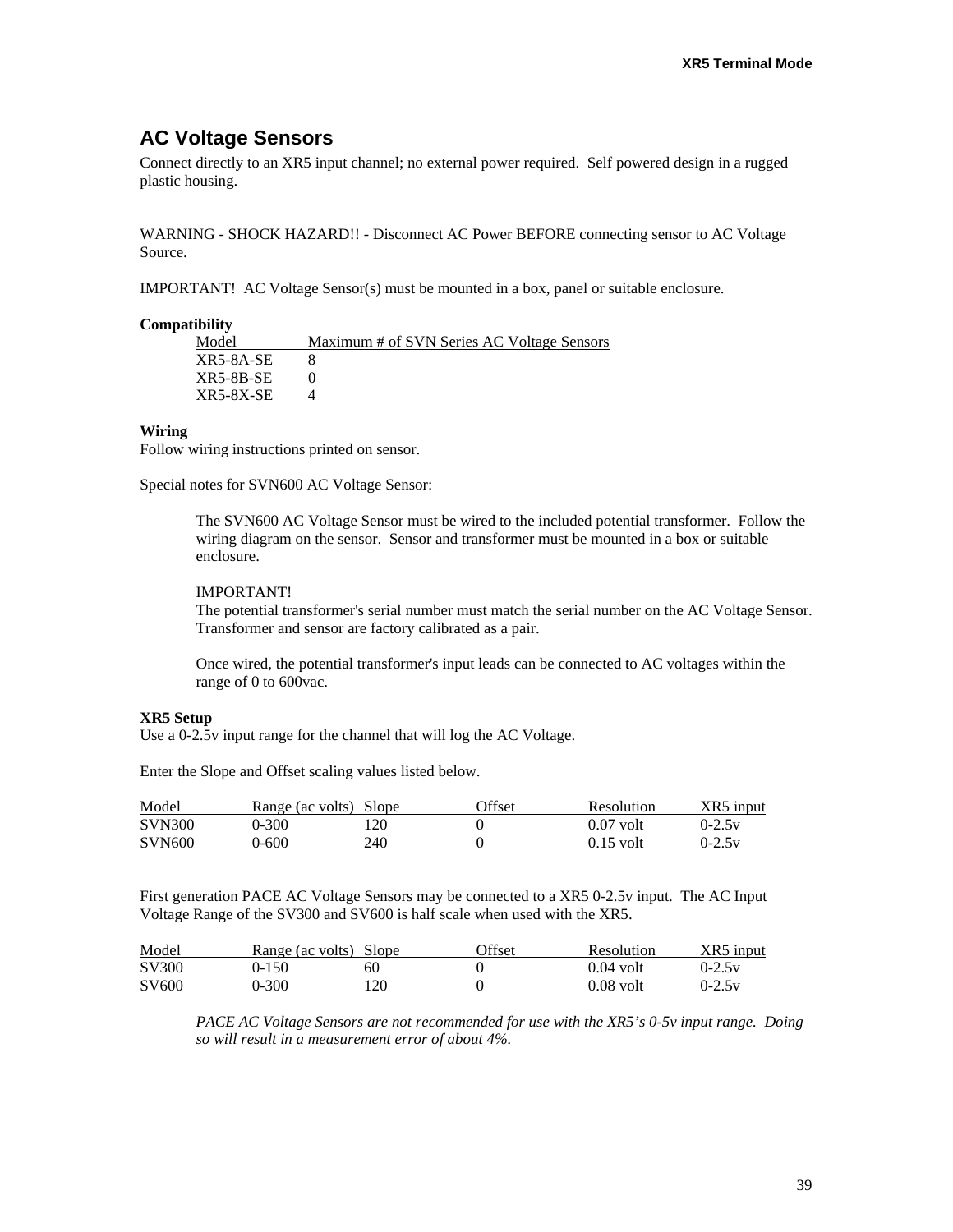### **AC Voltage Sensors**

Connect directly to an XR5 input channel; no external power required. Self powered design in a rugged plastic housing.

WARNING - SHOCK HAZARD!! - Disconnect AC Power BEFORE connecting sensor to AC Voltage Source.

IMPORTANT! AC Voltage Sensor(s) must be mounted in a box, panel or suitable enclosure.

#### **Compatibility**

| Model     | Maximum # of SVN Series AC Voltage Sensors |
|-----------|--------------------------------------------|
| XR5-8A-SE |                                            |
| XR5-8B-SE |                                            |
| XR5-8X-SE |                                            |

#### **Wiring**

Follow wiring instructions printed on sensor.

Special notes for SVN600 AC Voltage Sensor:

The SVN600 AC Voltage Sensor must be wired to the included potential transformer. Follow the wiring diagram on the sensor. Sensor and transformer must be mounted in a box or suitable enclosure.

#### IMPORTANT!

The potential transformer's serial number must match the serial number on the AC Voltage Sensor. Transformer and sensor are factory calibrated as a pair.

Once wired, the potential transformer's input leads can be connected to AC voltages within the range of 0 to 600vac.

#### **XR5 Setup**

Use a 0-2.5v input range for the channel that will log the AC Voltage.

Enter the Slope and Offset scaling values listed below.

| Model         | Range (ac volts) Slope |     | <b>Offset</b> | Resolution  | XR5 input |
|---------------|------------------------|-----|---------------|-------------|-----------|
| <b>SVN300</b> | $0 - 300$              | 20  |               | $0.07$ volt | $0-2.5v$  |
| <b>SVN600</b> | 0-600                  | 240 |               | $0.15$ volt | $0-2.5v$  |

First generation PACE AC Voltage Sensors may be connected to a XR5 0-2.5v input. The AC Input Voltage Range of the SV300 and SV600 is half scale when used with the XR5.

| Model             | Range (ac volts) Slope |     | <b>)ffset</b> | <b>Resolution</b> | XR5 input |
|-------------------|------------------------|-----|---------------|-------------------|-----------|
| SV300             | $-150$                 | 60  |               | $0.04$ volt       | $0-2.5v$  |
| SV <sub>600</sub> | 0-300                  | 120 |               | $0.08$ volt       | $0-2.5v$  |

*PACE AC Voltage Sensors are not recommended for use with the XR5's 0-5v input range. Doing so will result in a measurement error of about 4%.*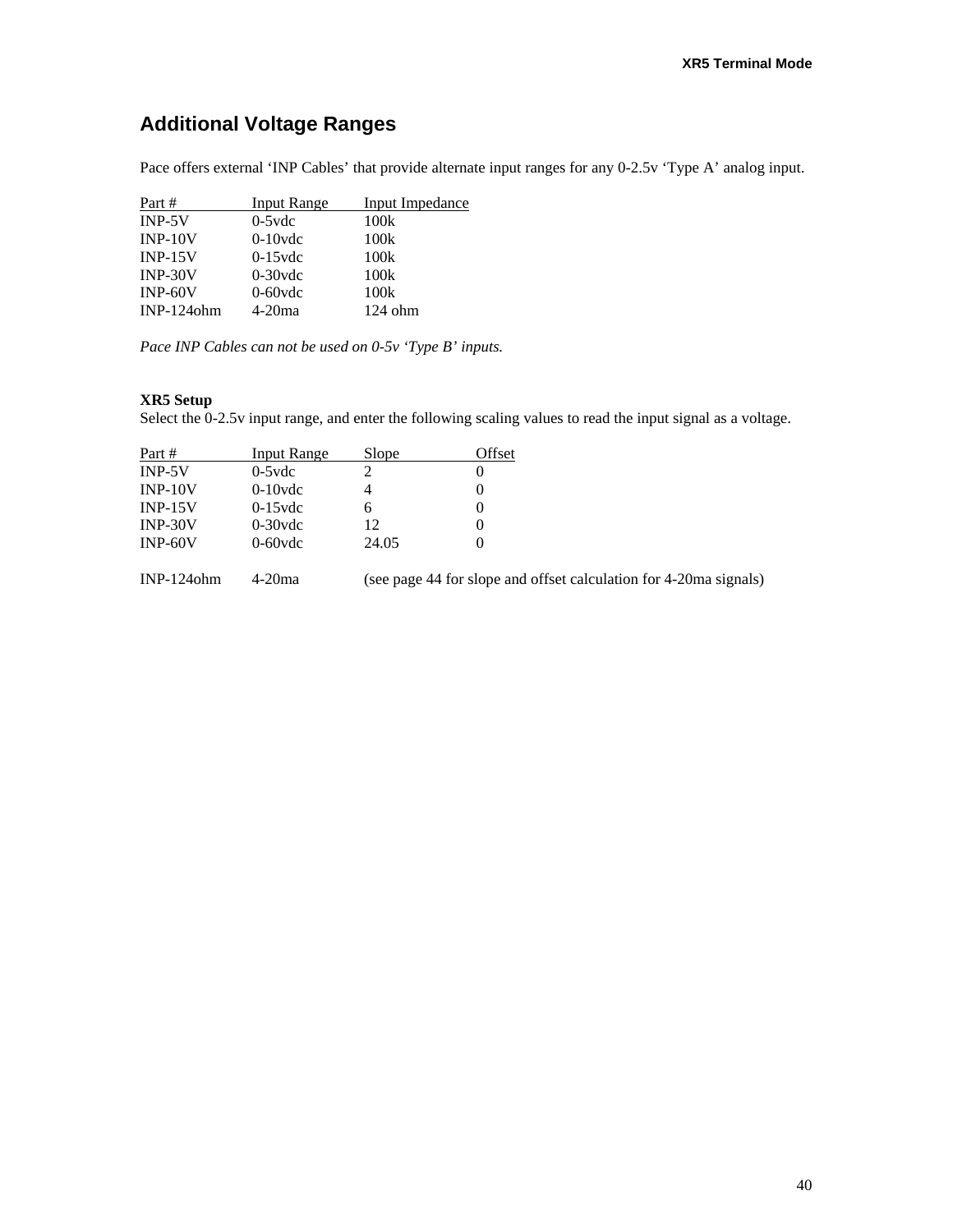# **Additional Voltage Ranges**

Pace offers external 'INP Cables' that provide alternate input ranges for any 0-2.5v 'Type A' analog input.

| Part #        | <b>Input Range</b> | <b>Input Impedance</b> |
|---------------|--------------------|------------------------|
| $INP-5V$      | $0-5$ vdc          | 100k                   |
| $INP-10V$     | $0-10$ vdc         | 100k                   |
| $INP-15V$     | $0-15$ vdc         | 100k                   |
| $INP-30V$     | $0-30$ vdc         | 100k                   |
| $INP-60V$     | $0-60$ vdc         | 100k                   |
| $INP-124$ ohm | $4-20ma$           | $124$ ohm              |

*Pace INP Cables can not be used on 0-5v 'Type B' inputs.* 

#### **XR5 Setup**

Select the 0-2.5v input range, and enter the following scaling values to read the input signal as a voltage.

| Part #    | Input Range | Slope | Offset |
|-----------|-------------|-------|--------|
| $INP-5V$  | $0-5$ vdc   |       | U      |
| $INP-10V$ | $0-10$ vdc  |       | 0      |
| $INP-15V$ | $0-15$ vdc  |       | O      |
| $INP-30V$ | $0-30$ vdc  | 12    | 0      |
| $INP-60V$ | $0-60$ vdc  | 24.05 |        |
|           |             |       |        |

INP-124ohm 4-20ma (see page 44 for slope and offset calculation for 4-20ma signals)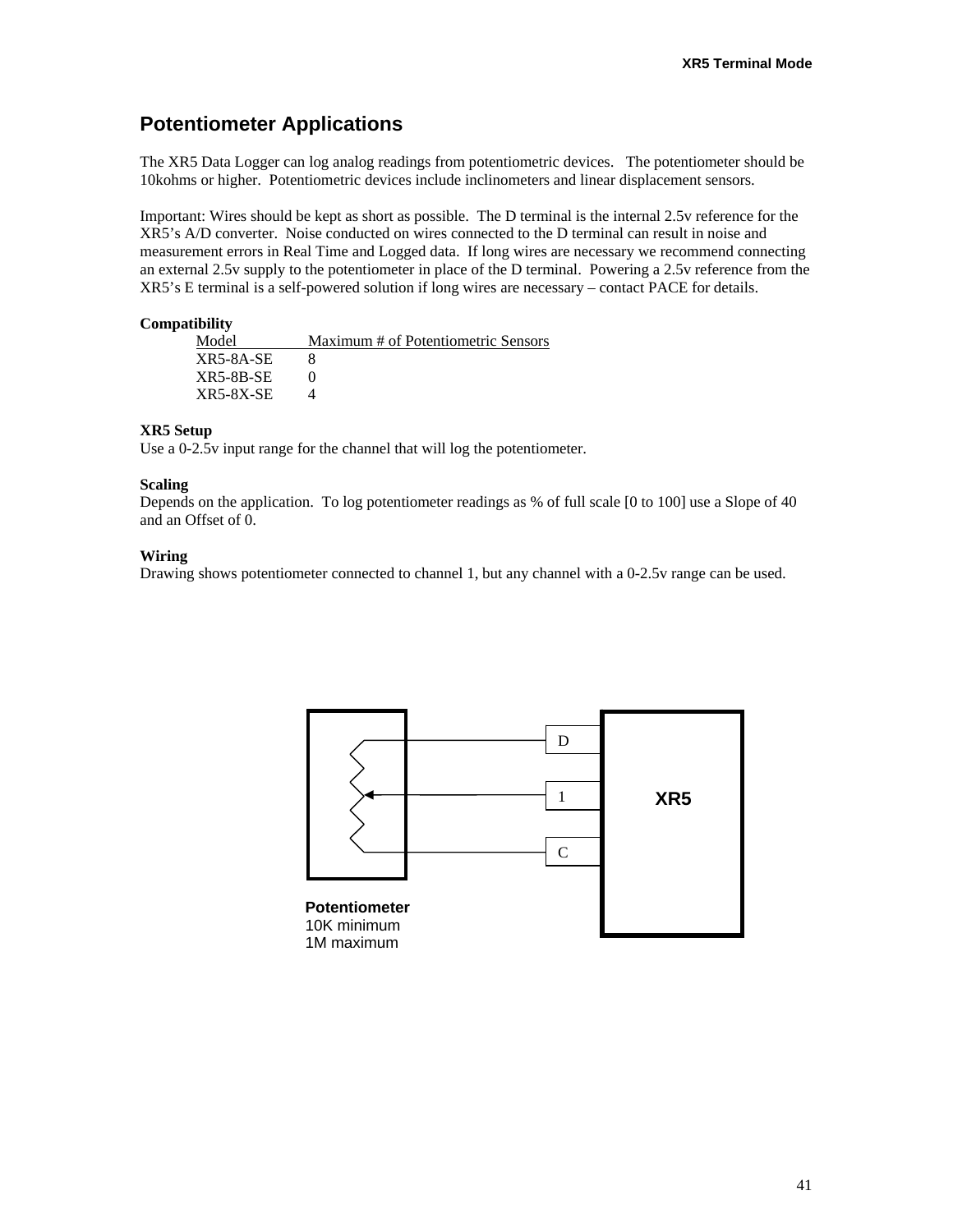# **Potentiometer Applications**

The XR5 Data Logger can log analog readings from potentiometric devices. The potentiometer should be 10kohms or higher. Potentiometric devices include inclinometers and linear displacement sensors.

Important: Wires should be kept as short as possible. The D terminal is the internal 2.5v reference for the XR5's A/D converter. Noise conducted on wires connected to the D terminal can result in noise and measurement errors in Real Time and Logged data. If long wires are necessary we recommend connecting an external 2.5v supply to the potentiometer in place of the D terminal. Powering a 2.5v reference from the XR5's E terminal is a self-powered solution if long wires are necessary – contact PACE for details.

#### **Compatibility**

| Model            | Maximum # of Potentiometric Sensors |
|------------------|-------------------------------------|
| XR5-8A-SE        |                                     |
| $XR5-8B-SE$      |                                     |
| <b>XR5-8X-SE</b> |                                     |

#### **XR5 Setup**

Use a 0-2.5v input range for the channel that will log the potentiometer.

#### **Scaling**

Depends on the application. To log potentiometer readings as % of full scale [0 to 100] use a Slope of 40 and an Offset of 0.

#### **Wiring**

Drawing shows potentiometer connected to channel 1, but any channel with a 0-2.5v range can be used.

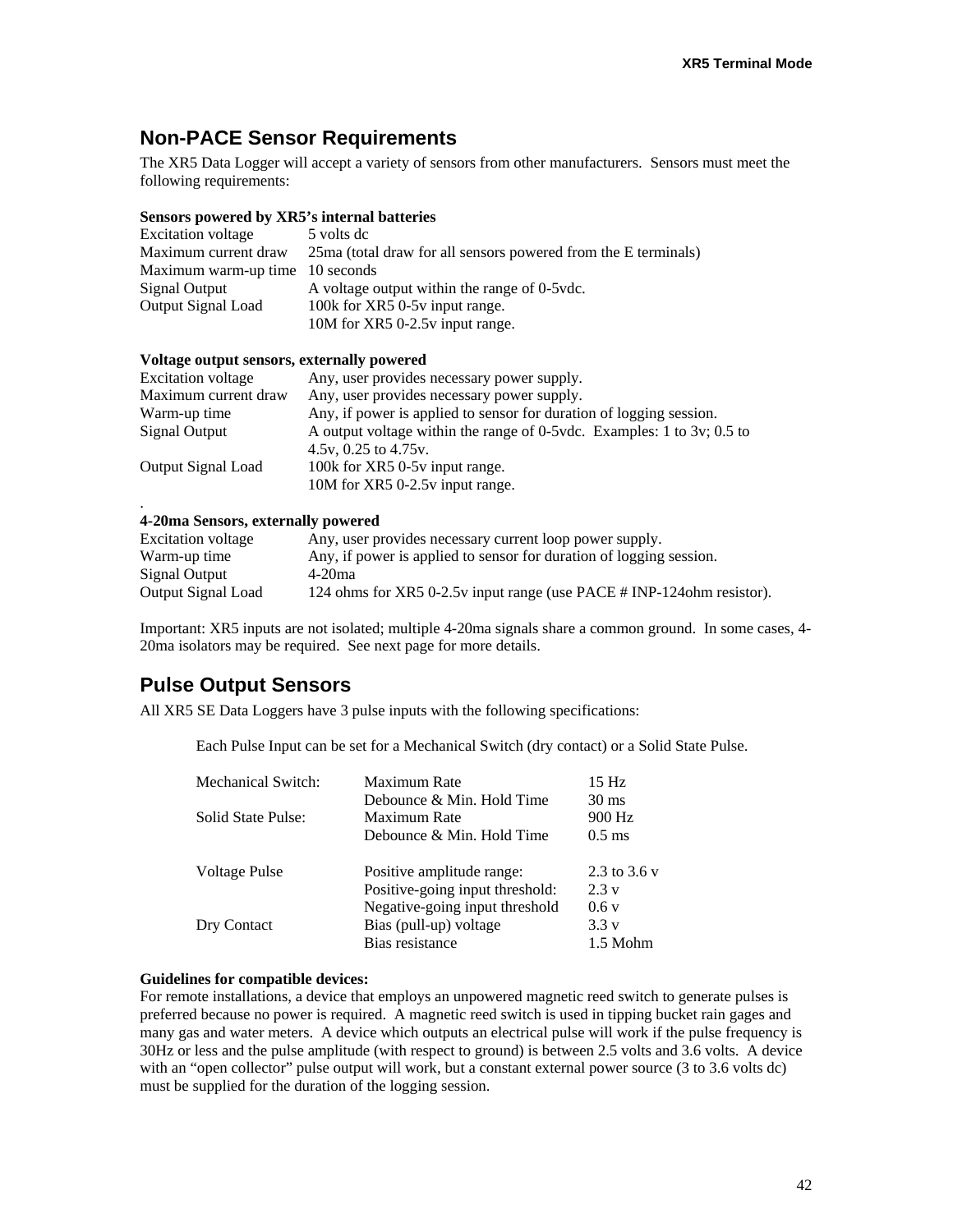### **Non-PACE Sensor Requirements**

The XR5 Data Logger will accept a variety of sensors from other manufacturers. Sensors must meet the following requirements:

#### **Sensors powered by XR5's internal batteries**

| <b>Excitation voltage</b>       | 5 volts de                                                     |
|---------------------------------|----------------------------------------------------------------|
| Maximum current draw            | 25ma (total draw for all sensors powered from the E terminals) |
| Maximum warm-up time 10 seconds |                                                                |
| Signal Output                   | A voltage output within the range of 0-5 vdc.                  |
| Output Signal Load              | 100k for XR5 0-5y input range.                                 |
|                                 | 10M for XR5 0-2.5v input range.                                |

#### **Voltage output sensors, externally powered**

| <b>Excitation voltage</b> | Any, user provides necessary power supply.                             |
|---------------------------|------------------------------------------------------------------------|
| Maximum current draw      | Any, user provides necessary power supply.                             |
| Warm-up time              | Any, if power is applied to sensor for duration of logging session.    |
| Signal Output             | A output voltage within the range of 0-5vdc. Examples: 1 to 3v; 0.5 to |
|                           | 4.5v, 0.25 to $4.75v$ .                                                |
| Output Signal Load        | 100k for XR5 0-5y input range.                                         |
|                           | 10M for XR5 0-2.5y input range.                                        |
|                           |                                                                        |

#### **4-20ma Sensors, externally powered**

| <b>Excitation voltage</b> | Any, user provides necessary current loop power supply.                 |
|---------------------------|-------------------------------------------------------------------------|
| Warm-up time              | Any, if power is applied to sensor for duration of logging session.     |
| Signal Output             | $4-20ma$                                                                |
| Output Signal Load        | 124 ohms for XR5 0-2.5 v input range (use PACE # INP-124 ohm resistor). |

Important: XR5 inputs are not isolated; multiple 4-20ma signals share a common ground. In some cases, 4- 20ma isolators may be required. See next page for more details.

### **Pulse Output Sensors**

All XR5 SE Data Loggers have 3 pulse inputs with the following specifications:

Each Pulse Input can be set for a Mechanical Switch (dry contact) or a Solid State Pulse.

| Mechanical Switch: | Maximum Rate                    | 15 <sub>Hz</sub> |
|--------------------|---------------------------------|------------------|
|                    | Debounce & Min. Hold Time       | $30 \text{ ms}$  |
| Solid State Pulse: | Maximum Rate                    | 900 Hz           |
|                    | Debounce & Min. Hold Time       | $0.5$ ms         |
| Voltage Pulse      | Positive amplitude range:       | 2.3 to 3.6 v     |
|                    | Positive-going input threshold: | 2.3v             |
|                    | Negative-going input threshold  | 0.6v             |
| Dry Contact        | Bias (pull-up) voltage          | 3.3v             |
|                    | Bias resistance                 | 1.5 Mohm         |
|                    |                                 |                  |

#### **Guidelines for compatible devices:**

For remote installations, a device that employs an unpowered magnetic reed switch to generate pulses is preferred because no power is required. A magnetic reed switch is used in tipping bucket rain gages and many gas and water meters. A device which outputs an electrical pulse will work if the pulse frequency is 30Hz or less and the pulse amplitude (with respect to ground) is between 2.5 volts and 3.6 volts. A device with an "open collector" pulse output will work, but a constant external power source (3 to 3.6 volts dc) must be supplied for the duration of the logging session.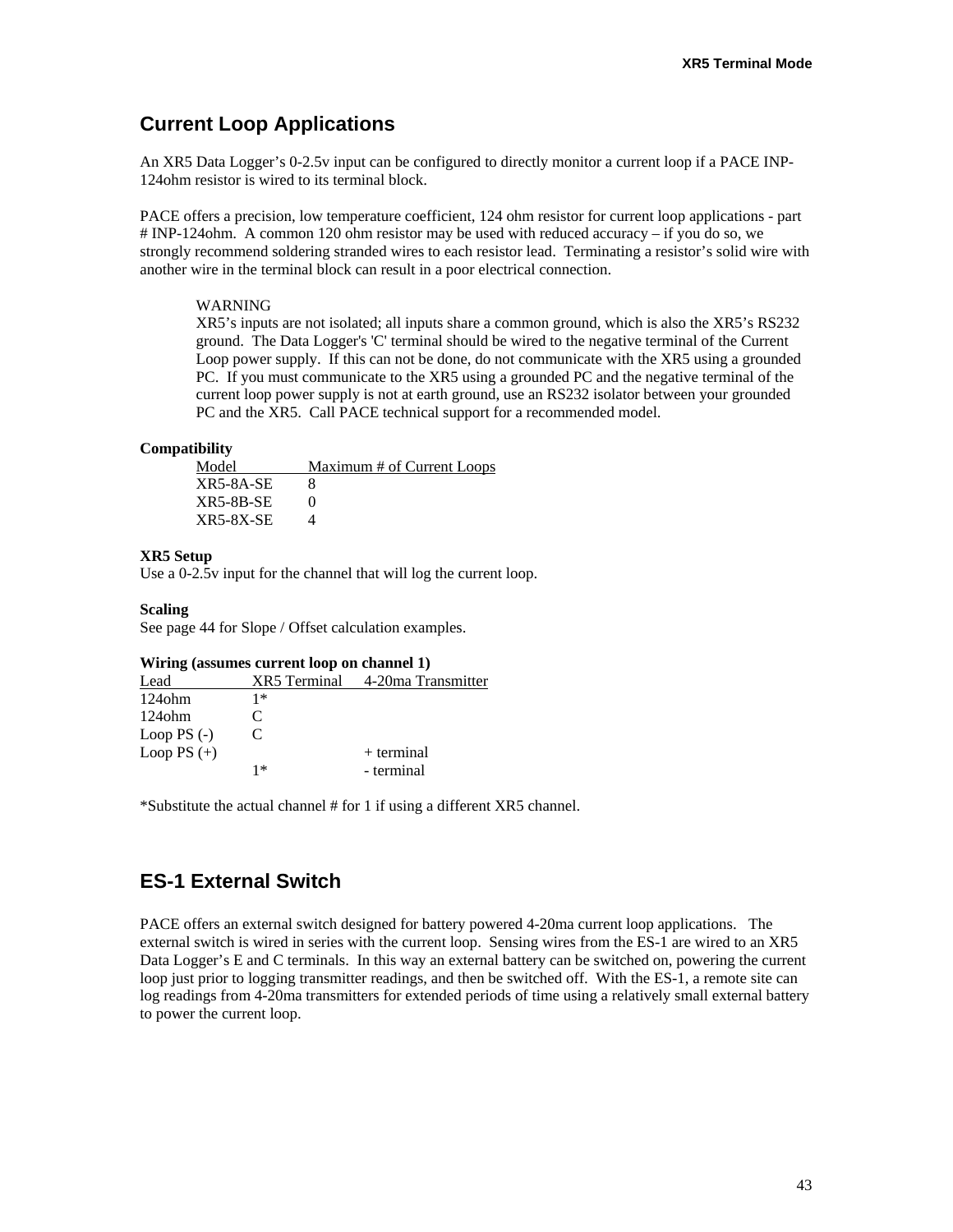# **Current Loop Applications**

An XR5 Data Logger's 0-2.5v input can be configured to directly monitor a current loop if a PACE INP-124ohm resistor is wired to its terminal block.

PACE offers a precision, low temperature coefficient, 124 ohm resistor for current loop applications - part # INP-124ohm. A common 120 ohm resistor may be used with reduced accuracy – if you do so, we strongly recommend soldering stranded wires to each resistor lead. Terminating a resistor's solid wire with another wire in the terminal block can result in a poor electrical connection.

#### WARNING

XR5's inputs are not isolated; all inputs share a common ground, which is also the XR5's RS232 ground. The Data Logger's 'C' terminal should be wired to the negative terminal of the Current Loop power supply. If this can not be done, do not communicate with the XR5 using a grounded PC. If you must communicate to the XR5 using a grounded PC and the negative terminal of the current loop power supply is not at earth ground, use an RS232 isolator between your grounded PC and the XR5. Call PACE technical support for a recommended model.

#### **Compatibility**

Model Maximum # of Current Loops XR5-8A-SE 8  $XR5-8B-SE$  0 XR5-8X-SE 4

#### **XR5 Setup**

Use a 0-2.5v input for the channel that will log the current loop.

#### **Scaling**

See page 44 for Slope / Offset calculation examples.

#### **Wiring (assumes current loop on channel 1)**

| Lead          | XR5 Terminal | 4-20ma Transmitter |
|---------------|--------------|--------------------|
| $124$ ohm     | 1*           |                    |
| $124$ ohm     | C            |                    |
| Loop PS $(-)$ | C            |                    |
| Loop PS $(+)$ |              | $+$ terminal       |
|               | 1∗           | - terminal         |

\*Substitute the actual channel # for 1 if using a different XR5 channel.

# **ES-1 External Switch**

PACE offers an external switch designed for battery powered 4-20ma current loop applications. The external switch is wired in series with the current loop. Sensing wires from the ES-1 are wired to an XR5 Data Logger's E and C terminals. In this way an external battery can be switched on, powering the current loop just prior to logging transmitter readings, and then be switched off. With the ES-1, a remote site can log readings from 4-20ma transmitters for extended periods of time using a relatively small external battery to power the current loop.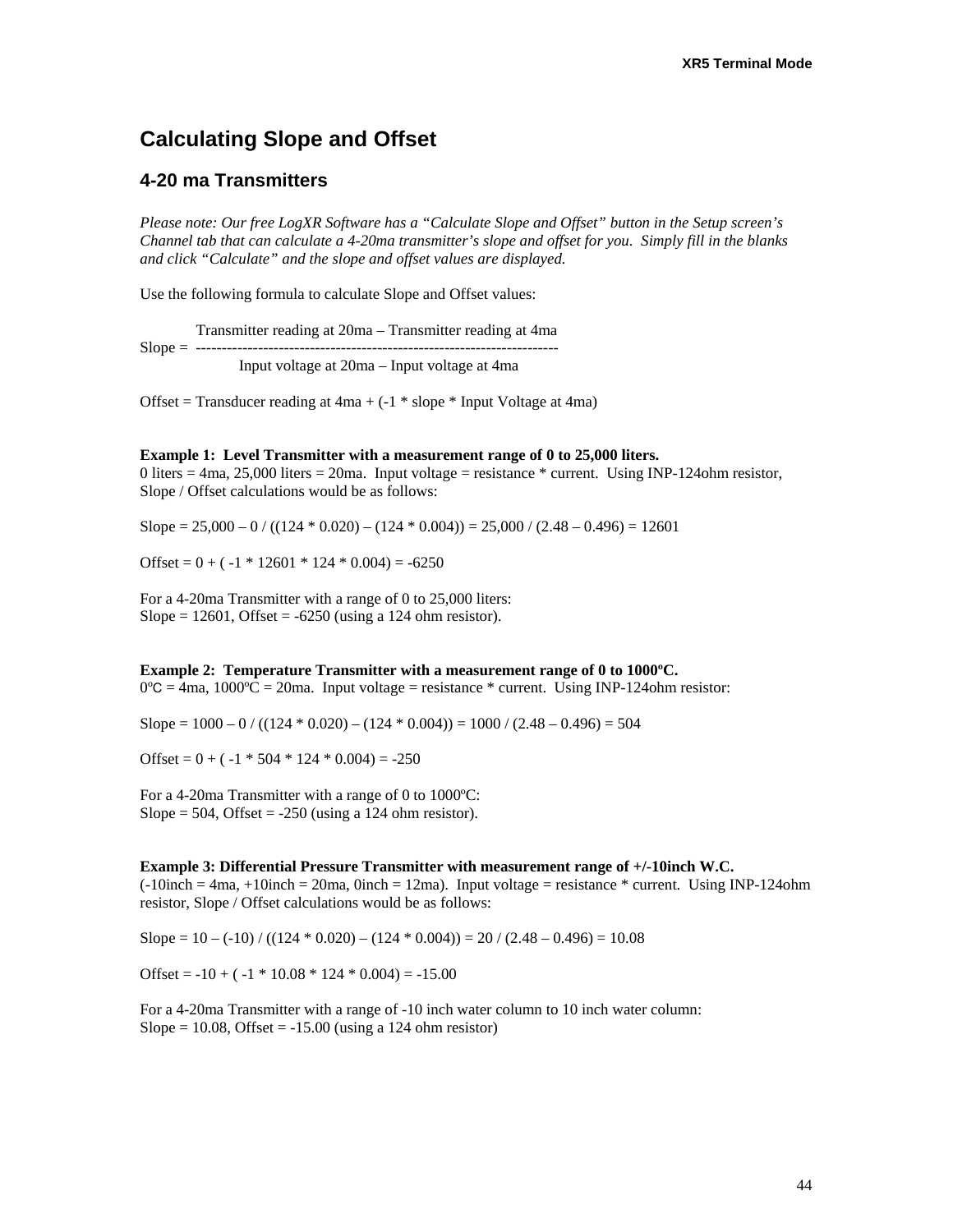# **Calculating Slope and Offset**

### **4-20 ma Transmitters**

*Please note: Our free LogXR Software has a "Calculate Slope and Offset" button in the Setup screen's Channel tab that can calculate a 4-20ma transmitter's slope and offset for you. Simply fill in the blanks and click "Calculate" and the slope and offset values are displayed.* 

Use the following formula to calculate Slope and Offset values:

Transmitter reading at 20ma – Transmitter reading at 4ma Slope = ---------------------------------------------------------------------- Input voltage at 20ma – Input voltage at 4ma

Offset = Transducer reading at  $4ma + (-1 * slope * Input Voltage at 4ma)$ 

#### **Example 1: Level Transmitter with a measurement range of 0 to 25,000 liters.**

0 liters = 4ma, 25,000 liters = 20ma. Input voltage = resistance  $*$  current. Using INP-124ohm resistor, Slope / Offset calculations would be as follows:

Slope =  $25,000 - 0$  / ((124  $*$  0.020) – (124  $*$  0.004)) =  $25,000$  / (2.48 – 0.496) = 12601

Offset =  $0 + (-1 * 12601 * 124 * 0.004) = -6250$ 

For a 4-20ma Transmitter with a range of 0 to 25,000 liters: Slope =  $12601$ , Offset =  $-6250$  (using a 124 ohm resistor).

#### **Example 2: Temperature Transmitter with a measurement range of 0 to 1000ºC.**

 $0^{\circ}C = 4$ ma, 1000°C = 20ma. Input voltage = resistance \* current. Using INP-124ohm resistor:

Slope =  $1000 - 0$  / ((124 \* 0.020) – (124 \* 0.004)) =  $1000$  / (2.48 – 0.496) = 504

Offset =  $0 + (-1 * 504 * 124 * 0.004) = -250$ 

For a 4-20ma Transmitter with a range of 0 to 1000ºC: Slope = 504, Offset =  $-250$  (using a 124 ohm resistor).

#### **Example 3: Differential Pressure Transmitter with measurement range of +/-10inch W.C.**

 $(-10inch = 4ma, +10inch = 20ma, 0inch = 12ma)$ . Input voltage = resistance \* current. Using INP-124ohm resistor, Slope / Offset calculations would be as follows:

Slope =  $10 - (-10) / ((124 * 0.020) - (124 * 0.004)) = 20 / (2.48 - 0.496) = 10.08$ 

Offset =  $-10 + (-1 * 10.08 * 124 * 0.004) = -15.00$ 

For a 4-20ma Transmitter with a range of -10 inch water column to 10 inch water column: Slope =  $10.08$ , Offset =  $-15.00$  (using a 124 ohm resistor)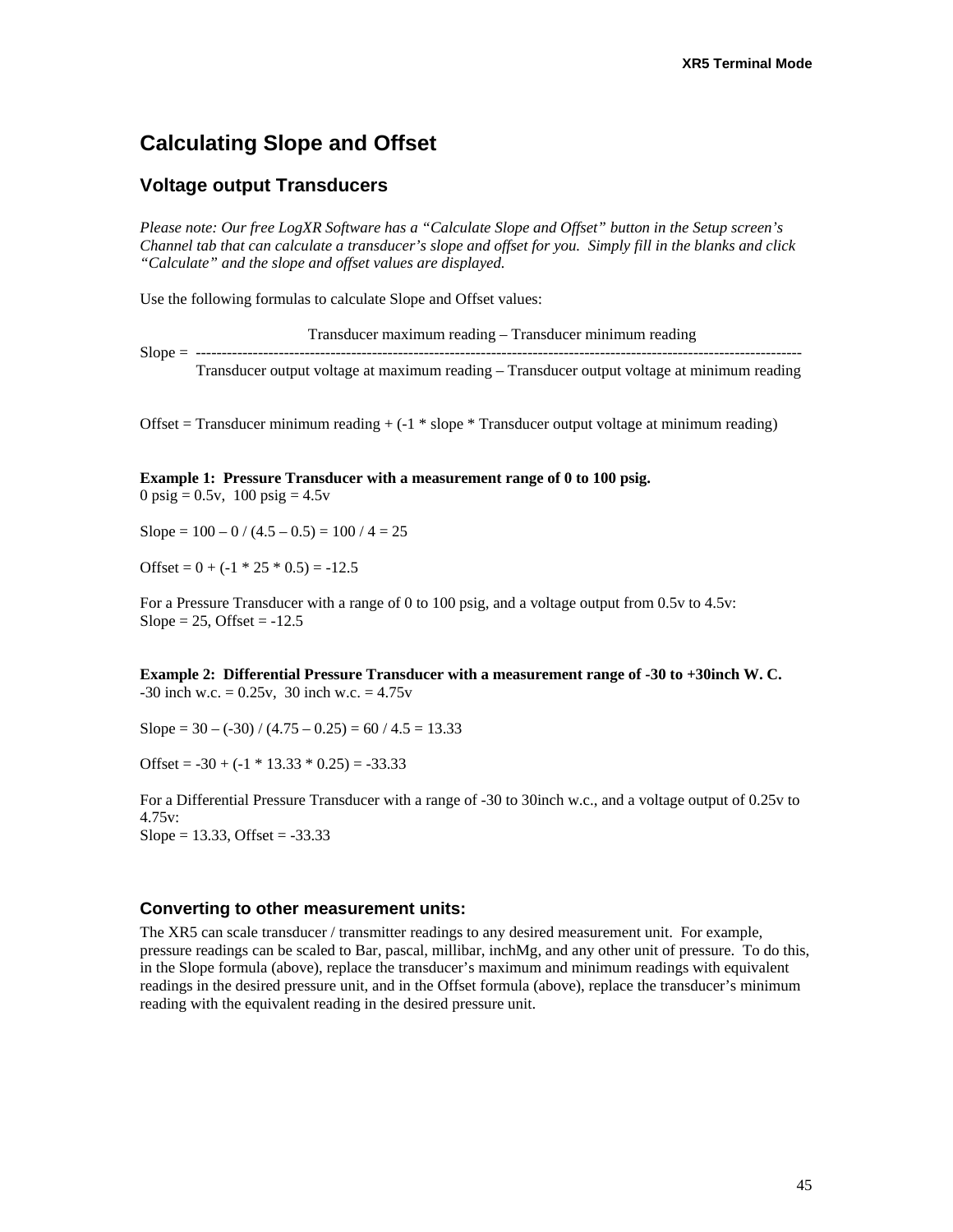# **Calculating Slope and Offset**

#### **Voltage output Transducers**

*Please note: Our free LogXR Software has a "Calculate Slope and Offset" button in the Setup screen's Channel tab that can calculate a transducer's slope and offset for you. Simply fill in the blanks and click "Calculate" and the slope and offset values are displayed.* 

Use the following formulas to calculate Slope and Offset values:

 Transducer maximum reading – Transducer minimum reading Slope = --------------------------------------------------------------------------------------------------------------------- Transducer output voltage at maximum reading – Transducer output voltage at minimum reading

Offset = Transducer minimum reading + (-1 \* slope \* Transducer output voltage at minimum reading)

#### **Example 1: Pressure Transducer with a measurement range of 0 to 100 psig.**

0 psig =  $0.5v$ , 100 psig =  $4.5v$ 

Slope =  $100 - 0 / (4.5 - 0.5) = 100 / 4 = 25$ 

Offset =  $0 + (-1 \times 25 \times 0.5) = -12.5$ 

For a Pressure Transducer with a range of 0 to 100 psig, and a voltage output from 0.5v to 4.5v: Slope =  $25$ , Offset =  $-12.5$ 

**Example 2: Differential Pressure Transducer with a measurement range of -30 to +30inch W. C.**   $-30$  inch w.c.  $= 0.25v$ , 30 inch w.c.  $= 4.75v$ 

Slope =  $30 - (-30) / (4.75 - 0.25) = 60 / 4.5 = 13.33$ 

Offset =  $-30 + (-1 * 13.33 * 0.25) = -33.33$ 

For a Differential Pressure Transducer with a range of -30 to 30inch w.c., and a voltage output of 0.25v to 4.75v:  $Slope = 13.33, Offset = -33.33$ 

#### **Converting to other measurement units:**

The XR5 can scale transducer / transmitter readings to any desired measurement unit. For example, pressure readings can be scaled to Bar, pascal, millibar, inchMg, and any other unit of pressure. To do this, in the Slope formula (above), replace the transducer's maximum and minimum readings with equivalent readings in the desired pressure unit, and in the Offset formula (above), replace the transducer's minimum reading with the equivalent reading in the desired pressure unit.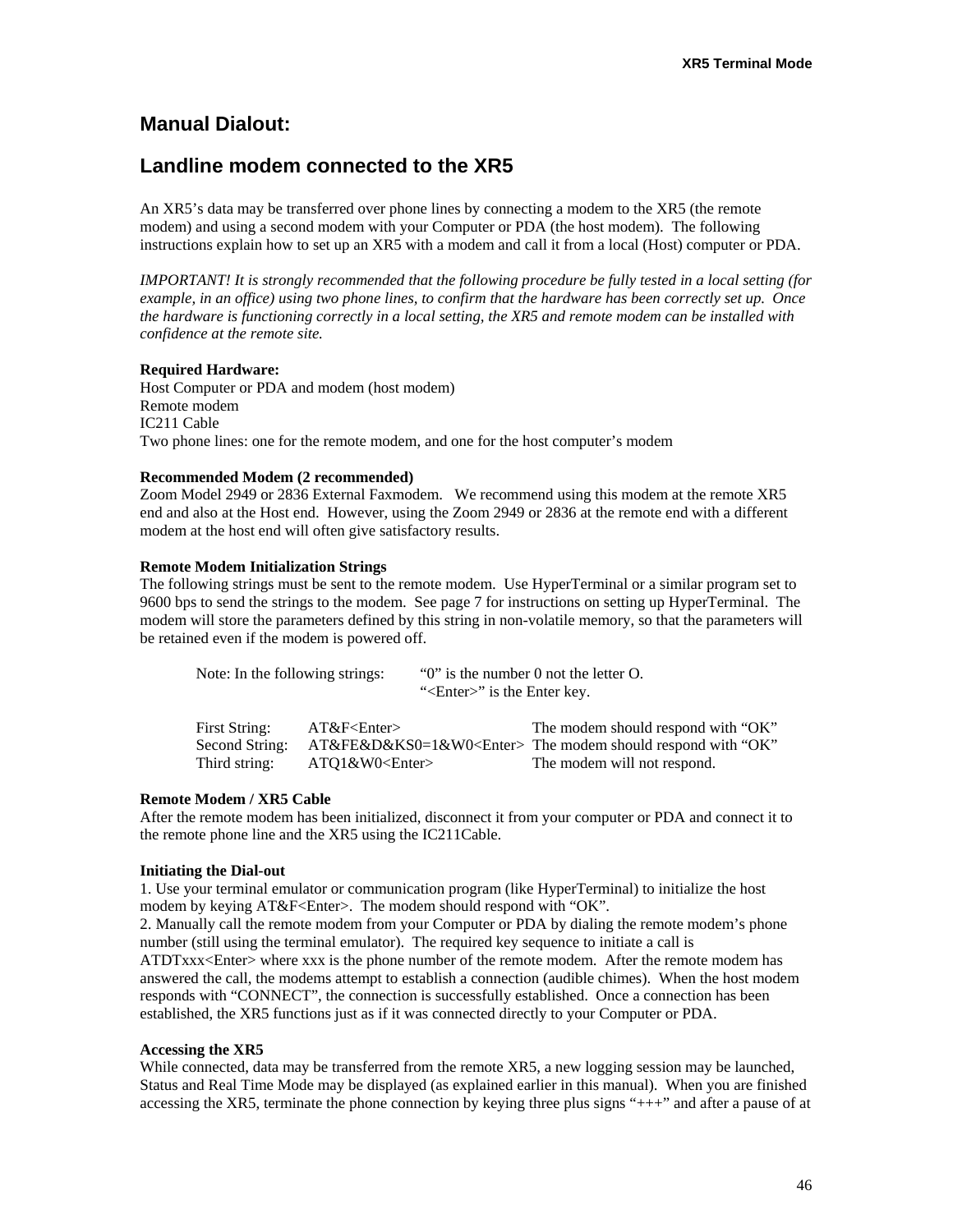# **Manual Dialout:**

# **Landline modem connected to the XR5**

An XR5's data may be transferred over phone lines by connecting a modem to the XR5 (the remote modem) and using a second modem with your Computer or PDA (the host modem). The following instructions explain how to set up an XR5 with a modem and call it from a local (Host) computer or PDA.

*IMPORTANT! It is strongly recommended that the following procedure be fully tested in a local setting (for example, in an office) using two phone lines, to confirm that the hardware has been correctly set up. Once the hardware is functioning correctly in a local setting, the XR5 and remote modem can be installed with confidence at the remote site.* 

#### **Required Hardware:**

Host Computer or PDA and modem (host modem) Remote modem IC211 Cable Two phone lines: one for the remote modem, and one for the host computer's modem

#### **Recommended Modem (2 recommended)**

Zoom Model 2949 or 2836 External Faxmodem. We recommend using this modem at the remote XR5 end and also at the Host end. However, using the Zoom 2949 or 2836 at the remote end with a different modem at the host end will often give satisfactory results.

#### **Remote Modem Initialization Strings**

The following strings must be sent to the remote modem. Use HyperTerminal or a similar program set to 9600 bps to send the strings to the modem. See page 7 for instructions on setting up HyperTerminal. The modem will store the parameters defined by this string in non-volatile memory, so that the parameters will be retained even if the modem is powered off.

| Note: In the following strings: |                      | " <enter>" is the Enter key.</enter> | " $0$ " is the number 0 not the letter O.                    |
|---------------------------------|----------------------|--------------------------------------|--------------------------------------------------------------|
| First String:                   | $AT&F\leq$ Enter $>$ |                                      | The modem should respond with "OK"                           |
| Second String:                  |                      |                                      | $AT&FE&D&KSO=1&W0<Enter> The modem should respond with "OK"$ |
| Third string:                   | $ATO1&W0\leq Enter$  |                                      | The modem will not respond.                                  |

#### **Remote Modem / XR5 Cable**

After the remote modem has been initialized, disconnect it from your computer or PDA and connect it to the remote phone line and the XR5 using the IC211Cable.

#### **Initiating the Dial-out**

1. Use your terminal emulator or communication program (like HyperTerminal) to initialize the host modem by keying AT&F<Enter>. The modem should respond with "OK".

2. Manually call the remote modem from your Computer or PDA by dialing the remote modem's phone number (still using the terminal emulator). The required key sequence to initiate a call is ATDTxxx<Enter> where xxx is the phone number of the remote modem. After the remote modem has

answered the call, the modems attempt to establish a connection (audible chimes). When the host modem responds with "CONNECT", the connection is successfully established. Once a connection has been established, the XR5 functions just as if it was connected directly to your Computer or PDA.

#### **Accessing the XR5**

While connected, data may be transferred from the remote XR5, a new logging session may be launched, Status and Real Time Mode may be displayed (as explained earlier in this manual). When you are finished accessing the XR5, terminate the phone connection by keying three plus signs "+++" and after a pause of at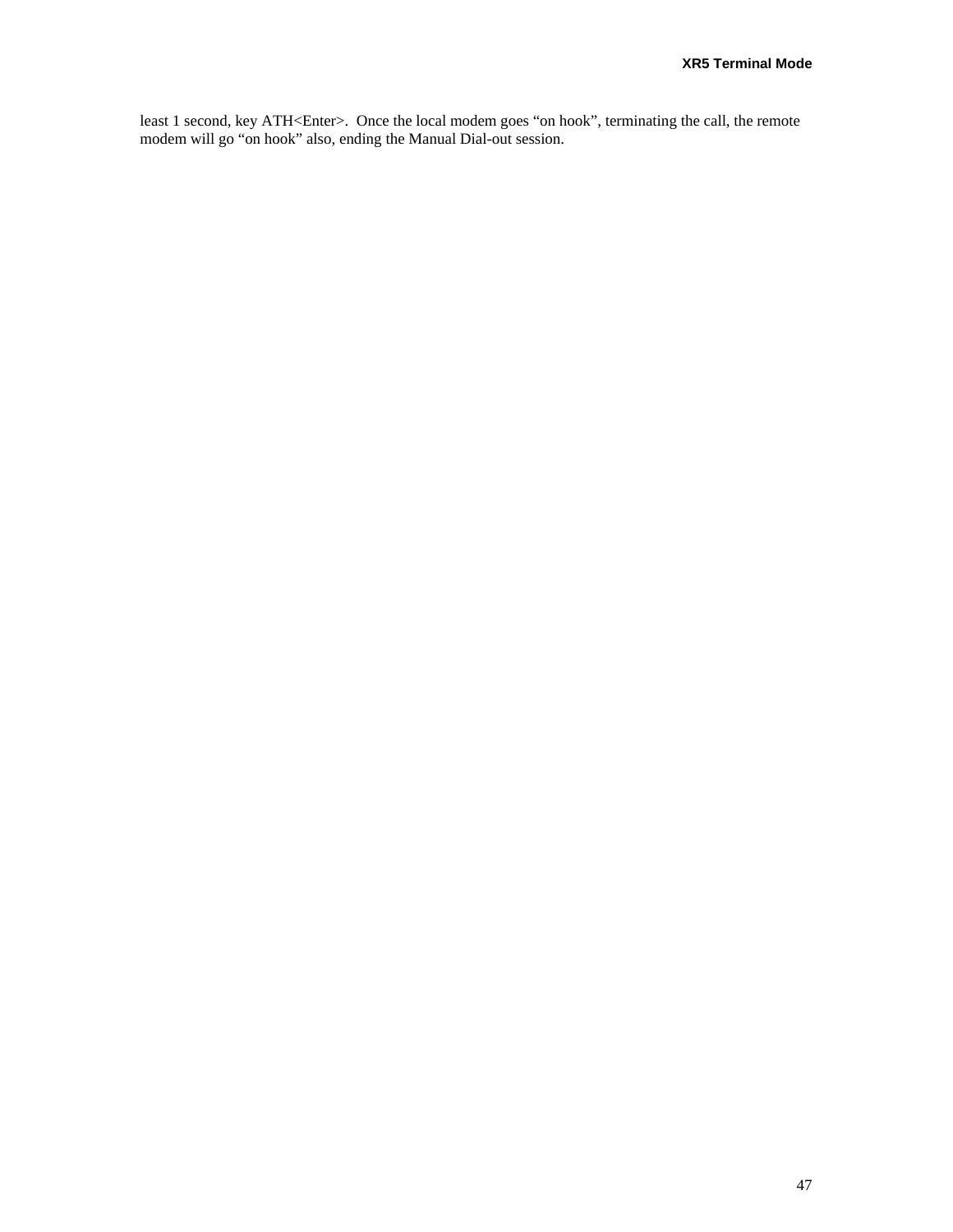least 1 second, key ATH<Enter>. Once the local modem goes "on hook", terminating the call, the remote modem will go "on hook" also, ending the Manual Dial-out session.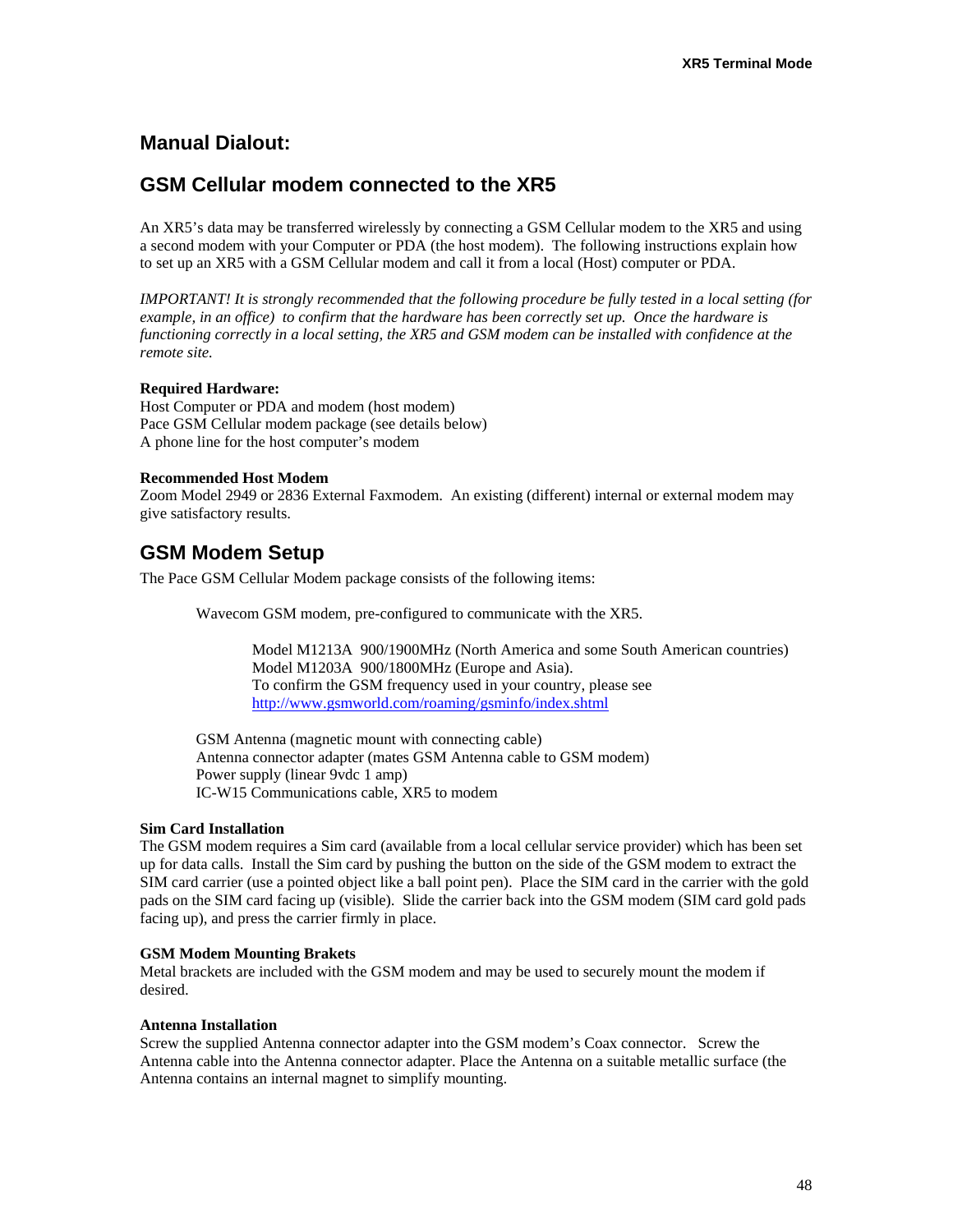# **Manual Dialout:**

# **GSM Cellular modem connected to the XR5**

An XR5's data may be transferred wirelessly by connecting a GSM Cellular modem to the XR5 and using a second modem with your Computer or PDA (the host modem). The following instructions explain how to set up an XR5 with a GSM Cellular modem and call it from a local (Host) computer or PDA.

*IMPORTANT! It is strongly recommended that the following procedure be fully tested in a local setting (for example, in an office) to confirm that the hardware has been correctly set up. Once the hardware is functioning correctly in a local setting, the XR5 and GSM modem can be installed with confidence at the remote site.* 

#### **Required Hardware:**

Host Computer or PDA and modem (host modem) Pace GSM Cellular modem package (see details below) A phone line for the host computer's modem

#### **Recommended Host Modem**

Zoom Model 2949 or 2836 External Faxmodem. An existing (different) internal or external modem may give satisfactory results.

# **GSM Modem Setup**

The Pace GSM Cellular Modem package consists of the following items:

Wavecom GSM modem, pre-configured to communicate with the XR5.

Model M1213A 900/1900MHz (North America and some South American countries) Model M1203A 900/1800MHz (Europe and Asia). To confirm the GSM frequency used in your country, please see <http://www.gsmworld.com/roaming/gsminfo/index.shtml>

GSM Antenna (magnetic mount with connecting cable) Antenna connector adapter (mates GSM Antenna cable to GSM modem) Power supply (linear 9vdc 1 amp) IC-W15 Communications cable, XR5 to modem

#### **Sim Card Installation**

The GSM modem requires a Sim card (available from a local cellular service provider) which has been set up for data calls. Install the Sim card by pushing the button on the side of the GSM modem to extract the SIM card carrier (use a pointed object like a ball point pen). Place the SIM card in the carrier with the gold pads on the SIM card facing up (visible). Slide the carrier back into the GSM modem (SIM card gold pads facing up), and press the carrier firmly in place.

#### **GSM Modem Mounting Brakets**

Metal brackets are included with the GSM modem and may be used to securely mount the modem if desired.

#### **Antenna Installation**

Screw the supplied Antenna connector adapter into the GSM modem's Coax connector. Screw the Antenna cable into the Antenna connector adapter. Place the Antenna on a suitable metallic surface (the Antenna contains an internal magnet to simplify mounting.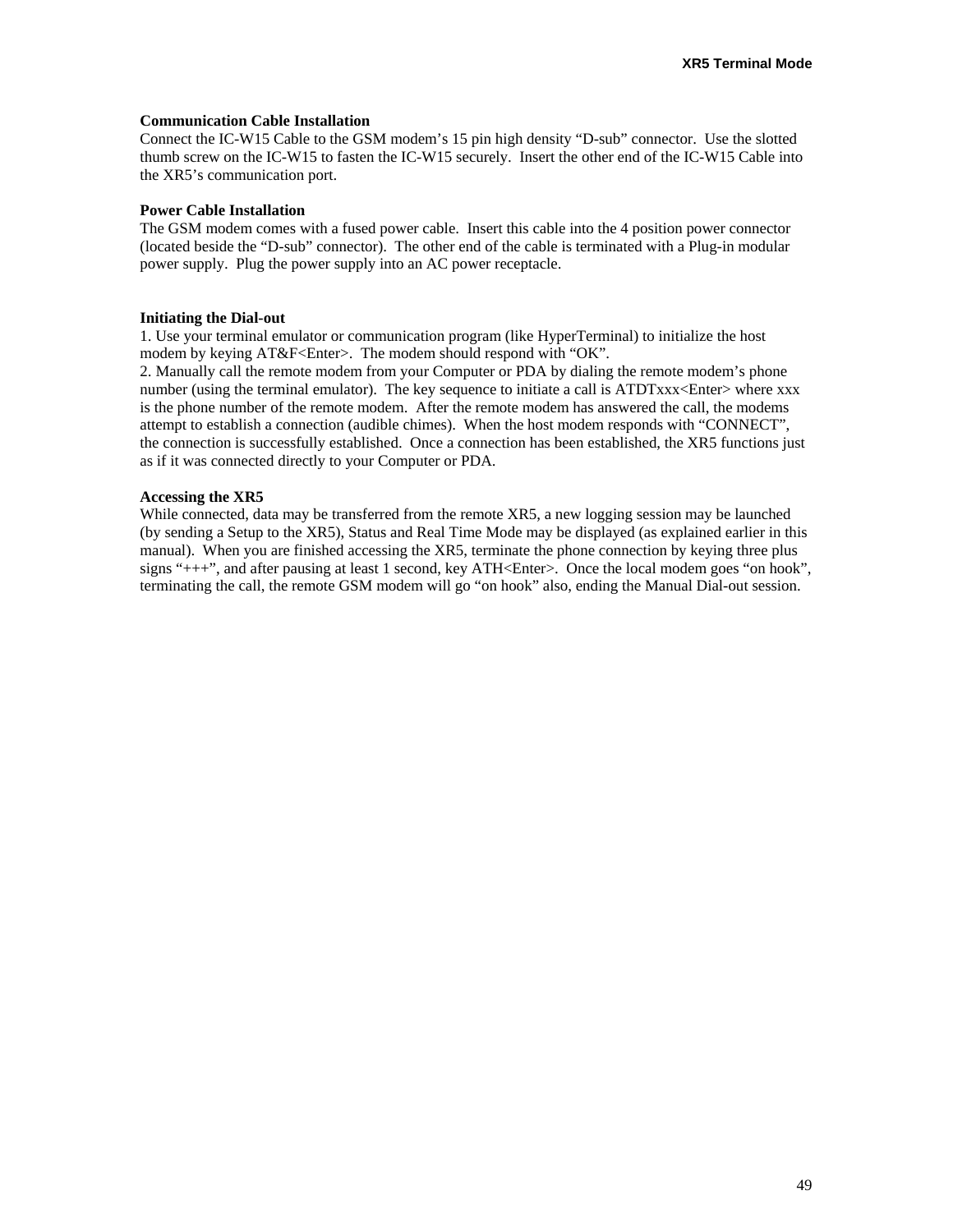#### **Communication Cable Installation**

Connect the IC-W15 Cable to the GSM modem's 15 pin high density "D-sub" connector. Use the slotted thumb screw on the IC-W15 to fasten the IC-W15 securely. Insert the other end of the IC-W15 Cable into the XR5's communication port.

#### **Power Cable Installation**

The GSM modem comes with a fused power cable. Insert this cable into the 4 position power connector (located beside the "D-sub" connector). The other end of the cable is terminated with a Plug-in modular power supply. Plug the power supply into an AC power receptacle.

#### **Initiating the Dial-out**

1. Use your terminal emulator or communication program (like HyperTerminal) to initialize the host modem by keying AT&F<Enter>. The modem should respond with "OK".

2. Manually call the remote modem from your Computer or PDA by dialing the remote modem's phone number (using the terminal emulator). The key sequence to initiate a call is ATDTxxx<Enter>where xxx is the phone number of the remote modem. After the remote modem has answered the call, the modems attempt to establish a connection (audible chimes). When the host modem responds with "CONNECT", the connection is successfully established. Once a connection has been established, the XR5 functions just as if it was connected directly to your Computer or PDA.

#### **Accessing the XR5**

While connected, data may be transferred from the remote XR5, a new logging session may be launched (by sending a Setup to the XR5), Status and Real Time Mode may be displayed (as explained earlier in this manual). When you are finished accessing the XR5, terminate the phone connection by keying three plus signs "+++", and after pausing at least 1 second, key ATH<Enter>. Once the local modem goes "on hook", terminating the call, the remote GSM modem will go "on hook" also, ending the Manual Dial-out session.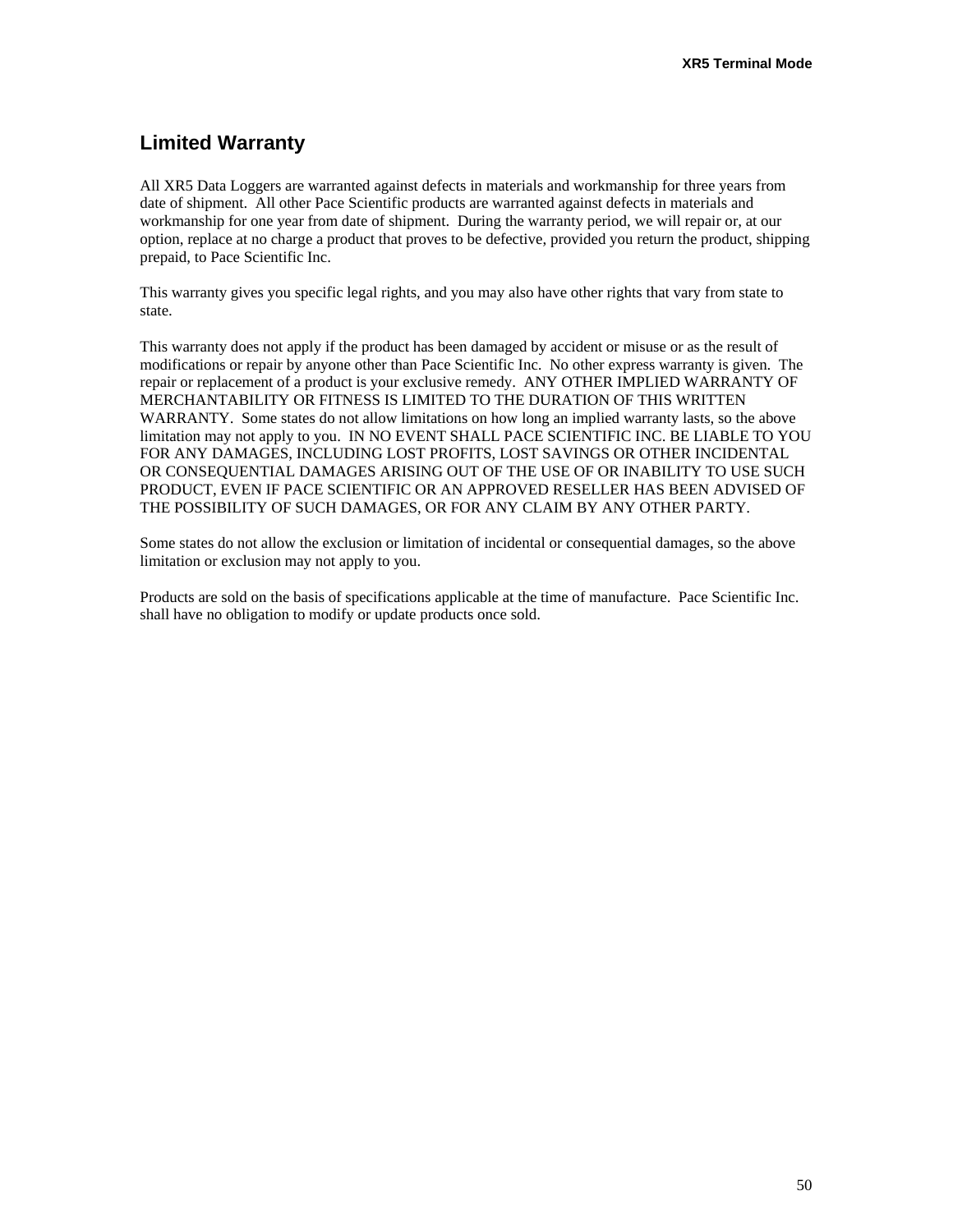# **Limited Warranty**

All XR5 Data Loggers are warranted against defects in materials and workmanship for three years from date of shipment. All other Pace Scientific products are warranted against defects in materials and workmanship for one year from date of shipment. During the warranty period, we will repair or, at our option, replace at no charge a product that proves to be defective, provided you return the product, shipping prepaid, to Pace Scientific Inc.

This warranty gives you specific legal rights, and you may also have other rights that vary from state to state.

This warranty does not apply if the product has been damaged by accident or misuse or as the result of modifications or repair by anyone other than Pace Scientific Inc. No other express warranty is given. The repair or replacement of a product is your exclusive remedy. ANY OTHER IMPLIED WARRANTY OF MERCHANTABILITY OR FITNESS IS LIMITED TO THE DURATION OF THIS WRITTEN WARRANTY. Some states do not allow limitations on how long an implied warranty lasts, so the above limitation may not apply to you. IN NO EVENT SHALL PACE SCIENTIFIC INC. BE LIABLE TO YOU FOR ANY DAMAGES, INCLUDING LOST PROFITS, LOST SAVINGS OR OTHER INCIDENTAL OR CONSEQUENTIAL DAMAGES ARISING OUT OF THE USE OF OR INABILITY TO USE SUCH PRODUCT, EVEN IF PACE SCIENTIFIC OR AN APPROVED RESELLER HAS BEEN ADVISED OF THE POSSIBILITY OF SUCH DAMAGES, OR FOR ANY CLAIM BY ANY OTHER PARTY.

Some states do not allow the exclusion or limitation of incidental or consequential damages, so the above limitation or exclusion may not apply to you.

Products are sold on the basis of specifications applicable at the time of manufacture. Pace Scientific Inc. shall have no obligation to modify or update products once sold.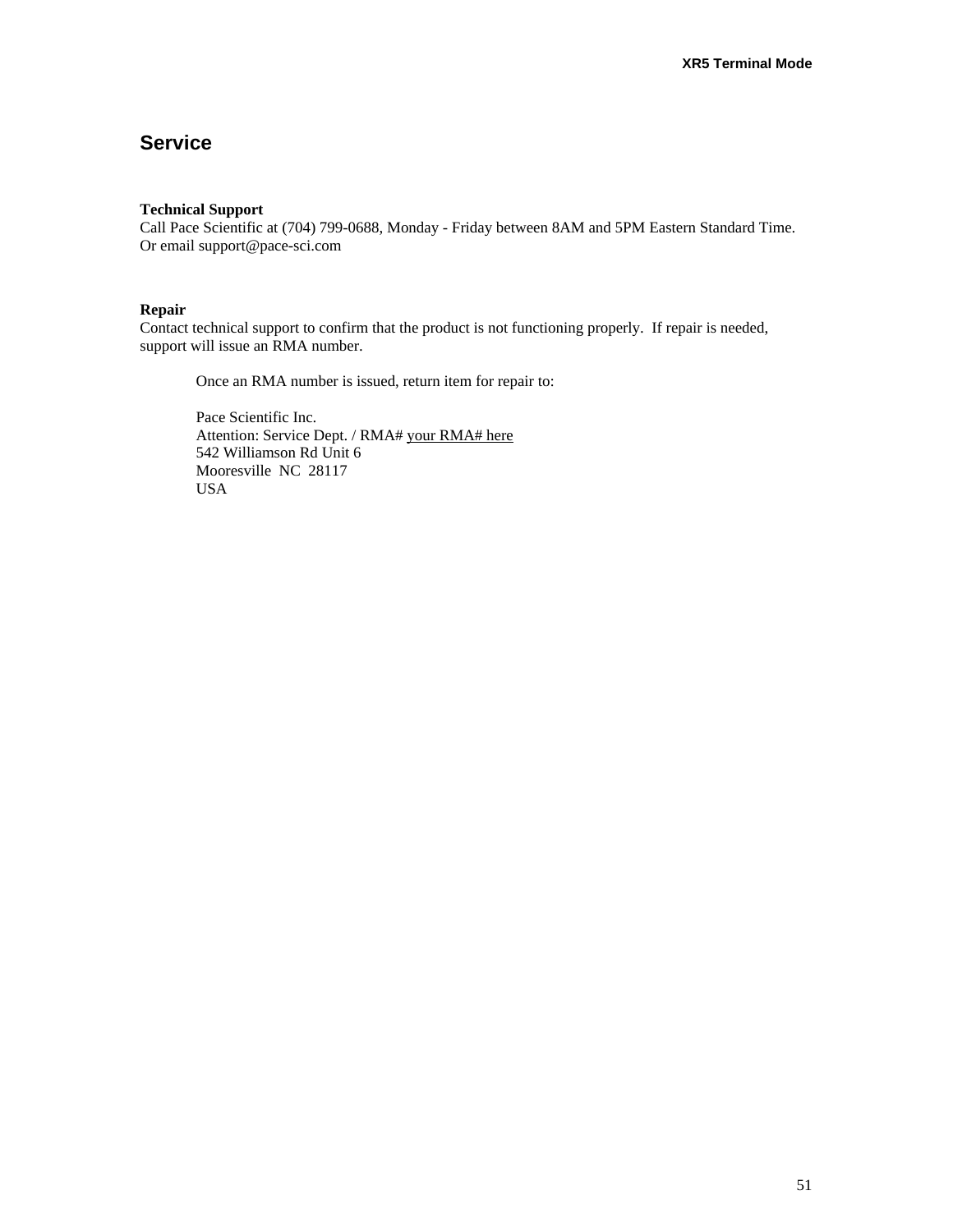# **Service**

#### **Technical Support**

Call Pace Scientific at (704) 799-0688, Monday - Friday between 8AM and 5PM Eastern Standard Time. Or email support@pace-sci.com

#### **Repair**

Contact technical support to confirm that the product is not functioning properly. If repair is needed, support will issue an RMA number.

Once an RMA number is issued, return item for repair to:

Pace Scientific Inc. Attention: Service Dept. / RMA# your RMA# here 542 Williamson Rd Unit 6 Mooresville NC 28117 USA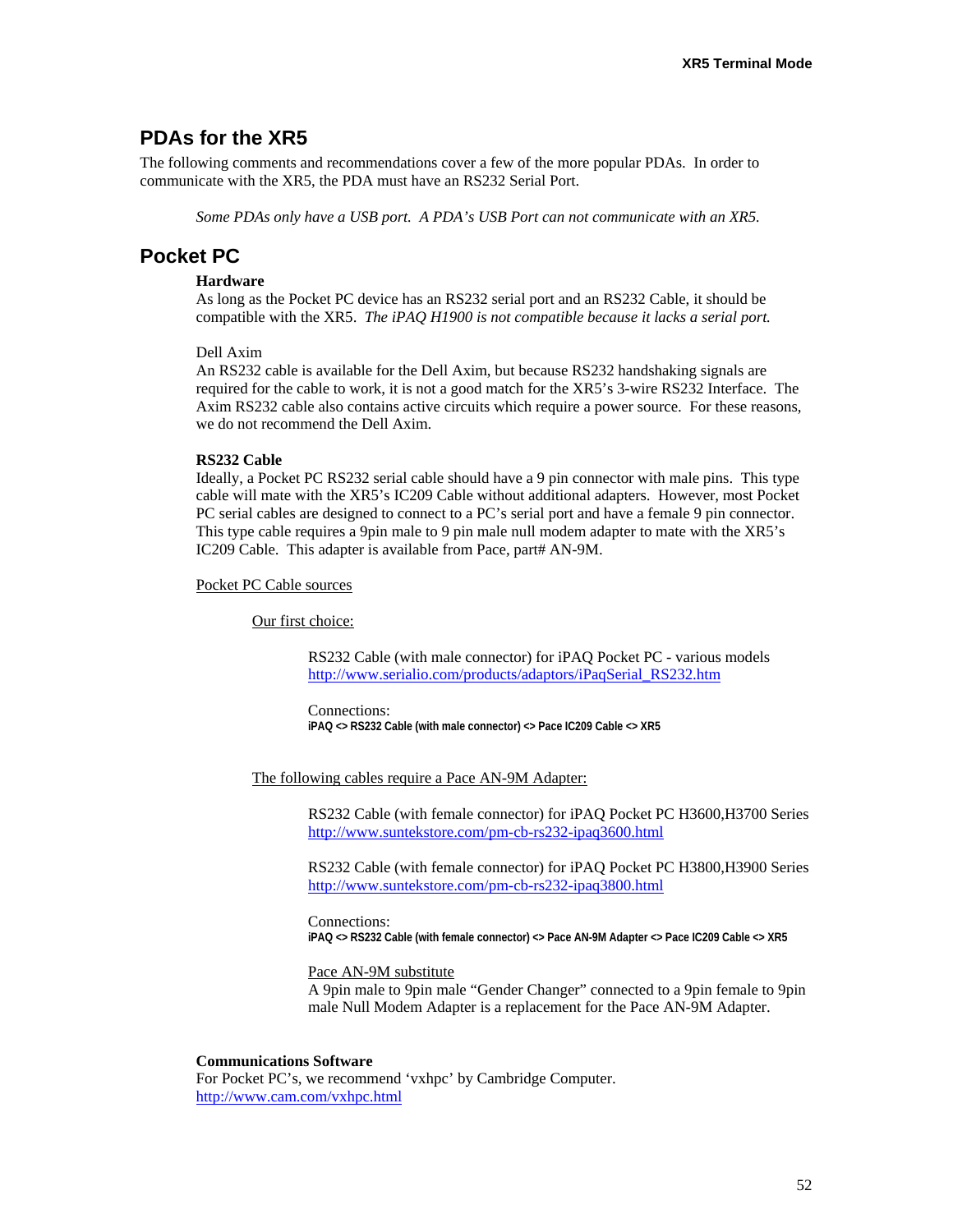### **PDAs for the XR5**

The following comments and recommendations cover a few of the more popular PDAs. In order to communicate with the XR5, the PDA must have an RS232 Serial Port.

*Some PDAs only have a USB port. A PDA's USB Port can not communicate with an XR5.*

### **Pocket PC**

#### **Hardware**

As long as the Pocket PC device has an RS232 serial port and an RS232 Cable, it should be compatible with the XR5. *The iPAQ H1900 is not compatible because it lacks a serial port.*

#### Dell Axim

An RS232 cable is available for the Dell Axim, but because RS232 handshaking signals are required for the cable to work, it is not a good match for the XR5's 3-wire RS232 Interface. The Axim RS232 cable also contains active circuits which require a power source. For these reasons, we do not recommend the Dell Axim.

#### **RS232 Cable**

Ideally, a Pocket PC RS232 serial cable should have a 9 pin connector with male pins. This type cable will mate with the XR5's IC209 Cable without additional adapters. However, most Pocket PC serial cables are designed to connect to a PC's serial port and have a female 9 pin connector. This type cable requires a 9pin male to 9 pin male null modem adapter to mate with the XR5's IC209 Cable. This adapter is available from Pace, part# AN-9M.

#### Pocket PC Cable sources

Our first choice:

RS232 Cable (with male connector) for iPAQ Pocket PC - various models [http://www.serialio.com/products/adaptors/iPaqSerial\\_RS232.htm](http://www.serialio.com/products/adaptors/iPaqSerial_RS232.htm)

Connections: **iPAQ <> RS232 Cable (with male connector) <> Pace IC209 Cable <> XR5** 

The following cables require a Pace AN-9M Adapter:

RS232 Cable (with female connector) for iPAQ Pocket PC H3600,H3700 Series <http://www.suntekstore.com/pm-cb-rs232-ipaq3600.html>

RS232 Cable (with female connector) for iPAQ Pocket PC H3800,H3900 Series <http://www.suntekstore.com/pm-cb-rs232-ipaq3800.html>

Connections: **iPAQ <> RS232 Cable (with female connector) <> Pace AN-9M Adapter <> Pace IC209 Cable <> XR5** 

#### Pace AN-9M substitute

A 9pin male to 9pin male "Gender Changer" connected to a 9pin female to 9pin male Null Modem Adapter is a replacement for the Pace AN-9M Adapter.

#### **Communications Software**

For Pocket PC's, we recommend 'vxhpc' by Cambridge Computer. <http://www.cam.com/vxhpc.html>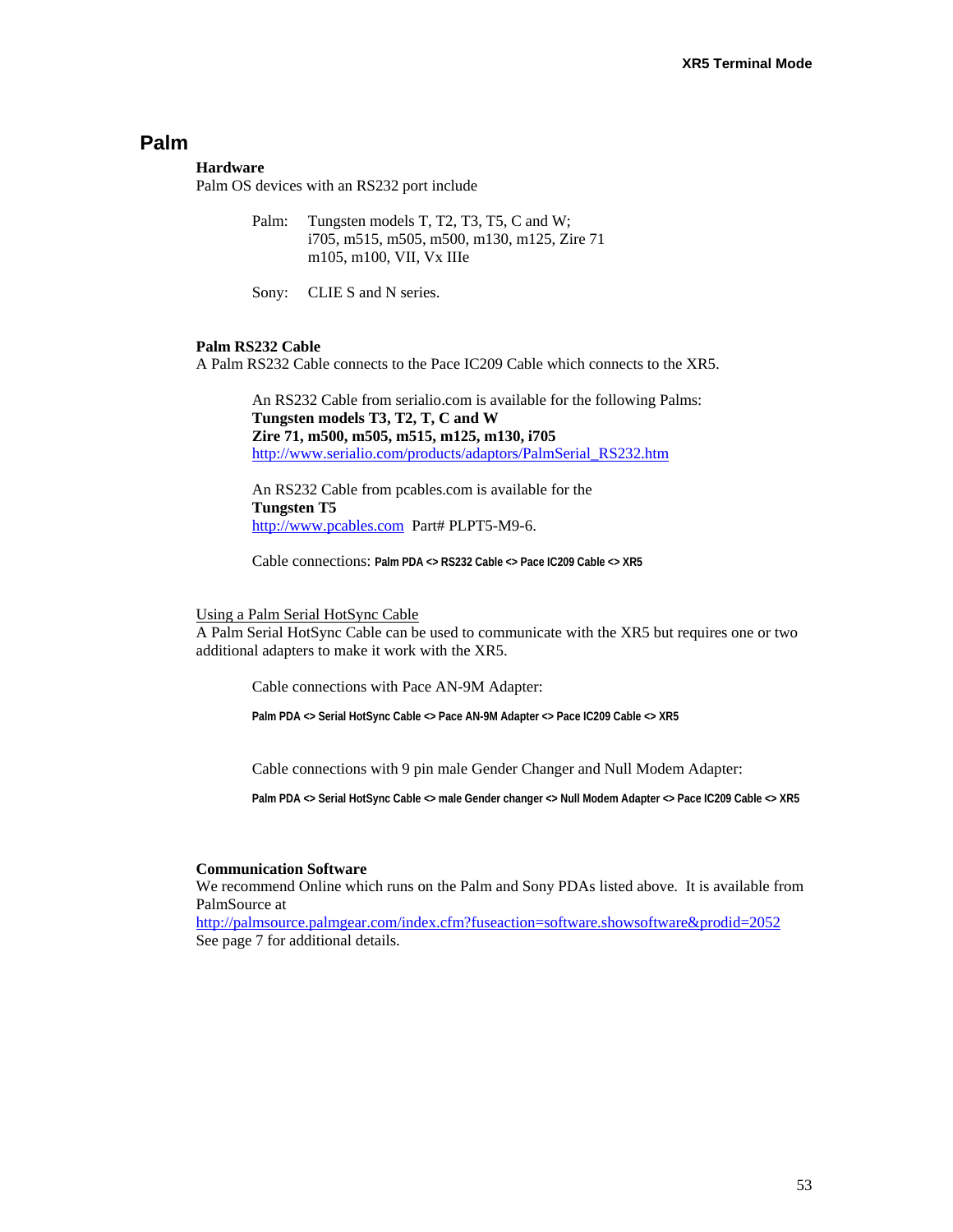### **Palm**

#### **Hardware**

Palm OS devices with an RS232 port include

Palm: Tungsten models T, T2, T3, T5, C and W; i705, m515, m505, m500, m130, m125, Zire 71 m105, m100, VII, Vx IIIe

Sony: CLIE S and N series.

#### **Palm RS232 Cable**

A Palm RS232 Cable connects to the Pace IC209 Cable which connects to the XR5.

An RS232 Cable from serialio.com is available for the following Palms: **Tungsten models T3, T2, T, C and W Zire 71, m500, m505, m515, m125, m130, i705** [http://www.serialio.com/products/adaptors/PalmSerial\\_RS232.htm](http://www.serialio.com/products/adaptors/PalmSerial_RS232.htm)

An RS232 Cable from pcables.com is available for the **Tungsten T5** [http://www.pcables.com](http://www.pcables.com/) Part# PLPT5-M9-6.

Cable connections: **Palm PDA <> RS232 Cable <> Pace IC209 Cable <> XR5**

#### Using a Palm Serial HotSync Cable

A Palm Serial HotSync Cable can be used to communicate with the XR5 but requires one or two additional adapters to make it work with the XR5.

Cable connections with Pace AN-9M Adapter:

**Palm PDA <> Serial HotSync Cable <> Pace AN-9M Adapter <> Pace IC209 Cable <> XR5** 

Cable connections with 9 pin male Gender Changer and Null Modem Adapter:

**Palm PDA <> Serial HotSync Cable <> male Gender changer <> Null Modem Adapter <> Pace IC209 Cable <> XR5** 

#### **Communication Software**

We recommend Online which runs on the Palm and Sony PDAs listed above. It is available from PalmSource at

<http://palmsource.palmgear.com/index.cfm?fuseaction=software.showsoftware&prodid=2052> See page 7 for additional details.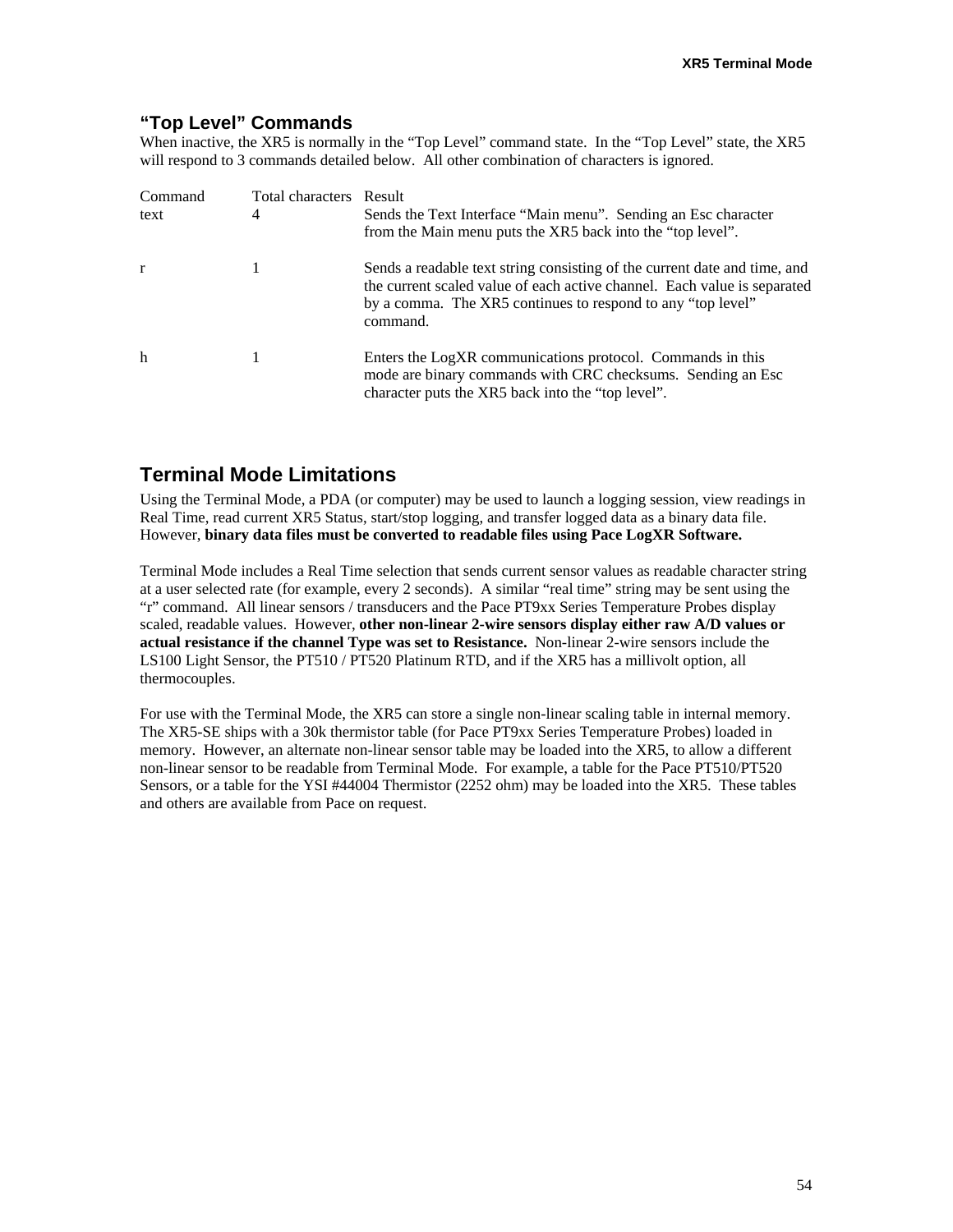### **"Top Level" Commands**

When inactive, the XR5 is normally in the "Top Level" command state. In the "Top Level" state, the XR5 will respond to 3 commands detailed below. All other combination of characters is ignored.

| Command<br>text | Total characters Result<br>4 | Sends the Text Interface "Main menu". Sending an Esc character<br>from the Main menu puts the XR5 back into the "top level".                                                                                                     |
|-----------------|------------------------------|----------------------------------------------------------------------------------------------------------------------------------------------------------------------------------------------------------------------------------|
| r               |                              | Sends a readable text string consisting of the current date and time, and<br>the current scaled value of each active channel. Each value is separated<br>by a comma. The XR5 continues to respond to any "top level"<br>command. |
| h               |                              | Enters the LogXR communications protocol. Commands in this<br>mode are binary commands with CRC checksums. Sending an Esc<br>character puts the XR5 back into the "top level".                                                   |

# **Terminal Mode Limitations**

Using the Terminal Mode, a PDA (or computer) may be used to launch a logging session, view readings in Real Time, read current XR5 Status, start/stop logging, and transfer logged data as a binary data file. However, **binary data files must be converted to readable files using Pace LogXR Software.** 

Terminal Mode includes a Real Time selection that sends current sensor values as readable character string at a user selected rate (for example, every 2 seconds). A similar "real time" string may be sent using the "r" command. All linear sensors / transducers and the Pace PT9xx Series Temperature Probes display scaled, readable values. However, **other non-linear 2-wire sensors display either raw A/D values or actual resistance if the channel Type was set to Resistance.** Non-linear 2-wire sensors include the LS100 Light Sensor, the PT510 / PT520 Platinum RTD, and if the XR5 has a millivolt option, all thermocouples.

For use with the Terminal Mode, the XR5 can store a single non-linear scaling table in internal memory. The XR5-SE ships with a 30k thermistor table (for Pace PT9xx Series Temperature Probes) loaded in memory. However, an alternate non-linear sensor table may be loaded into the XR5, to allow a different non-linear sensor to be readable from Terminal Mode. For example, a table for the Pace PT510/PT520 Sensors, or a table for the YSI #44004 Thermistor (2252 ohm) may be loaded into the XR5. These tables and others are available from Pace on request.